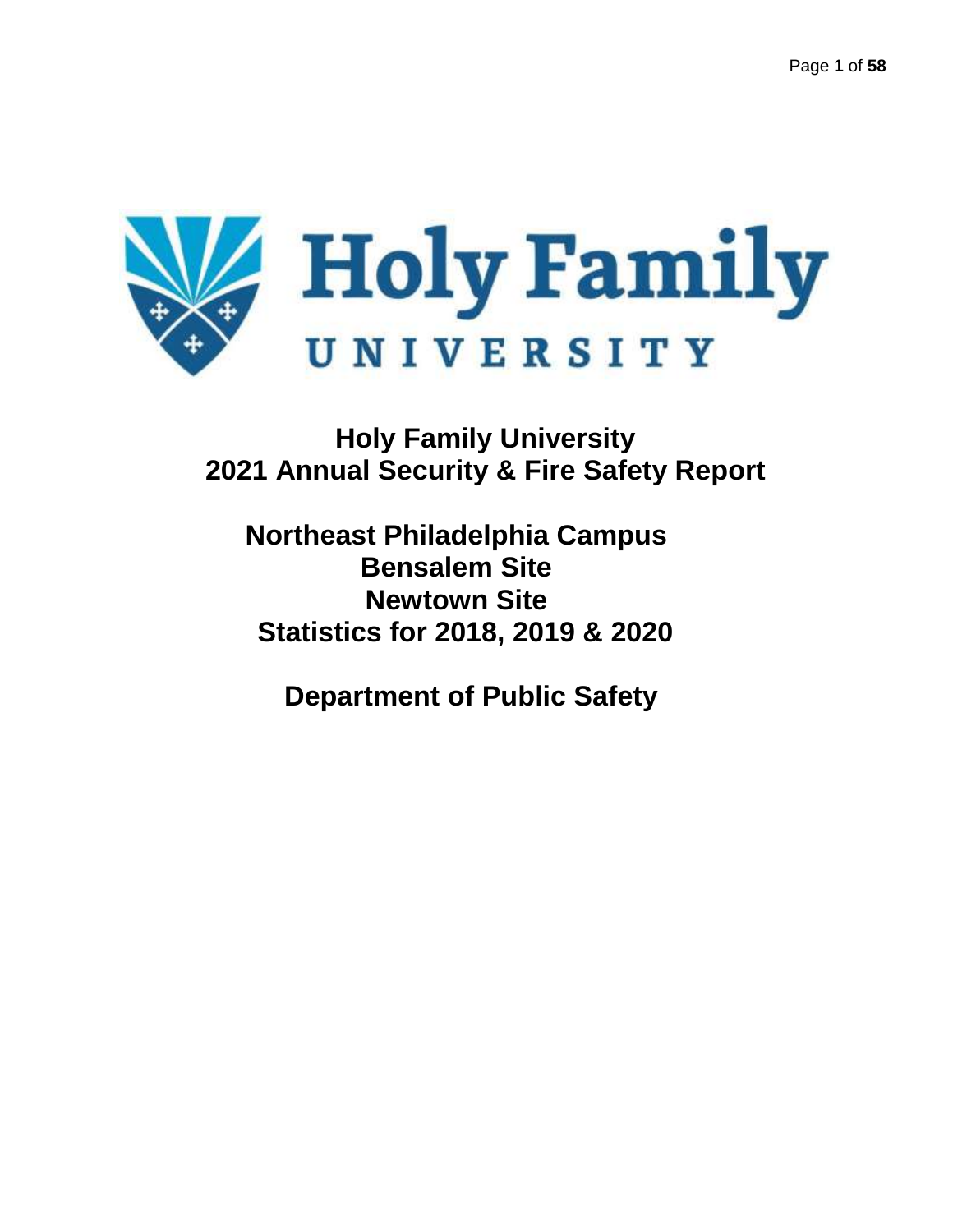

**Holy Family University 2021 Annual Security & Fire Safety Report**

**Northeast Philadelphia Campus Bensalem Site Newtown Site Statistics for 2018, 2019 & 2020**

**Department of Public Safety**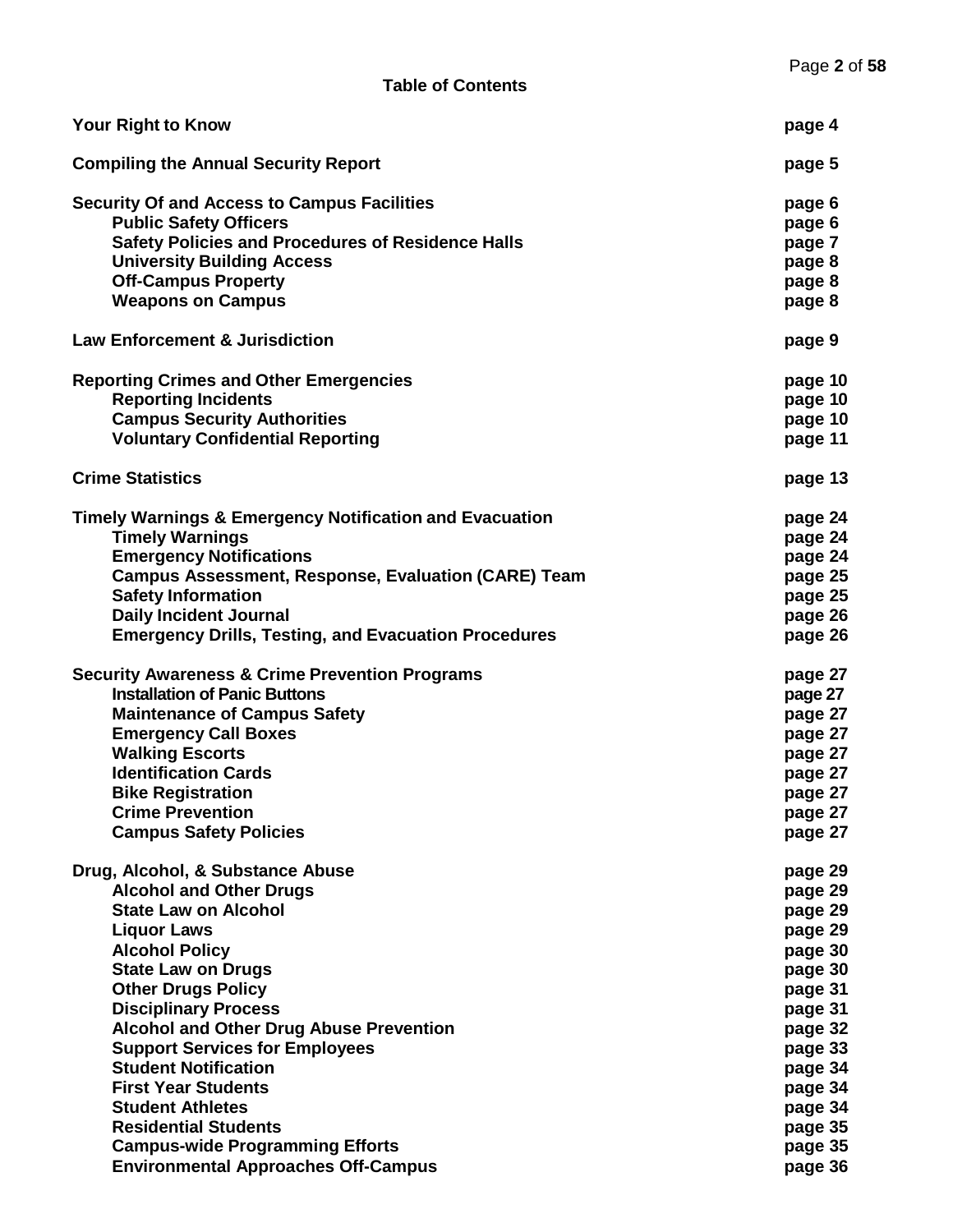| <b>Your Right to Know</b>                                          | page 4  |
|--------------------------------------------------------------------|---------|
| <b>Compiling the Annual Security Report</b>                        | page 5  |
| <b>Security Of and Access to Campus Facilities</b>                 | page 6  |
| <b>Public Safety Officers</b>                                      | page 6  |
| <b>Safety Policies and Procedures of Residence Halls</b>           | page 7  |
| <b>University Building Access</b>                                  | page 8  |
| <b>Off-Campus Property</b>                                         | page 8  |
| <b>Weapons on Campus</b>                                           | page 8  |
| <b>Law Enforcement &amp; Jurisdiction</b>                          | page 9  |
| <b>Reporting Crimes and Other Emergencies</b>                      | page 10 |
| <b>Reporting Incidents</b>                                         | page 10 |
| <b>Campus Security Authorities</b>                                 | page 10 |
| <b>Voluntary Confidential Reporting</b>                            | page 11 |
| <b>Crime Statistics</b>                                            | page 13 |
| <b>Timely Warnings &amp; Emergency Notification and Evacuation</b> | page 24 |
| <b>Timely Warnings</b>                                             | page 24 |
| <b>Emergency Notifications</b>                                     | page 24 |
| Campus Assessment, Response, Evaluation (CARE) Team                | page 25 |
| <b>Safety Information</b>                                          | page 25 |
| <b>Daily Incident Journal</b>                                      | page 26 |
| <b>Emergency Drills, Testing, and Evacuation Procedures</b>        | page 26 |
| <b>Security Awareness &amp; Crime Prevention Programs</b>          | page 27 |
| <b>Installation of Panic Buttons</b>                               | page 27 |
| <b>Maintenance of Campus Safety</b>                                | page 27 |
| <b>Emergency Call Boxes</b>                                        | page 27 |
| <b>Walking Escorts</b>                                             | page 27 |
| <b>Identification Cards</b>                                        | page 27 |
| <b>Bike Registration</b>                                           | page 27 |
| <b>Crime Prevention</b>                                            | page 27 |
| <b>Campus Safety Policies</b>                                      | page 27 |
| Drug, Alcohol, & Substance Abuse                                   | page 29 |
| <b>Alcohol and Other Drugs</b>                                     | page 29 |
| <b>State Law on Alcohol</b>                                        | page 29 |
| <b>Liquor Laws</b>                                                 | page 29 |
| <b>Alcohol Policy</b>                                              | page 30 |
| <b>State Law on Drugs</b>                                          | page 30 |
| <b>Other Drugs Policy</b>                                          | page 31 |
| <b>Disciplinary Process</b>                                        | page 31 |
| <b>Alcohol and Other Drug Abuse Prevention</b>                     | page 32 |
| <b>Support Services for Employees</b>                              | page 33 |
| <b>Student Notification</b>                                        | page 34 |
| <b>First Year Students</b>                                         | page 34 |
| <b>Student Athletes</b>                                            | page 34 |
| <b>Residential Students</b>                                        | page 35 |
| <b>Campus-wide Programming Efforts</b>                             | page 35 |
| <b>Environmental Approaches Off-Campus</b>                         | page 36 |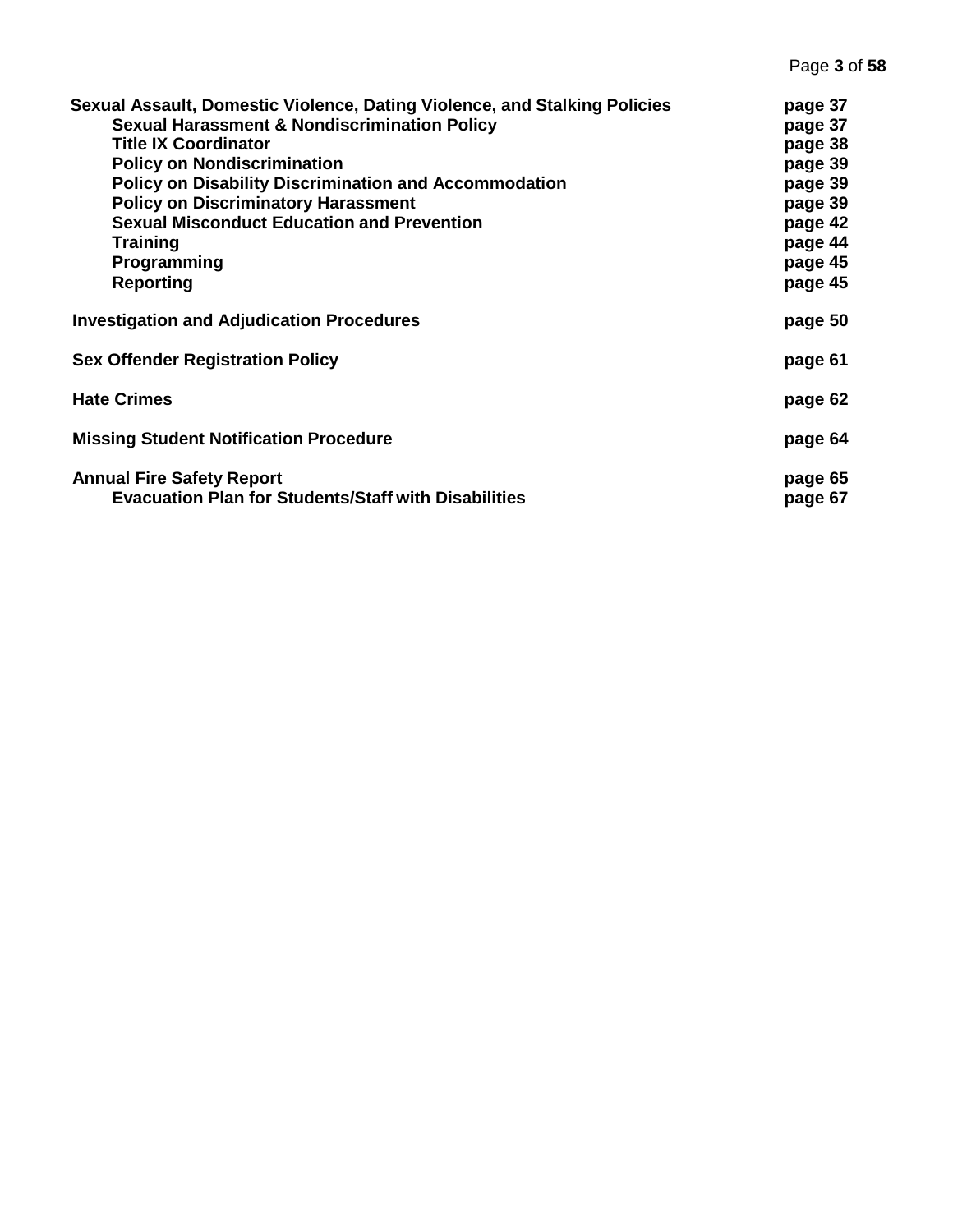| Sexual Assault, Domestic Violence, Dating Violence, and Stalking Policies                       | page 37            |
|-------------------------------------------------------------------------------------------------|--------------------|
| <b>Sexual Harassment &amp; Nondiscrimination Policy</b>                                         | page 37            |
| <b>Title IX Coordinator</b>                                                                     | page 38            |
| <b>Policy on Nondiscrimination</b>                                                              | page 39            |
| <b>Policy on Disability Discrimination and Accommodation</b>                                    | page 39            |
| <b>Policy on Discriminatory Harassment</b>                                                      | page 39            |
| <b>Sexual Misconduct Education and Prevention</b>                                               | page 42            |
| Training                                                                                        | page 44            |
| Programming                                                                                     | page 45            |
| <b>Reporting</b>                                                                                | page 45            |
| <b>Investigation and Adjudication Procedures</b>                                                | page 50            |
| <b>Sex Offender Registration Policy</b>                                                         | page 61            |
| <b>Hate Crimes</b>                                                                              | page 62            |
| <b>Missing Student Notification Procedure</b>                                                   | page 64            |
| <b>Annual Fire Safety Report</b><br><b>Evacuation Plan for Students/Staff with Disabilities</b> | page 65<br>page 67 |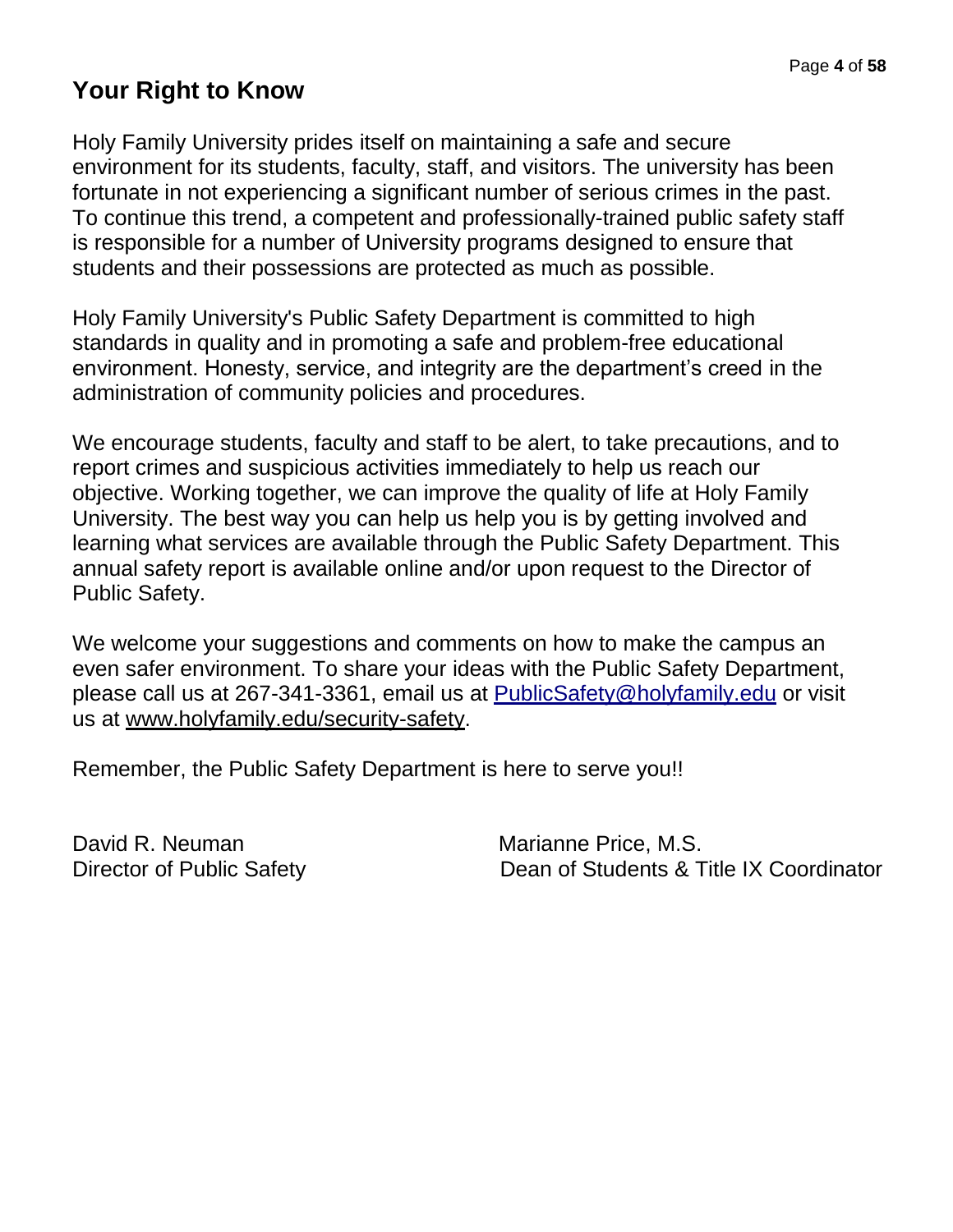# **Your Right to Know**

Holy Family University prides itself on maintaining a safe and secure environment for its students, faculty, staff, and visitors. The university has been fortunate in not experiencing a significant number of serious crimes in the past. To continue this trend, a competent and professionally-trained public safety staff is responsible for a number of University programs designed to ensure that students and their possessions are protected as much as possible.

Holy Family University's Public Safety Department is committed to high standards in quality and in promoting a safe and problem-free educational environment. Honesty, service, and integrity are the department's creed in the administration of community policies and procedures.

We encourage students, faculty and staff to be alert, to take precautions, and to report crimes and suspicious activities immediately to help us reach our objective. Working together, we can improve the quality of life at Holy Family University. The best way you can help us help you is by getting involved and learning what services are available through the Public Safety Department. This annual safety report is available online and/or upon request to the Director of Public Safety.

We welcome your suggestions and comments on how to make the campus an even safer environment. To share your ideas with the Public Safety Department, please call us at 267-341-3361, email us at [PublicSafety@holyfamily.edu](mailto:PublicSafety@holyfamily.edu) or visit us at [www.holyfamily.edu/security-safety.](http://www.holyfamily.edu/security-safety)

Remember, the Public Safety Department is here to serve you!!

David R. Neuman Marianne Price, M.S.

Director of Public Safety Dean of Students & Title IX Coordinator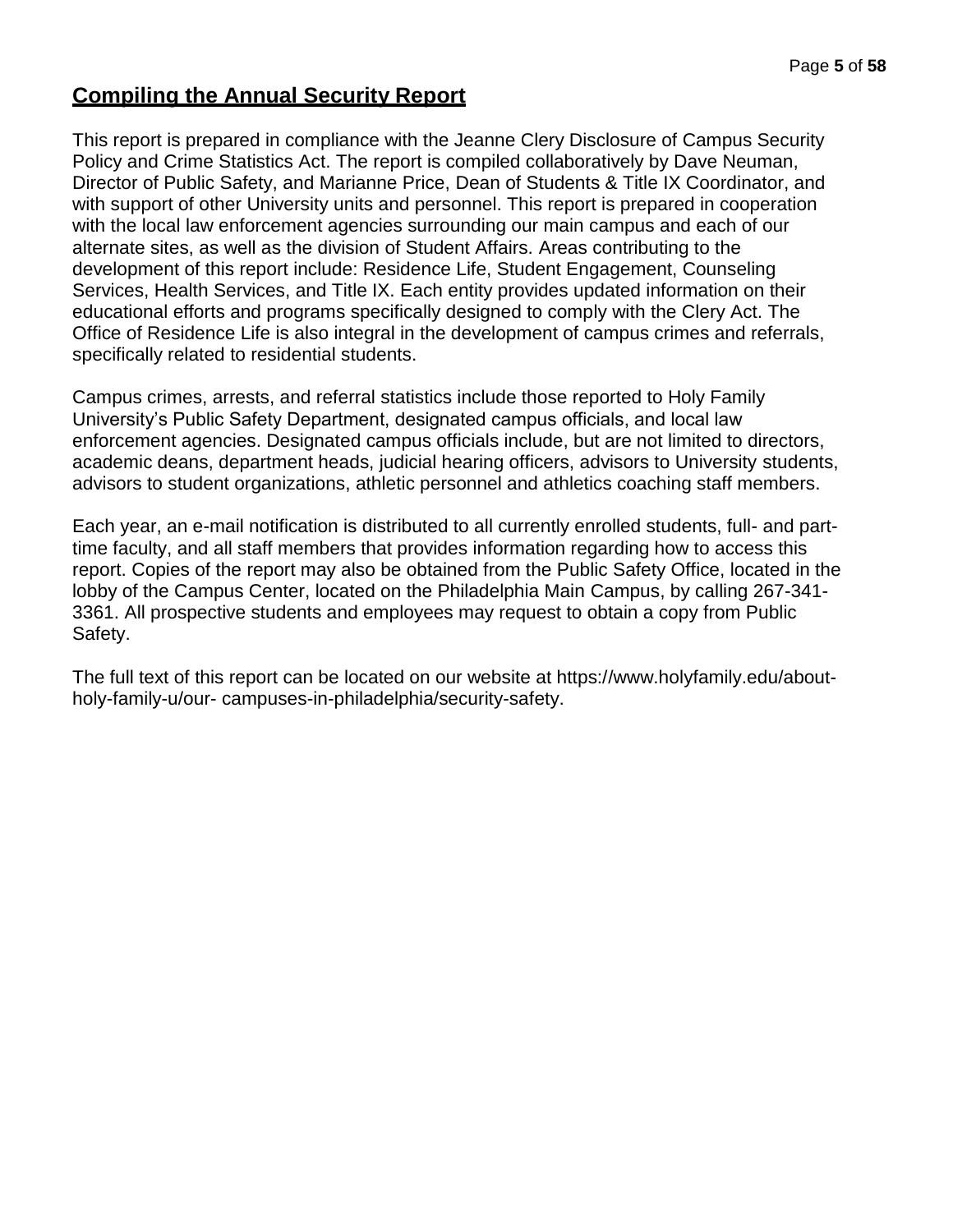# **Compiling the Annual Security Report**

This report is prepared in compliance with the Jeanne Clery Disclosure of Campus Security Policy and Crime Statistics Act. The report is compiled collaboratively by Dave Neuman, Director of Public Safety, and Marianne Price, Dean of Students & Title IX Coordinator, and with support of other University units and personnel. This report is prepared in cooperation with the local law enforcement agencies surrounding our main campus and each of our alternate sites, as well as the division of Student Affairs. Areas contributing to the development of this report include: Residence Life, Student Engagement, Counseling Services, Health Services, and Title IX. Each entity provides updated information on their educational efforts and programs specifically designed to comply with the Clery Act. The Office of Residence Life is also integral in the development of campus crimes and referrals, specifically related to residential students.

Campus crimes, arrests, and referral statistics include those reported to Holy Family University's Public Safety Department, designated campus officials, and local law enforcement agencies. Designated campus officials include, but are not limited to directors, academic deans, department heads, judicial hearing officers, advisors to University students, advisors to student organizations, athletic personnel and athletics coaching staff members.

Each year, an e-mail notification is distributed to all currently enrolled students, full- and parttime faculty, and all staff members that provides information regarding how to access this report. Copies of the report may also be obtained from the Public Safety Office, located in the lobby of the Campus Center, located on the Philadelphia Main Campus, by calling 267-341- 3361. All prospective students and employees may request to obtain a copy from Public Safety.

The full text of this report can be located on our website at https:[//www.holyfamily.edu/about](http://www.holyfamily.edu/about-holy-family-u/our-)[holy-family-u/our-](http://www.holyfamily.edu/about-holy-family-u/our-) campuses-in-philadelphia/security-safety.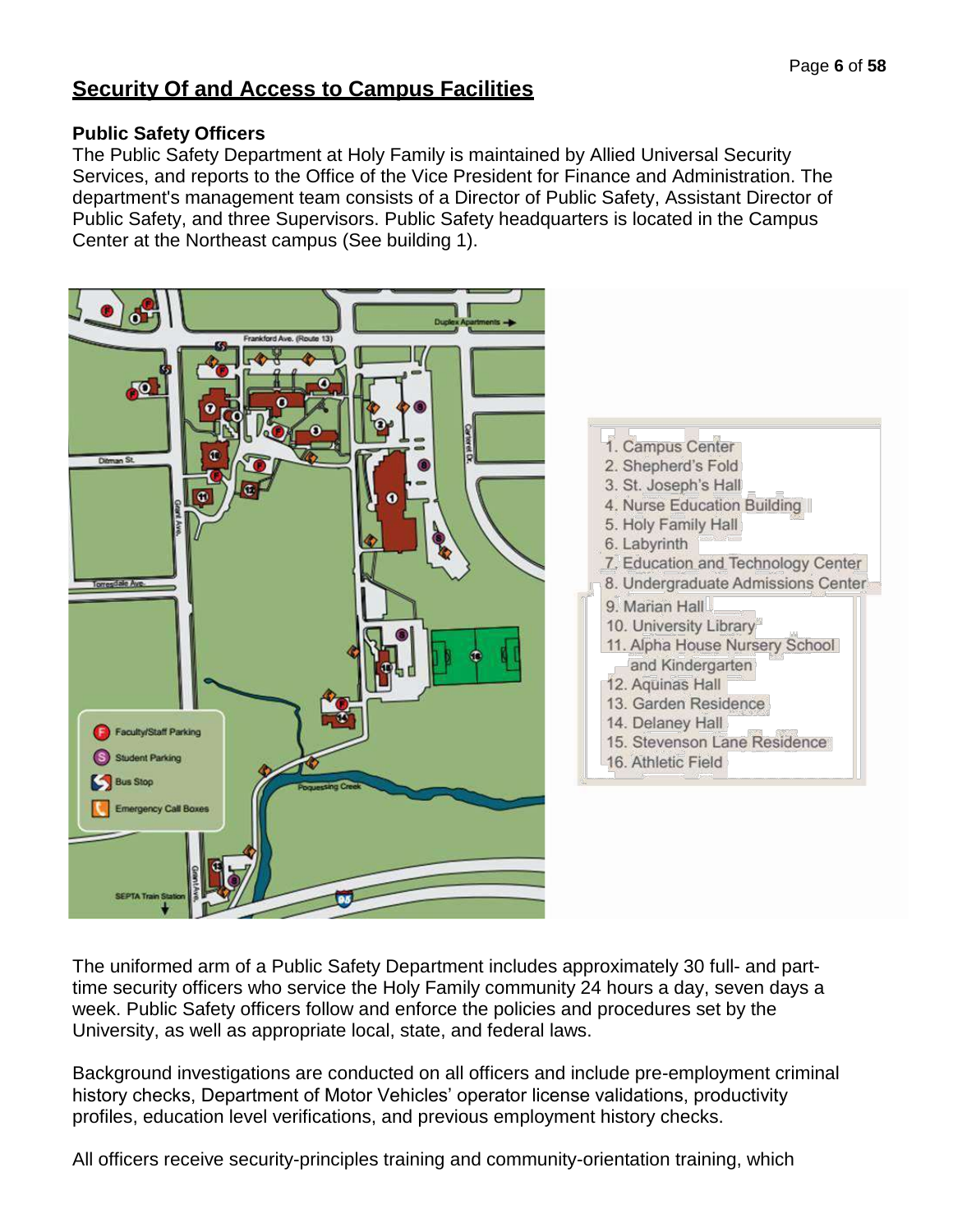## **Security Of and Access to Campus Facilities**

## **Public Safety Officers**

The Public Safety Department at Holy Family is maintained by Allied Universal Security Services, and reports to the Office of the Vice President for Finance and Administration. The department's management team consists of a Director of Public Safety, Assistant Director of Public Safety, and three Supervisors. Public Safety headquarters is located in the Campus Center at the Northeast campus (See building 1).



The uniformed arm of a Public Safety Department includes approximately 30 full- and parttime security officers who service the Holy Family community 24 hours a day, seven days a week. Public Safety officers follow and enforce the policies and procedures set by the University, as well as appropriate local, state, and federal laws.

Background investigations are conducted on all officers and include pre-employment criminal history checks, Department of Motor Vehicles' operator license validations, productivity profiles, education level verifications, and previous employment history checks.

All officers receive security-principles training and community-orientation training, which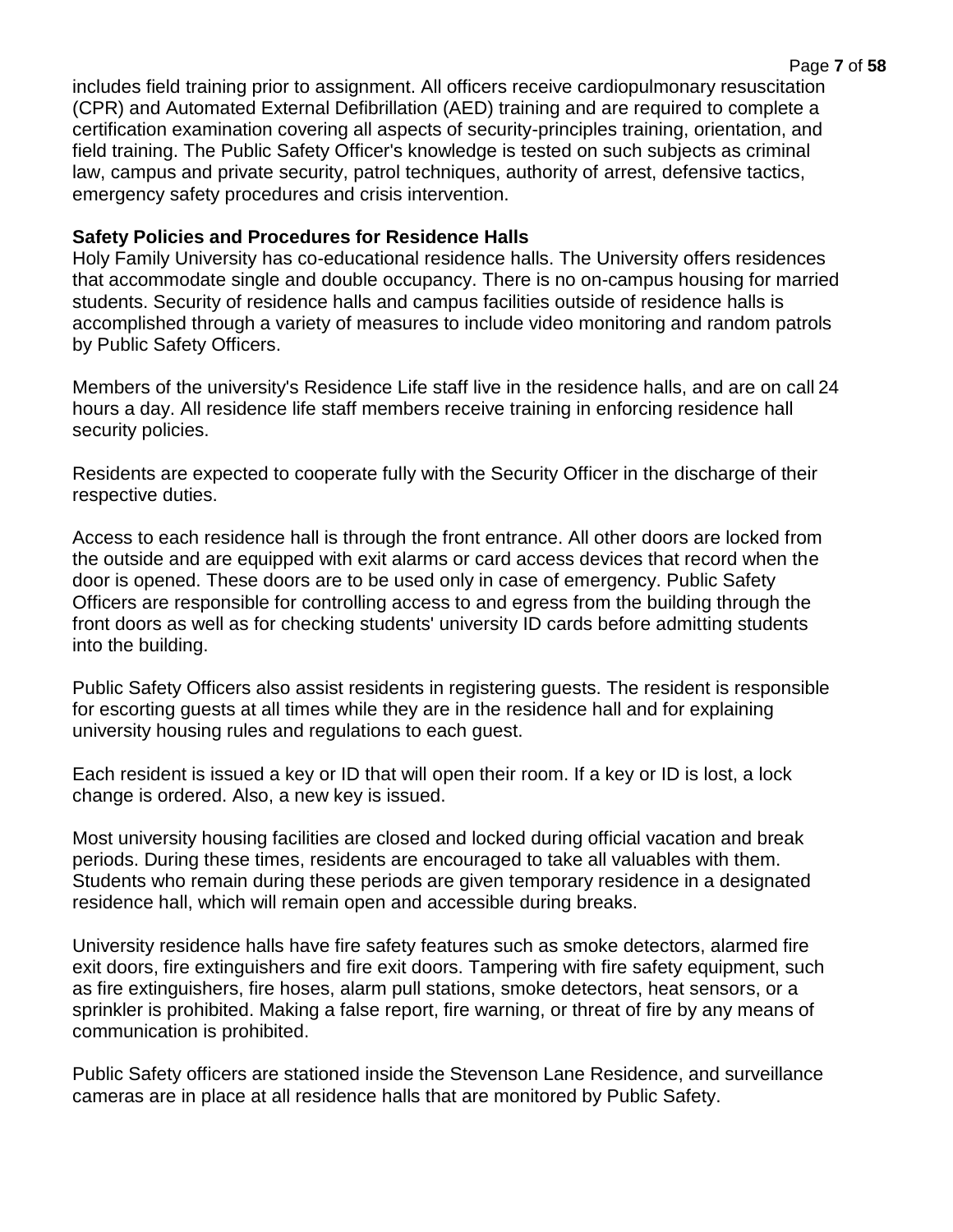includes field training prior to assignment. All officers receive cardiopulmonary resuscitation (CPR) and Automated External Defibrillation (AED) training and are required to complete a certification examination covering all aspects of security-principles training, orientation, and field training. The Public Safety Officer's knowledge is tested on such subjects as criminal law, campus and private security, patrol techniques, authority of arrest, defensive tactics, emergency safety procedures and crisis intervention.

#### **Safety Policies and Procedures for Residence Halls**

Holy Family University has co-educational residence halls. The University offers residences that accommodate single and double occupancy. There is no on-campus housing for married students. Security of residence halls and campus facilities outside of residence halls is accomplished through a variety of measures to include video monitoring and random patrols by Public Safety Officers.

Members of the university's Residence Life staff live in the residence halls, and are on call 24 hours a day. All residence life staff members receive training in enforcing residence hall security policies.

Residents are expected to cooperate fully with the Security Officer in the discharge of their respective duties.

Access to each residence hall is through the front entrance. All other doors are locked from the outside and are equipped with exit alarms or card access devices that record when the door is opened. These doors are to be used only in case of emergency. Public Safety Officers are responsible for controlling access to and egress from the building through the front doors as well as for checking students' university ID cards before admitting students into the building.

Public Safety Officers also assist residents in registering guests. The resident is responsible for escorting guests at all times while they are in the residence hall and for explaining university housing rules and regulations to each guest.

Each resident is issued a key or ID that will open their room. If a key or ID is lost, a lock change is ordered. Also, a new key is issued.

Most university housing facilities are closed and locked during official vacation and break periods. During these times, residents are encouraged to take all valuables with them. Students who remain during these periods are given temporary residence in a designated residence hall, which will remain open and accessible during breaks.

University residence halls have fire safety features such as smoke detectors, alarmed fire exit doors, fire extinguishers and fire exit doors. Tampering with fire safety equipment, such as fire extinguishers, fire hoses, alarm pull stations, smoke detectors, heat sensors, or a sprinkler is prohibited. Making a false report, fire warning, or threat of fire by any means of communication is prohibited.

Public Safety officers are stationed inside the Stevenson Lane Residence, and surveillance cameras are in place at all residence halls that are monitored by Public Safety.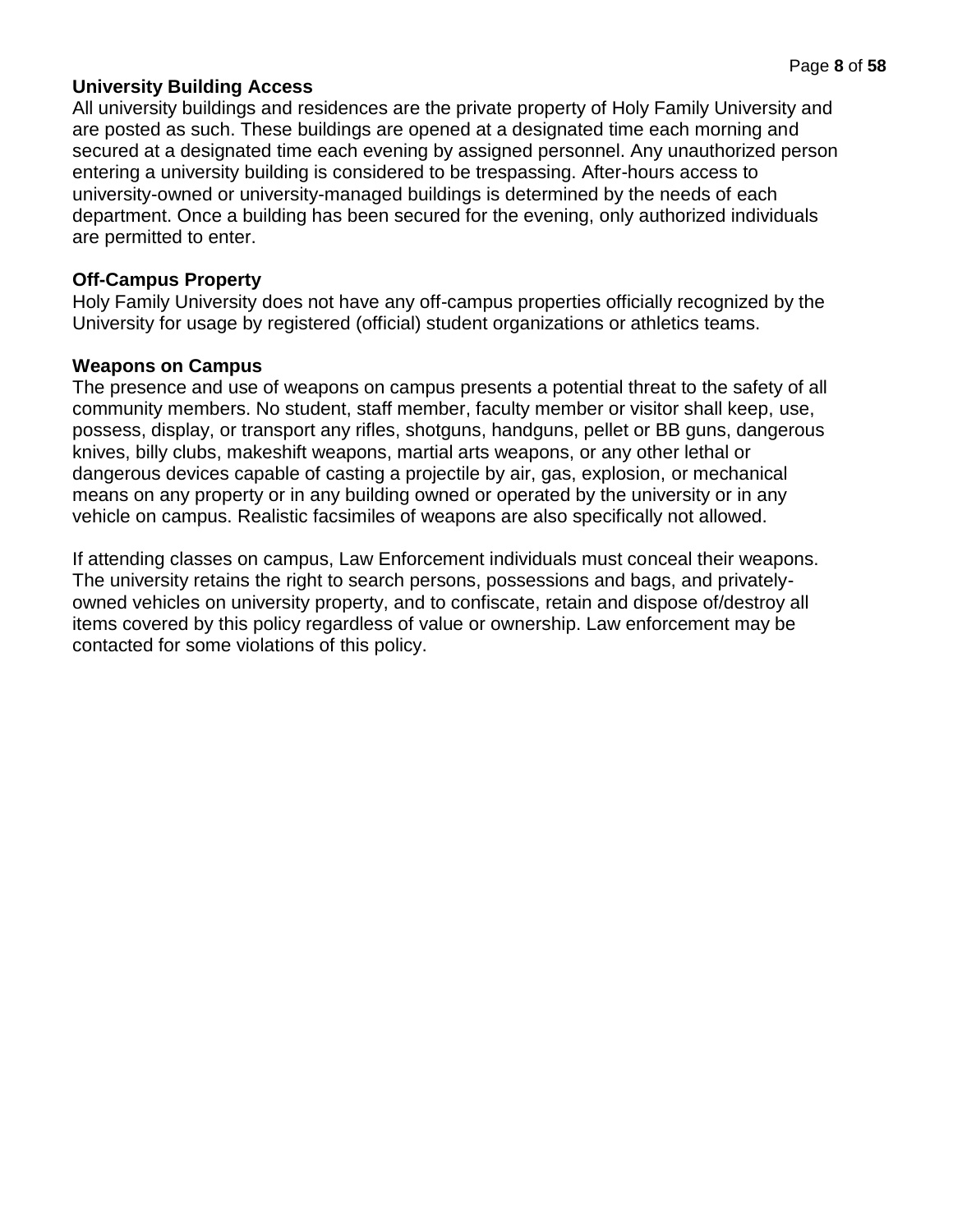#### **University Building Access**

All university buildings and residences are the private property of Holy Family University and are posted as such. These buildings are opened at a designated time each morning and secured at a designated time each evening by assigned personnel. Any unauthorized person entering a university building is considered to be trespassing. After-hours access to university-owned or university-managed buildings is determined by the needs of each department. Once a building has been secured for the evening, only authorized individuals are permitted to enter.

#### **Off-Campus Property**

Holy Family University does not have any off-campus properties officially recognized by the University for usage by registered (official) student organizations or athletics teams.

#### **Weapons on Campus**

The presence and use of weapons on campus presents a potential threat to the safety of all community members. No student, staff member, faculty member or visitor shall keep, use, possess, display, or transport any rifles, shotguns, handguns, pellet or BB guns, dangerous knives, billy clubs, makeshift weapons, martial arts weapons, or any other lethal or dangerous devices capable of casting a projectile by air, gas, explosion, or mechanical means on any property or in any building owned or operated by the university or in any vehicle on campus. Realistic facsimiles of weapons are also specifically not allowed.

If attending classes on campus, Law Enforcement individuals must conceal their weapons. The university retains the right to search persons, possessions and bags, and privatelyowned vehicles on university property, and to confiscate, retain and dispose of/destroy all items covered by this policy regardless of value or ownership. Law enforcement may be contacted for some violations of this policy.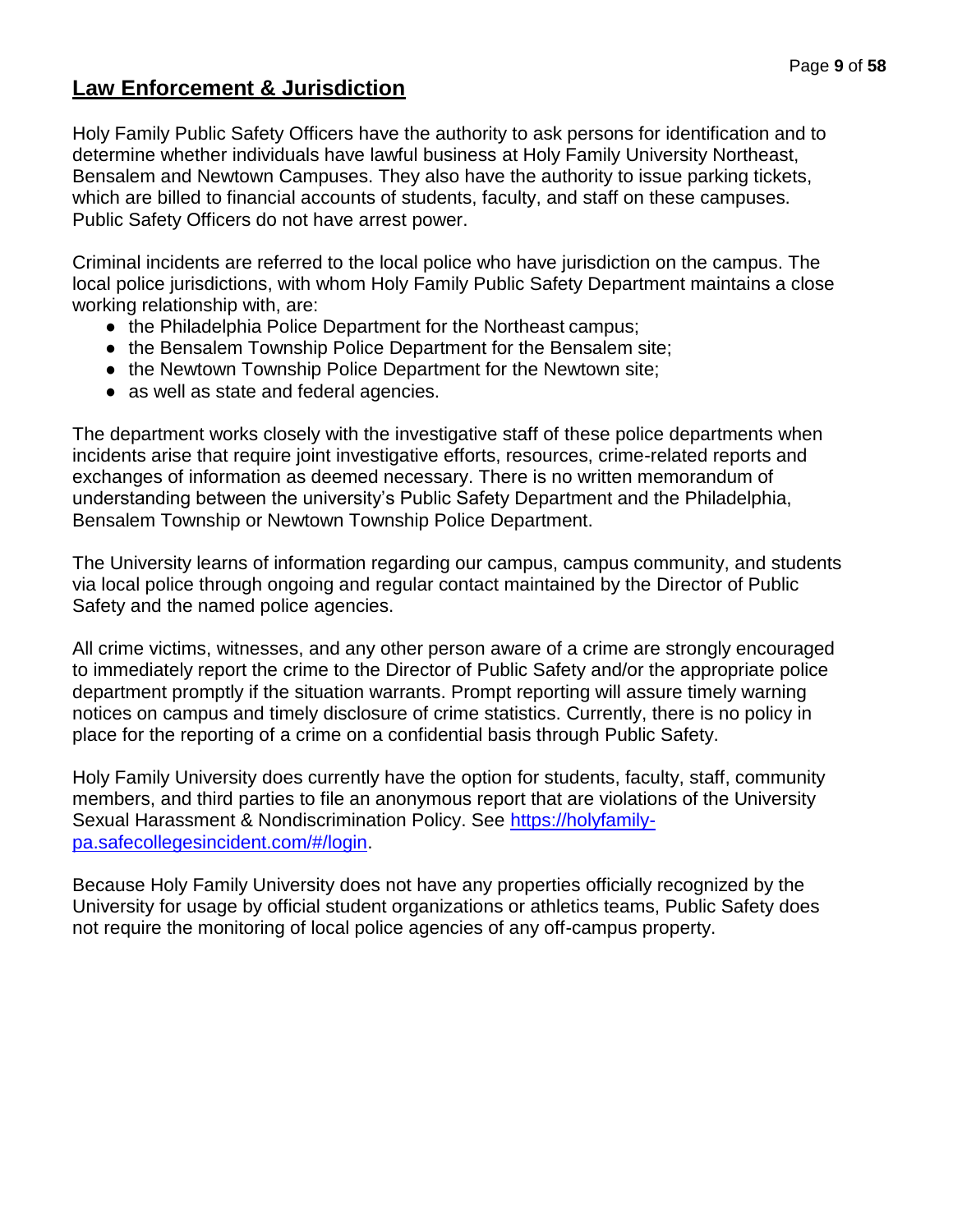# **Law Enforcement & Jurisdiction**

Holy Family Public Safety Officers have the authority to ask persons for identification and to determine whether individuals have lawful business at Holy Family University Northeast, Bensalem and Newtown Campuses. They also have the authority to issue parking tickets, which are billed to financial accounts of students, faculty, and staff on these campuses. Public Safety Officers do not have arrest power.

Criminal incidents are referred to the local police who have jurisdiction on the campus. The local police jurisdictions, with whom Holy Family Public Safety Department maintains a close working relationship with, are:

- the Philadelphia Police Department for the Northeast campus;
- the Bensalem Township Police Department for the Bensalem site;
- the Newtown Township Police Department for the Newtown site;
- as well as state and federal agencies.

The department works closely with the investigative staff of these police departments when incidents arise that require joint investigative efforts, resources, crime-related reports and exchanges of information as deemed necessary. There is no written memorandum of understanding between the university's Public Safety Department and the Philadelphia, Bensalem Township or Newtown Township Police Department.

The University learns of information regarding our campus, campus community, and students via local police through ongoing and regular contact maintained by the Director of Public Safety and the named police agencies.

All crime victims, witnesses, and any other person aware of a crime are strongly encouraged to immediately report the crime to the Director of Public Safety and/or the appropriate police department promptly if the situation warrants. Prompt reporting will assure timely warning notices on campus and timely disclosure of crime statistics. Currently, there is no policy in place for the reporting of a crime on a confidential basis through Public Safety.

Holy Family University does currently have the option for students, faculty, staff, community members, and third parties to file an anonymous report that are violations of the University Sexual Harassment & Nondiscrimination Policy. See [https://holyfamily](https://holyfamily-pa.safecollegesincident.com/#/login)[pa.safecollegesincident.com/#/login.](https://holyfamily-pa.safecollegesincident.com/#/login)

Because Holy Family University does not have any properties officially recognized by the University for usage by official student organizations or athletics teams, Public Safety does not require the monitoring of local police agencies of any off-campus property.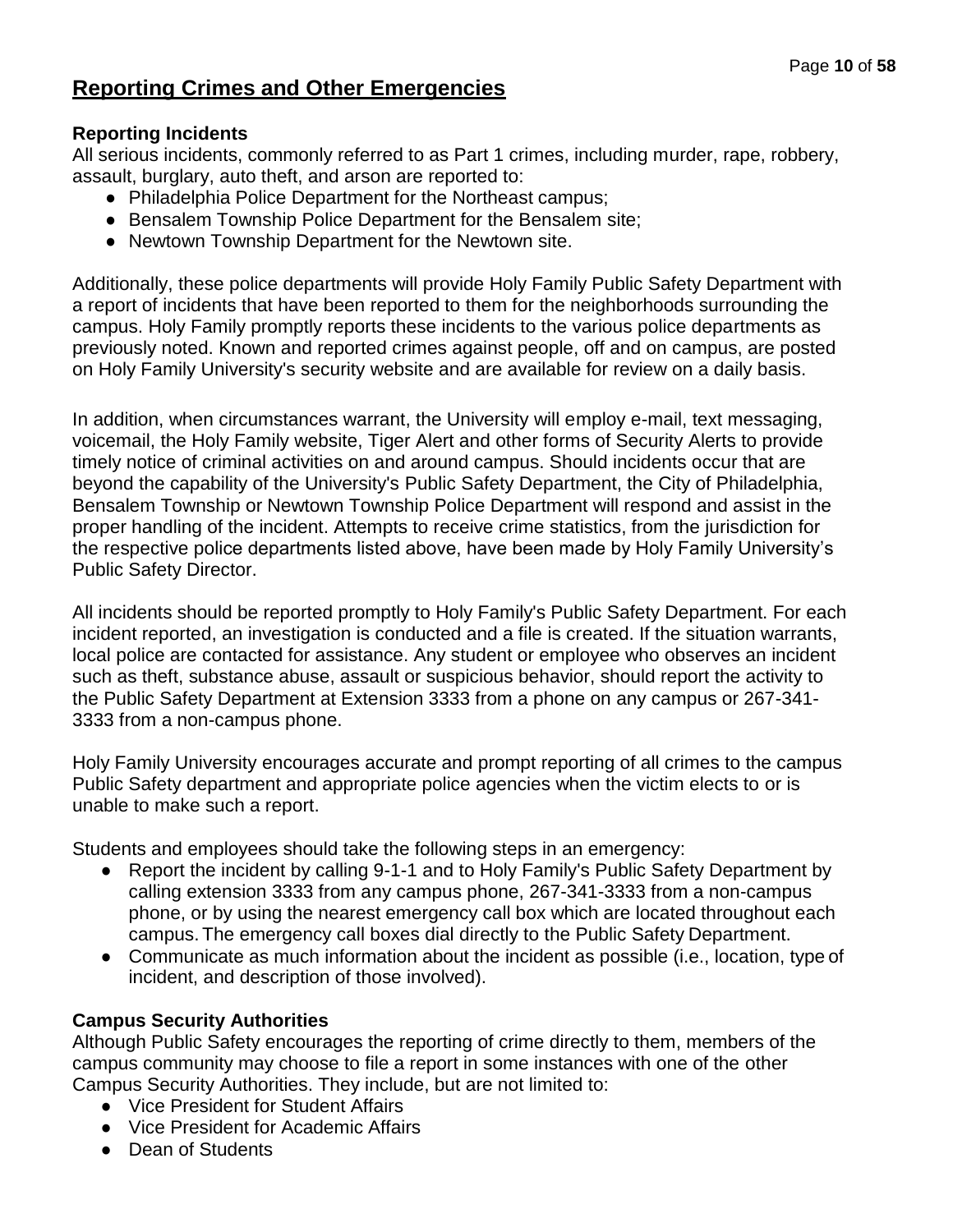# **Reporting Crimes and Other Emergencies**

## **Reporting Incidents**

All serious incidents, commonly referred to as Part 1 crimes, including murder, rape, robbery, assault, burglary, auto theft, and arson are reported to:

- Philadelphia Police Department for the Northeast campus;
- Bensalem Township Police Department for the Bensalem site;
- Newtown Township Department for the Newtown site.

Additionally, these police departments will provide Holy Family Public Safety Department with a report of incidents that have been reported to them for the neighborhoods surrounding the campus. Holy Family promptly reports these incidents to the various police departments as previously noted. Known and reported crimes against people, off and on campus, are posted on Holy Family University's security website and are available for review on a daily basis.

In addition, when circumstances warrant, the University will employ e-mail, text messaging, voicemail, the Holy Family website, Tiger Alert and other forms of Security Alerts to provide timely notice of criminal activities on and around campus. Should incidents occur that are beyond the capability of the University's Public Safety Department, the City of Philadelphia, Bensalem Township or Newtown Township Police Department will respond and assist in the proper handling of the incident. Attempts to receive crime statistics, from the jurisdiction for the respective police departments listed above, have been made by Holy Family University's Public Safety Director.

All incidents should be reported promptly to Holy Family's Public Safety Department. For each incident reported, an investigation is conducted and a file is created. If the situation warrants, local police are contacted for assistance. Any student or employee who observes an incident such as theft, substance abuse, assault or suspicious behavior, should report the activity to the Public Safety Department at Extension 3333 from a phone on any campus or 267-341- 3333 from a non-campus phone.

Holy Family University encourages accurate and prompt reporting of all crimes to the campus Public Safety department and appropriate police agencies when the victim elects to or is unable to make such a report.

Students and employees should take the following steps in an emergency:

- Report the incident by calling 9-1-1 and to Holy Family's Public Safety Department by calling extension 3333 from any campus phone, 267-341-3333 from a non-campus phone, or by using the nearest emergency call box which are located throughout each campus. The emergency call boxes dial directly to the Public Safety Department.
- Communicate as much information about the incident as possible (i.e., location, type of incident, and description of those involved).

## **Campus Security Authorities**

Although Public Safety encourages the reporting of crime directly to them, members of the campus community may choose to file a report in some instances with one of the other Campus Security Authorities. They include, but are not limited to:

- Vice President for Student Affairs
- Vice President for Academic Affairs
- Dean of Students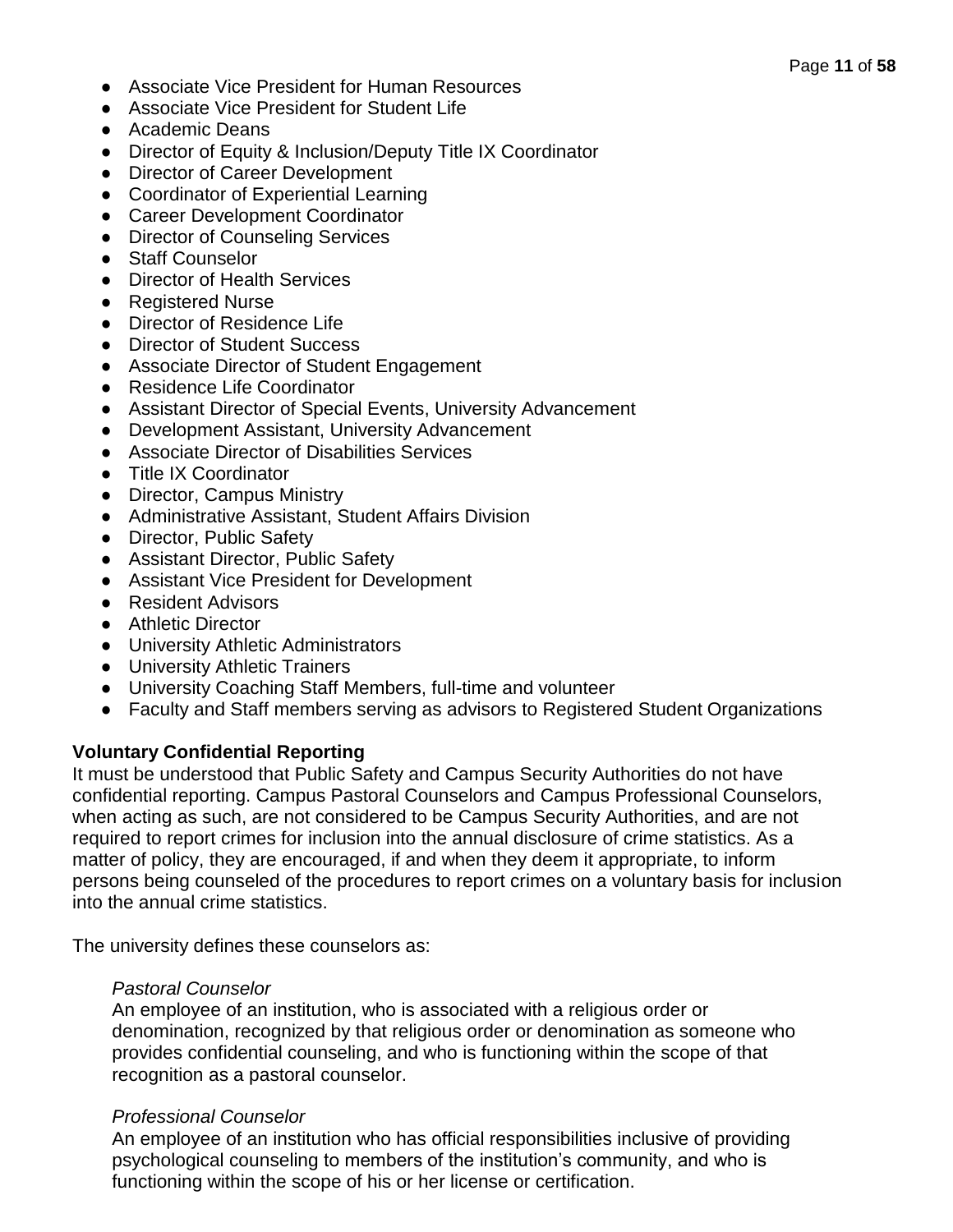- Associate Vice President for Human Resources
- Associate Vice President for Student Life
- Academic Deans
- Director of Equity & Inclusion/Deputy Title IX Coordinator
- Director of Career Development
- Coordinator of Experiential Learning
- Career Development Coordinator
- Director of Counseling Services
- Staff Counselor
- Director of Health Services
- Registered Nurse
- Director of Residence Life
- Director of Student Success
- Associate Director of Student Engagement
- Residence Life Coordinator
- Assistant Director of Special Events, University Advancement
- Development Assistant, University Advancement
- Associate Director of Disabilities Services
- Title IX Coordinator
- Director, Campus Ministry
- Administrative Assistant, Student Affairs Division
- Director, Public Safety
- Assistant Director, Public Safety
- Assistant Vice President for Development
- Resident Advisors
- Athletic Director
- University Athletic Administrators
- University Athletic Trainers
- University Coaching Staff Members, full-time and volunteer
- Faculty and Staff members serving as advisors to Registered Student Organizations

## **Voluntary Confidential Reporting**

It must be understood that Public Safety and Campus Security Authorities do not have confidential reporting. Campus Pastoral Counselors and Campus Professional Counselors, when acting as such, are not considered to be Campus Security Authorities, and are not required to report crimes for inclusion into the annual disclosure of crime statistics. As a matter of policy, they are encouraged, if and when they deem it appropriate, to inform persons being counseled of the procedures to report crimes on a voluntary basis for inclusion into the annual crime statistics.

The university defines these counselors as:

## *Pastoral Counselor*

An employee of an institution, who is associated with a religious order or denomination, recognized by that religious order or denomination as someone who provides confidential counseling, and who is functioning within the scope of that recognition as a pastoral counselor.

## *Professional Counselor*

An employee of an institution who has official responsibilities inclusive of providing psychological counseling to members of the institution's community, and who is functioning within the scope of his or her license or certification.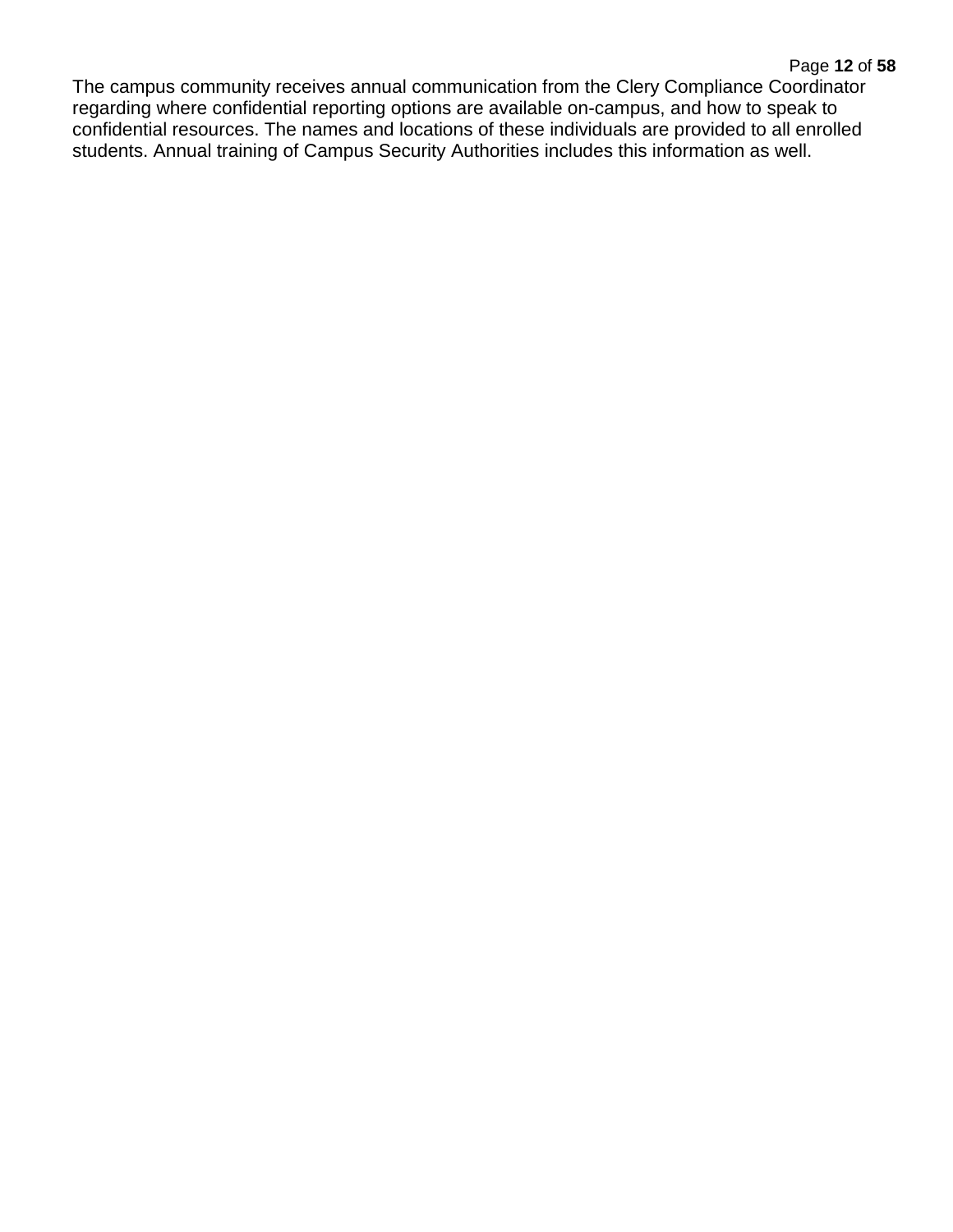#### Page **12** of **58**

The campus community receives annual communication from the Clery Compliance Coordinator regarding where confidential reporting options are available on-campus, and how to speak to confidential resources. The names and locations of these individuals are provided to all enrolled students. Annual training of Campus Security Authorities includes this information as well.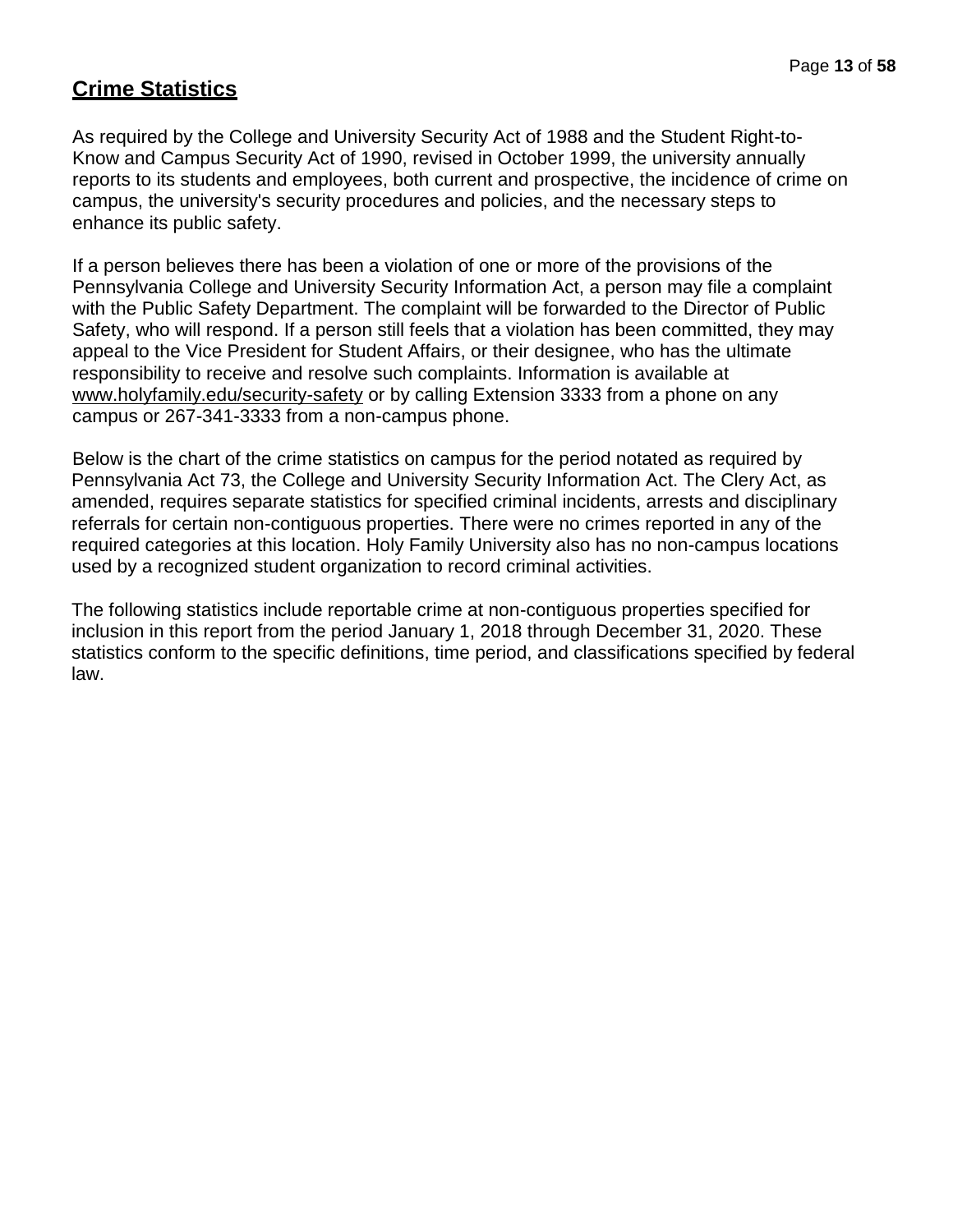# **Crime Statistics**

As required by the College and University Security Act of 1988 and the Student Right-to-Know and Campus Security Act of 1990, revised in October 1999, the university annually reports to its students and employees, both current and prospective, the incidence of crime on campus, the university's security procedures and policies, and the necessary steps to enhance its public safety.

If a person believes there has been a violation of one or more of the provisions of the Pennsylvania College and University Security Information Act, a person may file a complaint with the Public Safety Department. The complaint will be forwarded to the Director of Public Safety, who will respond. If a person still feels that a violation has been committed, they may appeal to the Vice President for Student Affairs, or their designee, who has the ultimate responsibility to receive and resolve such complaints. Information is available at [www.holyfamily.edu/security-safety](http://www.holyfamily.edu/security-safety) or by calling Extension 3333 from a phone on any campus or 267-341-3333 from a non-campus phone.

Below is the chart of the crime statistics on campus for the period notated as required by Pennsylvania Act 73, the College and University Security Information Act. The Clery Act, as amended, requires separate statistics for specified criminal incidents, arrests and disciplinary referrals for certain non-contiguous properties. There were no crimes reported in any of the required categories at this location. Holy Family University also has no non-campus locations used by a recognized student organization to record criminal activities.

The following statistics include reportable crime at non-contiguous properties specified for inclusion in this report from the period January 1, 2018 through December 31, 2020. These statistics conform to the specific definitions, time period, and classifications specified by federal law.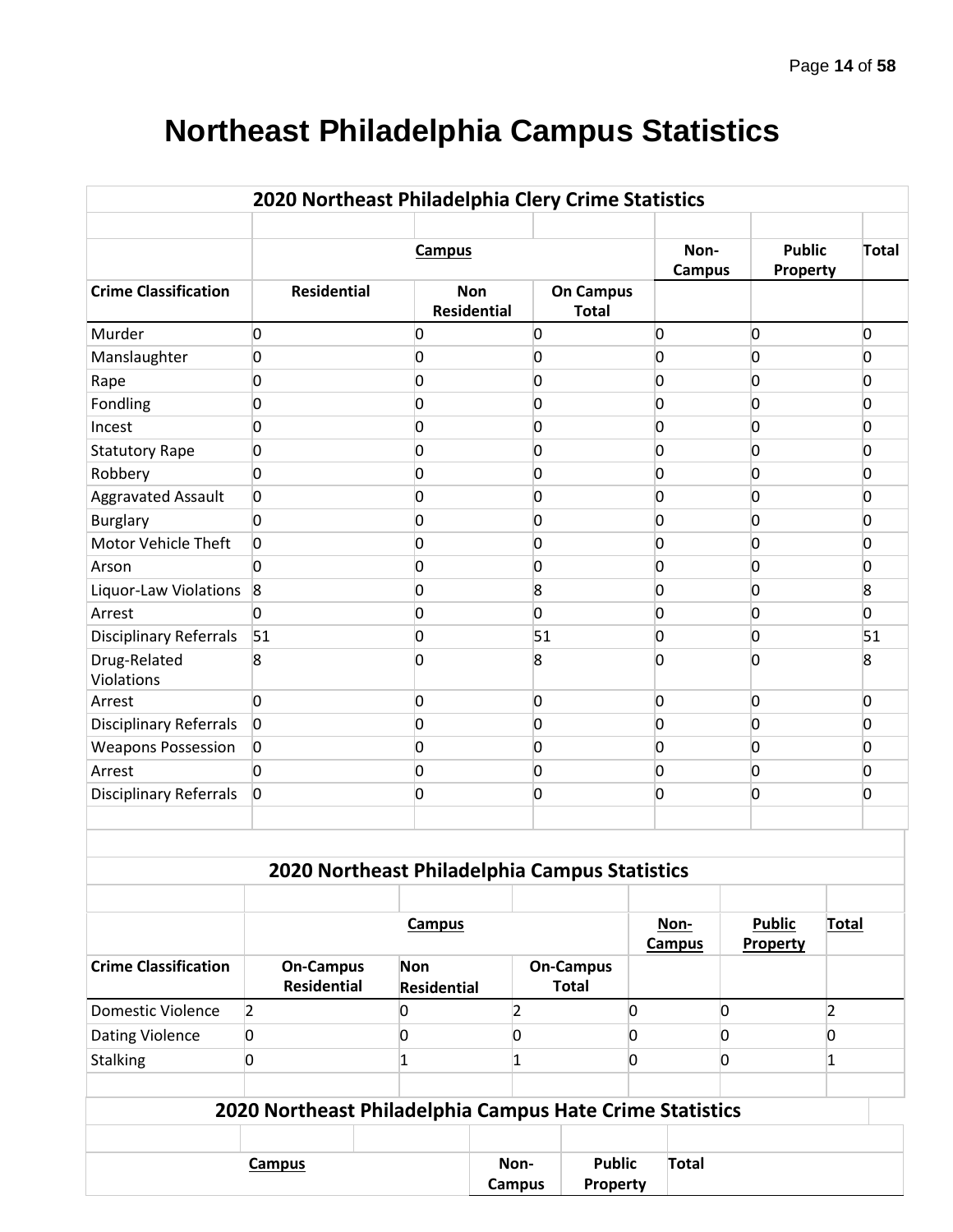# **Northeast Philadelphia Campus Statistics**

|                               | 2020 Northeast Philadelphia Clery Crime Statistics       |                           |                                  |                       |                                  |                |                       |   |                                  |                |                |
|-------------------------------|----------------------------------------------------------|---------------------------|----------------------------------|-----------------------|----------------------------------|----------------|-----------------------|---|----------------------------------|----------------|----------------|
|                               |                                                          | <b>Campus</b>             |                                  |                       |                                  |                | Non-<br><b>Campus</b> |   | <b>Public</b><br>Property        |                | <b>Total</b>   |
| <b>Crime Classification</b>   | <b>Residential</b>                                       |                           | <b>Non</b><br><b>Residential</b> |                       | <b>On Campus</b><br><b>Total</b> |                |                       |   |                                  |                |                |
| Murder                        | 0                                                        | 0                         |                                  | 0                     |                                  | 0              |                       |   | 0                                |                | 0              |
| Manslaughter                  | 0                                                        | 0                         |                                  | 0                     |                                  | 0              |                       |   | 0                                |                | 0              |
| Rape                          | 0                                                        | 0                         |                                  | O                     |                                  | 0              |                       |   | O                                |                | 0              |
| Fondling                      | 0                                                        | 0                         |                                  | 0                     |                                  | 0              |                       |   | O                                |                | 0              |
| Incest                        | 0                                                        | 0                         |                                  | <sup>0</sup>          |                                  | 0              |                       |   | O                                |                | 0              |
| <b>Statutory Rape</b>         | 0                                                        | 0                         |                                  | 0                     |                                  | 0              |                       |   | O                                |                | 0              |
| Robbery                       | 0                                                        | 0                         |                                  | O                     |                                  | 0              |                       |   | O                                |                | 0              |
| Aggravated Assault            | 0                                                        | 0                         |                                  | 0                     |                                  | 0              |                       |   | O                                |                | 0              |
| <b>Burglary</b>               | 0                                                        | 0                         |                                  | O                     |                                  | 0              |                       |   | Ω                                |                | 0              |
| Motor Vehicle Theft           | 0                                                        | 0                         |                                  | O                     |                                  | 0              |                       |   | O                                |                | 0              |
| Arson                         | <sup>0</sup>                                             | 0                         |                                  | <sup>0</sup>          |                                  | 0              |                       |   | Ω                                |                | 0              |
| Liquor-Law Violations         | $\mathbf{8}$                                             | 0                         |                                  | 8                     |                                  | 0              |                       |   | Ω                                |                | 8              |
| Arrest                        | O                                                        | 0                         |                                  | <sup>0</sup>          |                                  | 0              |                       |   | Ω                                |                | O.             |
| <b>Disciplinary Referrals</b> | 51                                                       | 0                         |                                  | 51                    |                                  | 0              |                       |   | O                                |                | 51             |
| Drug-Related<br>Violations    | 8                                                        | O                         |                                  | 8                     |                                  | 0              |                       |   | n                                |                | 8              |
| Arrest                        | O                                                        | 0                         |                                  | 0                     |                                  | 0              |                       |   | 0                                |                | O              |
| <b>Disciplinary Referrals</b> | $\overline{0}$                                           | 0                         |                                  | 0                     |                                  | 0              |                       |   | 0                                |                | $\overline{0}$ |
| <b>Weapons Possession</b>     | $\overline{0}$                                           | 0                         |                                  | 0                     |                                  | 0              |                       |   | 0                                |                | $\overline{0}$ |
| Arrest                        | 0                                                        | 0                         |                                  | 0                     |                                  | 0              |                       |   | 0                                |                | $\overline{0}$ |
| <b>Disciplinary Referrals</b> | $\overline{0}$                                           | 0                         |                                  | 0                     |                                  | 0              |                       |   | 0                                |                | $\overline{0}$ |
|                               |                                                          |                           |                                  |                       |                                  |                |                       |   |                                  |                |                |
|                               | 2020 Northeast Philadelphia Campus Statistics            |                           |                                  |                       |                                  |                |                       |   |                                  |                |                |
|                               |                                                          | <b>Campus</b>             |                                  |                       |                                  |                | Non-<br><b>Campus</b> |   | <b>Public</b><br><b>Property</b> | <b>Total</b>   |                |
| <b>Crime Classification</b>   | <b>On-Campus</b><br><b>Residential</b>                   | Non<br><b>Residential</b> |                                  |                       | <b>On-Campus</b><br><b>Total</b> |                |                       |   |                                  |                |                |
| <b>Domestic Violence</b>      | $\overline{2}$                                           | 0                         |                                  | $\overline{2}$        |                                  | $\overline{0}$ |                       | 0 |                                  | $\overline{2}$ |                |
| <b>Dating Violence</b>        | 0                                                        | 0                         |                                  | 0                     |                                  | 0              |                       | 0 |                                  | 0              |                |
| <b>Stalking</b>               | 0                                                        | 1                         |                                  | 1                     |                                  | 0              |                       | 0 |                                  | 1              |                |
|                               | 2020 Northeast Philadelphia Campus Hate Crime Statistics |                           |                                  |                       |                                  |                |                       |   |                                  |                |                |
|                               |                                                          |                           |                                  |                       |                                  |                |                       |   |                                  |                |                |
|                               | <b>Campus</b>                                            |                           |                                  | Non-<br><b>Campus</b> | <b>Public</b><br>Property        |                | <b>Total</b>          |   |                                  |                |                |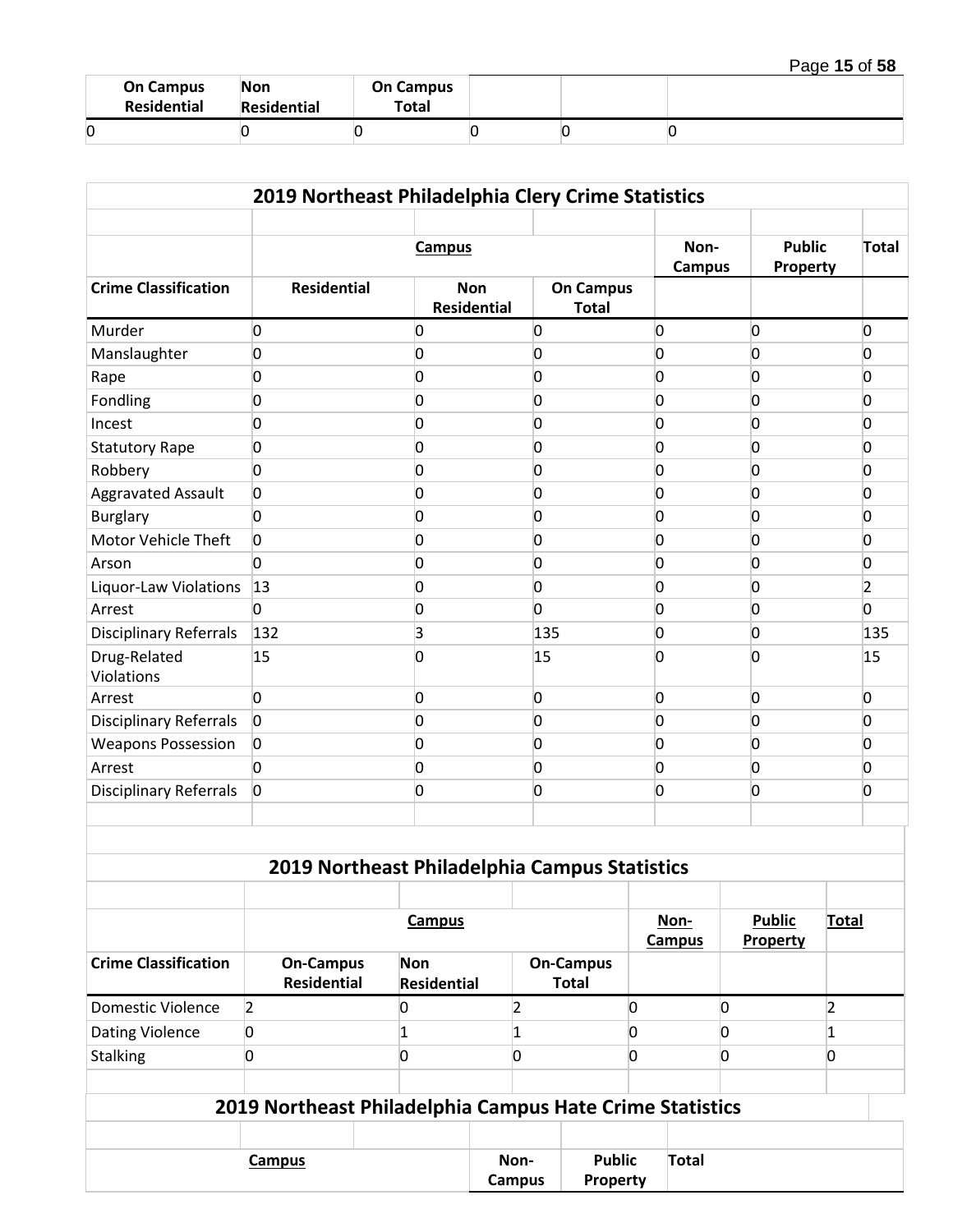| Page 15 of 58 |  |  |  |
|---------------|--|--|--|
|---------------|--|--|--|

| <b>On Campus</b><br>Residential | <b>Non</b><br>Residential | <b>On Campus</b><br>Total |  |  |
|---------------------------------|---------------------------|---------------------------|--|--|
|                                 |                           |                           |  |  |

| 2019 Northeast Philadelphia Clery Crime Statistics |                    |                                  |                                  |                           |                |                |  |  |
|----------------------------------------------------|--------------------|----------------------------------|----------------------------------|---------------------------|----------------|----------------|--|--|
|                                                    |                    | <b>Campus</b>                    | Non-<br><b>Campus</b>            | <b>Public</b><br>Property | <b>Total</b>   |                |  |  |
| <b>Crime Classification</b>                        | <b>Residential</b> | <b>Non</b><br><b>Residential</b> | <b>On Campus</b><br><b>Total</b> |                           |                |                |  |  |
| Murder                                             | 0                  | $\Omega$                         | $\Omega$                         | 0                         | $\overline{0}$ | $\overline{0}$ |  |  |
| Manslaughter                                       | 0                  | $\overline{0}$                   | $\Omega$                         | 0                         | $\Omega$       | <sup>0</sup>   |  |  |
| Rape                                               | 0                  | $\overline{0}$                   | $\overline{0}$                   | $\overline{0}$            | $\Omega$       | <sup>0</sup>   |  |  |
| Fondling                                           | 0                  | 0                                | 0                                | 0                         | 0              | n              |  |  |
| Incest                                             | 0                  | $\overline{0}$                   | 0                                | 0                         | $\Omega$       | n              |  |  |
| <b>Statutory Rape</b>                              | 0                  | 0                                | 0                                | $\overline{0}$            | $\Omega$       | <sup>0</sup>   |  |  |
| Robbery                                            | 0                  | 0                                | 0                                | 0                         | 0              | 0              |  |  |
| <b>Aggravated Assault</b>                          | 0                  | 0                                | 0                                | 0                         | $\Omega$       | <sup>0</sup>   |  |  |
| <b>Burglary</b>                                    | 0                  | $\overline{0}$                   | 0                                | 0                         | 0              | n              |  |  |
| Motor Vehicle Theft                                | 0                  | 0                                | 0                                | 0                         | $\Omega$       | <sup>0</sup>   |  |  |
| Arson                                              | 0                  | 0                                | 0                                | 0                         | 0              | <sup>0</sup>   |  |  |
| Liquor-Law Violations                              | 13                 | 0                                | $\overline{0}$                   | 0                         | $\Omega$       | 2              |  |  |
| Arrest                                             | 0                  | 0                                | 0                                | 0                         | 0              | <sup>0</sup>   |  |  |
| <b>Disciplinary Referrals</b>                      | 132                | 3                                | 135                              | 0                         | 0              | 135            |  |  |
| Drug-Related<br>Violations                         | 15                 | $\overline{0}$                   | 15                               | 0                         | 0              | 15             |  |  |
| Arrest                                             | 0                  | 0                                | 0                                | 0                         | 0              | $\overline{0}$ |  |  |
| <b>Disciplinary Referrals</b>                      | $\overline{0}$     | 0                                | 0                                | 0                         | 0              | n              |  |  |
| <b>Weapons Possession</b>                          | 0                  | 0                                | $\mathbf{0}$                     | 0                         | $\Omega$       | <sup>0</sup>   |  |  |
| Arrest                                             | 0                  | 0                                | $\mathbf{0}$                     | 0                         | 0              | <sup>0</sup>   |  |  |
| <b>Disciplinary Referrals</b>                      | $\overline{0}$     | 0                                | 0                                | 0                         | 0              | n              |  |  |

| 2019 Northeast Philadelphia Campus Statistics |  |  |
|-----------------------------------------------|--|--|
|                                               |  |  |

|                             | <b>Campus</b>                   |                           |                                  |  | <b>Public</b><br>Property | <b>Total</b> |
|-----------------------------|---------------------------------|---------------------------|----------------------------------|--|---------------------------|--------------|
| <b>Crime Classification</b> | <b>On-Campus</b><br>Residential | <b>Non</b><br>Residential | <b>On-Campus</b><br><b>Total</b> |  |                           |              |
| <b>Domestic Violence</b>    |                                 |                           |                                  |  |                           |              |
| <b>Dating Violence</b>      |                                 |                           |                                  |  |                           |              |
| <b>Stalking</b>             |                                 |                           |                                  |  |                           |              |
|                             |                                 |                           |                                  |  |                           |              |

| 2019 Northeast Philadelphia Campus Hate Crime Statistics |  |      |               |                 |  |  |  |  |
|----------------------------------------------------------|--|------|---------------|-----------------|--|--|--|--|
|                                                          |  |      |               |                 |  |  |  |  |
| Campus                                                   |  | Non- | <b>Public</b> | Total           |  |  |  |  |
|                                                          |  |      | <b>Campus</b> | <b>Property</b> |  |  |  |  |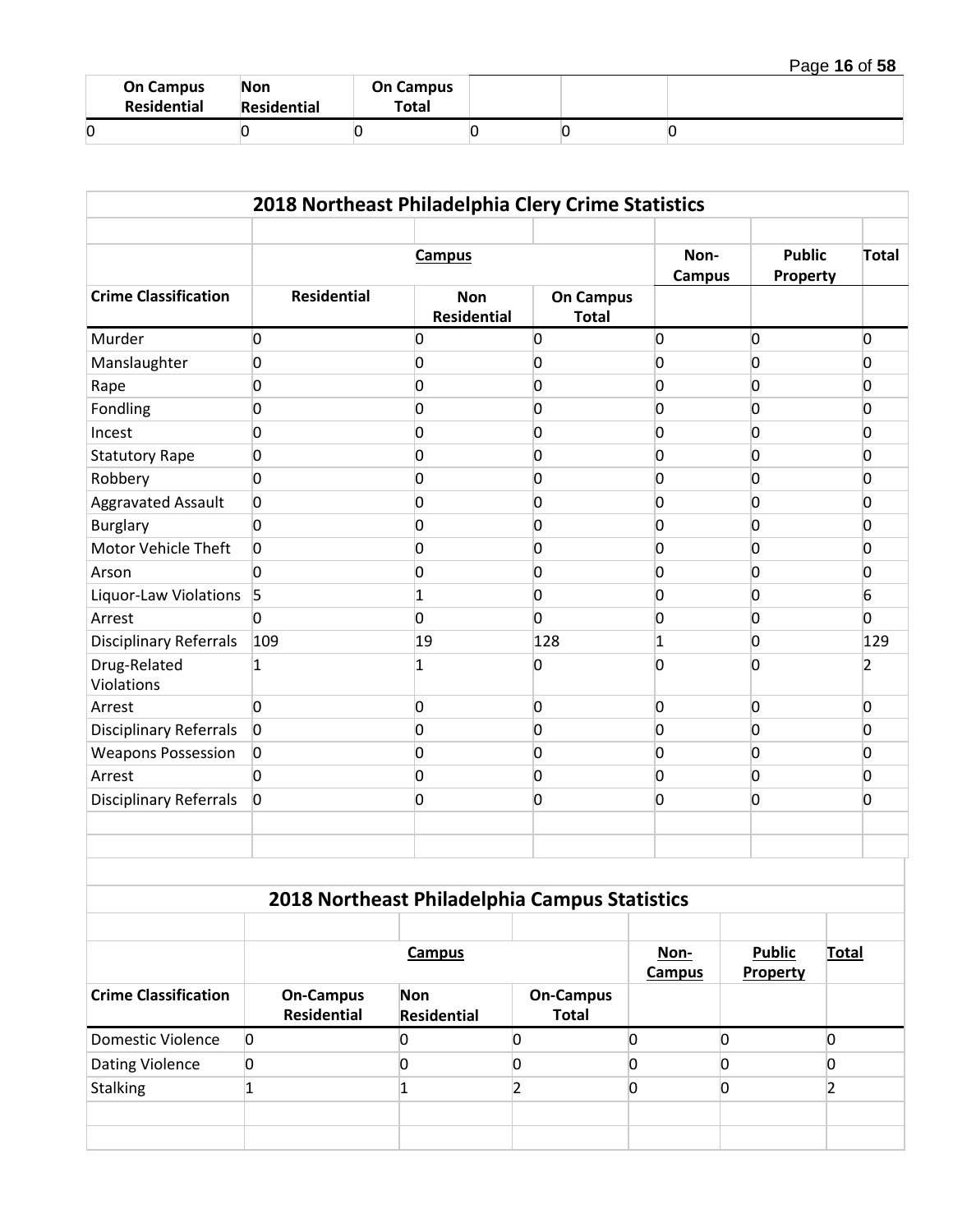| Page 16 of 58 |  |  |  |
|---------------|--|--|--|
|---------------|--|--|--|

| <b>On Campus</b><br>Residential | <b>Non</b><br>Residential | <b>On Campus</b><br>Total |  |  |
|---------------------------------|---------------------------|---------------------------|--|--|
|                                 |                           |                           |  |  |

|                               | 2018 Northeast Philadelphia Clery Crime Statistics |                                               |                                  |                           |                |                |
|-------------------------------|----------------------------------------------------|-----------------------------------------------|----------------------------------|---------------------------|----------------|----------------|
|                               |                                                    | <b>Campus</b>                                 | Non-<br><b>Campus</b>            | <b>Public</b><br>Property | Total          |                |
| <b>Crime Classification</b>   | <b>Residential</b>                                 | <b>Non</b><br><b>Residential</b>              | <b>On Campus</b><br><b>Total</b> |                           |                |                |
| Murder                        | 0                                                  | $\overline{0}$                                | 0                                | 0                         | 0              | $\overline{0}$ |
| Manslaughter                  | 0                                                  | $\overline{0}$                                | 0                                | 0                         | $\Omega$       | <sup>0</sup>   |
| Rape                          | 0                                                  | $\overline{0}$                                | 0                                | 0                         | 0              | $\overline{0}$ |
| Fondling                      | 0                                                  | $\overline{0}$                                | 0                                | 0                         | $\Omega$       | <sup>o</sup>   |
| Incest                        | 0                                                  | $\overline{0}$                                | 0                                | 0                         | 0              | 0              |
| <b>Statutory Rape</b>         | 0                                                  | $\overline{0}$                                | 0                                | 0                         | $\Omega$       | <sup>o</sup>   |
| Robbery                       | 0                                                  | $\overline{0}$                                | 0                                | 0                         | $\Omega$       | 0              |
| <b>Aggravated Assault</b>     | 0                                                  | $\overline{0}$                                | 0                                | 0                         | 0              | 0              |
| <b>Burglary</b>               | 0                                                  | $\overline{0}$                                | 0                                | 0                         | $\Omega$       | <sup>o</sup>   |
| Motor Vehicle Theft           | 0                                                  | $\overline{0}$                                | 0                                | 0                         | $\Omega$       | <sup>o</sup>   |
| Arson                         | 0                                                  | $\overline{0}$                                | 0                                | 0                         | $\overline{0}$ | 0              |
| Liquor-Law Violations         | 5                                                  | $\mathbf{1}$                                  | 0                                | 0                         | 0              | 6              |
| Arrest                        | <sup>0</sup>                                       | $\overline{0}$                                | <sup>0</sup>                     | 0                         | $\Omega$       | $\overline{0}$ |
| <b>Disciplinary Referrals</b> | 109                                                | 19                                            | 128                              | $\mathbf{1}$              | $\overline{0}$ | 129            |
| Drug-Related<br>Violations    | 1                                                  | $\mathbf{1}$                                  | 0                                | 0                         | <sup>0</sup>   | 2              |
| Arrest                        | 0                                                  | $\overline{0}$                                | 0                                | 0                         | $\overline{0}$ | $\overline{0}$ |
| <b>Disciplinary Referrals</b> | $\overline{0}$                                     | $\overline{0}$                                | 0                                | 0                         | $\Omega$       | <sup>0</sup>   |
| <b>Weapons Possession</b>     | 0                                                  | $\overline{0}$                                | 0                                | 0                         | $\Omega$       | <sup>0</sup>   |
| Arrest                        | 0                                                  | $\overline{0}$                                | 0                                | 0                         | $\Omega$       | 0              |
| <b>Disciplinary Referrals</b> | $\overline{0}$                                     | $\overline{0}$                                | 0                                | 0                         | $\overline{0}$ | <sup>0</sup>   |
|                               |                                                    |                                               |                                  |                           |                |                |
|                               |                                                    | 2018 Northeast Philadelphia Campus Statistics |                                  |                           |                |                |
|                               |                                                    |                                               |                                  |                           |                |                |

|                             |                |                                        | <b>Campus</b>                    |                                  | Non-<br><b>Campus</b> | <b>Public</b><br>Property | <b>Total</b> |
|-----------------------------|----------------|----------------------------------------|----------------------------------|----------------------------------|-----------------------|---------------------------|--------------|
| <b>Crime Classification</b> |                | <b>On-Campus</b><br><b>Residential</b> | <b>Non</b><br><b>Residential</b> | <b>On-Campus</b><br><b>Total</b> |                       |                           |              |
| Domestic Violence           | $\overline{0}$ |                                        |                                  |                                  |                       |                           |              |
| <b>Dating Violence</b>      | 0              |                                        |                                  |                                  |                       |                           |              |
| Stalking                    |                |                                        |                                  |                                  |                       |                           |              |
|                             |                |                                        |                                  |                                  |                       |                           |              |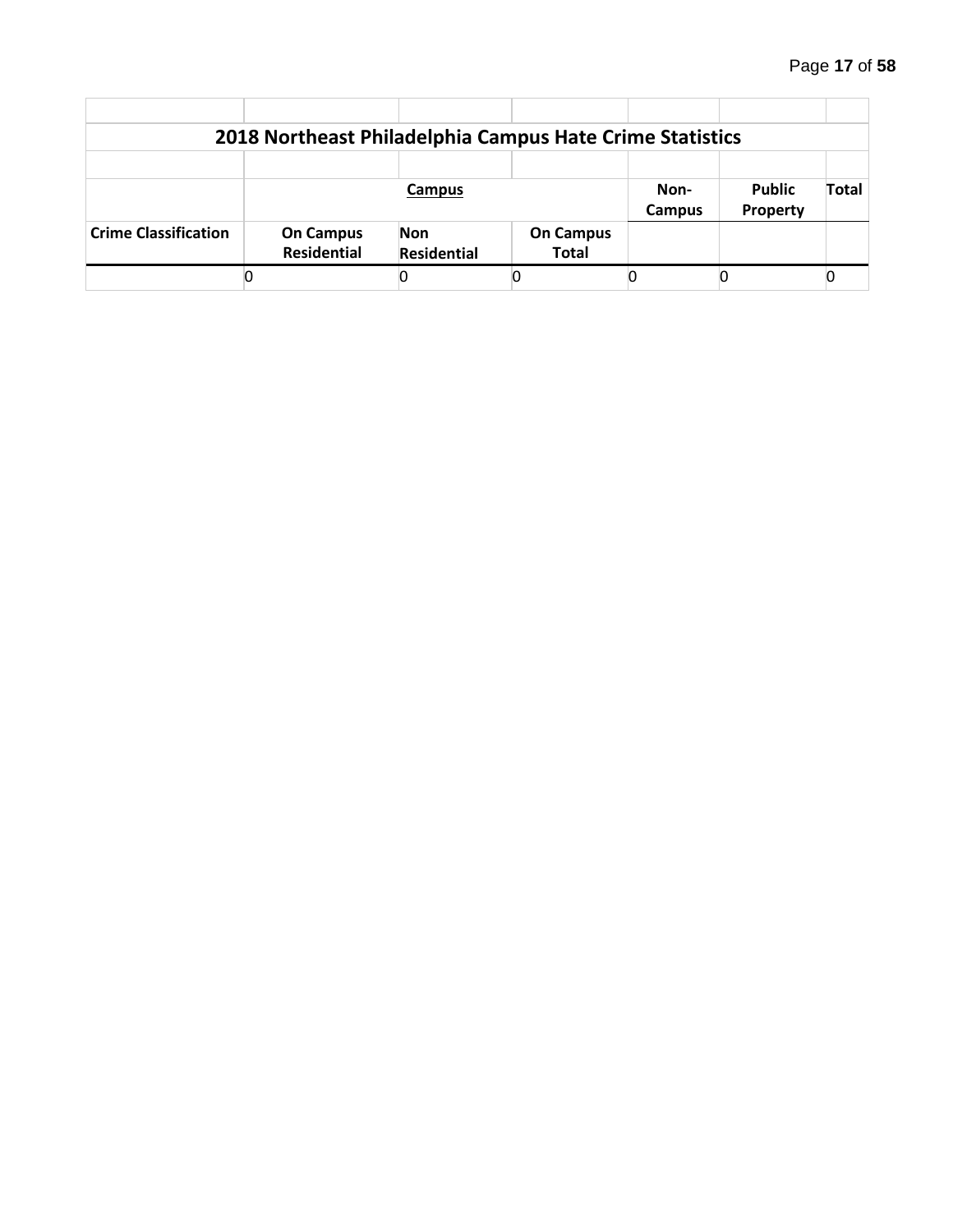|                             | 2018 Northeast Philadelphia Campus Hate Crime Statistics |                    |                  |        |               |       |  |  |  |
|-----------------------------|----------------------------------------------------------|--------------------|------------------|--------|---------------|-------|--|--|--|
|                             |                                                          |                    |                  |        |               |       |  |  |  |
|                             |                                                          | Campus             |                  | Non-   | <b>Public</b> | Total |  |  |  |
|                             |                                                          |                    |                  | Campus | Property      |       |  |  |  |
| <b>Crime Classification</b> | <b>On Campus</b>                                         | <b>Non</b>         | <b>On Campus</b> |        |               |       |  |  |  |
|                             | <b>Residential</b>                                       | <b>Residential</b> | <b>Total</b>     |        |               |       |  |  |  |
|                             |                                                          |                    |                  |        |               |       |  |  |  |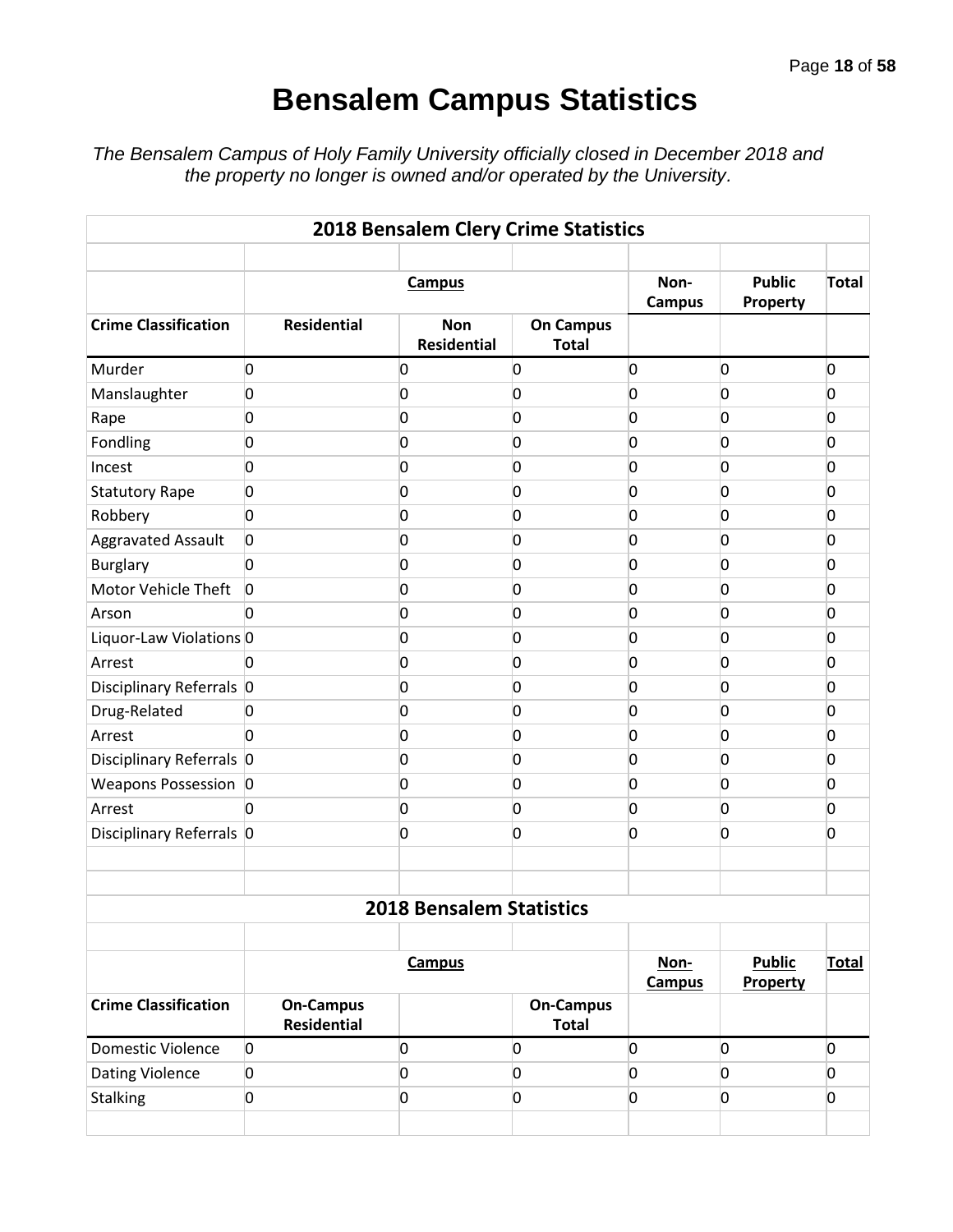# **Bensalem Campus Statistics**

*The Bensalem Campus of Holy Family University officially closed in December 2018 and the property no longer is owned and/or operated by the University.*

| 2018 Bensalem Clery Crime Statistics |                                        |                                  |                                  |                       |                                  |                |  |  |  |  |  |
|--------------------------------------|----------------------------------------|----------------------------------|----------------------------------|-----------------------|----------------------------------|----------------|--|--|--|--|--|
|                                      |                                        | <b>Campus</b>                    |                                  | Non-<br><b>Campus</b> | <b>Public</b><br><b>Property</b> | Total          |  |  |  |  |  |
| <b>Crime Classification</b>          | <b>Residential</b>                     | <b>Non</b><br><b>Residential</b> | <b>On Campus</b><br><b>Total</b> |                       |                                  |                |  |  |  |  |  |
| Murder                               | 0                                      | $\overline{0}$                   | 0                                | 0                     | 0                                | $\overline{0}$ |  |  |  |  |  |
| Manslaughter                         | 0                                      | 0                                | $\overline{0}$                   | 0                     | $\mathbf{0}$                     | 0              |  |  |  |  |  |
| Rape                                 | 0                                      | 0                                | 0                                | 0                     | 0                                | 0              |  |  |  |  |  |
| Fondling                             | 0                                      | 0                                | 0                                | 0                     | <sup>0</sup>                     | 0              |  |  |  |  |  |
| Incest                               | 0                                      | 0                                | 0                                | 0                     | 0                                | 0              |  |  |  |  |  |
| <b>Statutory Rape</b>                | 0                                      | 0                                | 0                                | 0                     | 0                                | 0              |  |  |  |  |  |
| Robbery                              | 0                                      | 0                                | 0                                | 0                     | $\mathbf{0}$                     | 0              |  |  |  |  |  |
| <b>Aggravated Assault</b>            | 0                                      | 0                                | 0                                | 0                     | <sup>0</sup>                     | 0              |  |  |  |  |  |
| <b>Burglary</b>                      | 0                                      | $\overline{0}$                   | 0                                | 0                     | 0                                | 0              |  |  |  |  |  |
| Motor Vehicle Theft                  | $\overline{0}$                         | 0                                | 0                                | 0                     | 0                                | 0              |  |  |  |  |  |
| Arson                                | 0                                      | $\overline{0}$                   | 0                                | 0                     | 0                                | 0              |  |  |  |  |  |
| Liquor-Law Violations 0              |                                        | 0                                | 0                                | 0                     | $\mathbf{0}$                     | 0              |  |  |  |  |  |
| Arrest                               | <sup>0</sup>                           | 0                                | 0                                | 0                     | 0                                | 0              |  |  |  |  |  |
| Disciplinary Referrals 0             |                                        | 0                                | 0                                | 0                     | 0                                | 0              |  |  |  |  |  |
| Drug-Related                         | $\overline{0}$                         | 0                                | 0                                | 0                     | $\mathbf{0}$                     | 0              |  |  |  |  |  |
| Arrest                               | 0                                      | 0                                | 0                                | 0                     | $\overline{0}$                   | 0              |  |  |  |  |  |
| Disciplinary Referrals 0             |                                        | 0                                | 0                                | 0                     | <sup>0</sup>                     | 0              |  |  |  |  |  |
| Weapons Possession 0                 |                                        | 0                                | 0                                | 0                     | 0                                | 0              |  |  |  |  |  |
| Arrest                               | 0                                      | 0                                | 0                                | 0                     | 0                                | 0              |  |  |  |  |  |
| Disciplinary Referrals 0             |                                        | 0                                | 0                                | 0                     | $\mathbf{0}$                     | 0              |  |  |  |  |  |
|                                      |                                        |                                  |                                  |                       |                                  |                |  |  |  |  |  |
|                                      |                                        |                                  |                                  |                       |                                  |                |  |  |  |  |  |
|                                      |                                        | <b>2018 Bensalem Statistics</b>  |                                  |                       |                                  |                |  |  |  |  |  |
|                                      |                                        |                                  |                                  |                       |                                  |                |  |  |  |  |  |
|                                      |                                        | <b>Campus</b>                    |                                  | Non-<br><b>Campus</b> | <b>Public</b><br>Property        | <b>Total</b>   |  |  |  |  |  |
| <b>Crime Classification</b>          | <b>On-Campus</b><br><b>Residential</b> |                                  | <b>On-Campus</b><br><b>Total</b> |                       |                                  |                |  |  |  |  |  |
| Domestic Violence                    | $\overline{0}$                         | 0                                | 0                                | $\overline{0}$        | 0                                | 0              |  |  |  |  |  |
| Dating Violence                      | $\overline{0}$                         | 0                                | $\overline{0}$                   | 0                     | O                                | $\overline{0}$ |  |  |  |  |  |
| <b>Stalking</b>                      | 0                                      | O                                | 0                                | 0                     | 0                                | 0              |  |  |  |  |  |
|                                      |                                        |                                  |                                  |                       |                                  |                |  |  |  |  |  |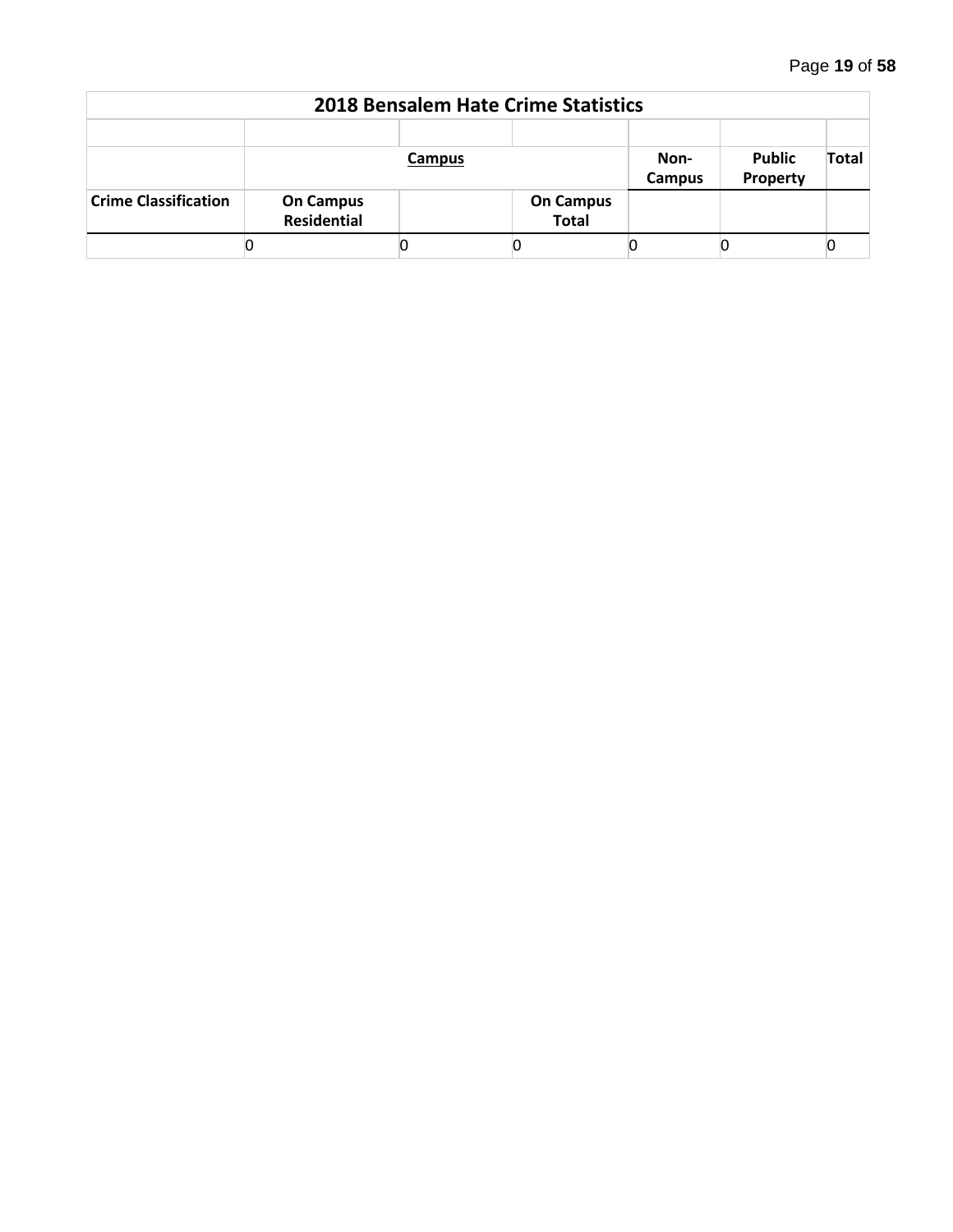| <b>2018 Bensalem Hate Crime Statistics</b> |                                        |        |                                  |        |               |              |  |  |  |  |  |
|--------------------------------------------|----------------------------------------|--------|----------------------------------|--------|---------------|--------------|--|--|--|--|--|
|                                            |                                        | Campus |                                  | Non-   | <b>Public</b> | <b>Total</b> |  |  |  |  |  |
|                                            |                                        |        |                                  | Campus | Property      |              |  |  |  |  |  |
| <b>Crime Classification</b>                | <b>On Campus</b><br><b>Residential</b> |        | <b>On Campus</b><br><b>Total</b> |        |               |              |  |  |  |  |  |
|                                            |                                        |        |                                  |        |               |              |  |  |  |  |  |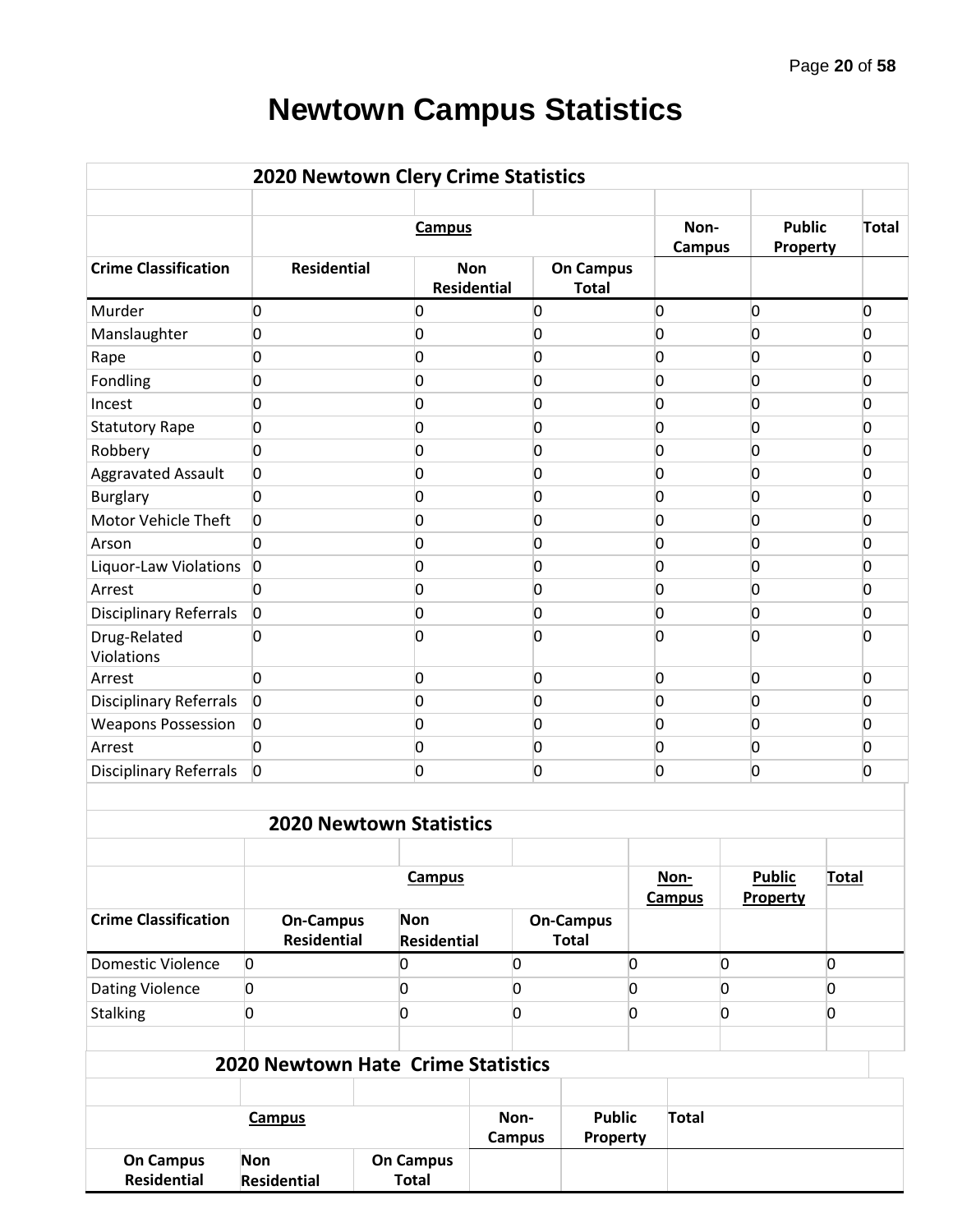# **Newtown Campus Statistics**

| <b>2020 Newtown Clery Crime Statistics</b> |                                           |                                  |                                  |                |                                  |                |                       |                |                           |                |              |
|--------------------------------------------|-------------------------------------------|----------------------------------|----------------------------------|----------------|----------------------------------|----------------|-----------------------|----------------|---------------------------|----------------|--------------|
|                                            |                                           | <b>Campus</b>                    |                                  |                |                                  |                | Non-<br><b>Campus</b> |                | <b>Public</b><br>Property |                | <b>Total</b> |
| <b>Crime Classification</b>                | <b>Residential</b>                        |                                  | <b>Non</b><br><b>Residential</b> |                | <b>On Campus</b><br><b>Total</b> |                |                       |                |                           |                |              |
| Murder                                     | 0                                         | 0                                |                                  | 0              |                                  | 0              |                       | 0              |                           |                | 0            |
| Manslaughter                               | 0                                         | 0                                |                                  | 0              |                                  | 0              |                       | <sup>0</sup>   |                           |                | 0            |
| Rape                                       | 0                                         | 0                                |                                  | 0              |                                  | 0              |                       | O              |                           |                | 0            |
| Fondling                                   | 0                                         | 0                                |                                  | 0              |                                  | 0              |                       | O              |                           |                | 0            |
| Incest                                     | 0                                         | 0                                |                                  | 0              |                                  | 0              |                       | O              |                           |                | 0            |
| <b>Statutory Rape</b>                      | 0                                         | 0                                |                                  | 0              |                                  | 0              |                       | O              |                           |                | 0            |
| Robbery                                    | 0                                         | 0                                |                                  | 0              |                                  | 0              |                       | 0              |                           |                | 0            |
| Aggravated Assault                         | 0                                         | 0                                |                                  | 0              |                                  | 0              |                       | O              |                           |                | 0            |
| <b>Burglary</b>                            | $\overline{0}$                            | 0                                |                                  | 0              |                                  | 0              |                       | 0              |                           |                | 0            |
| Motor Vehicle Theft                        | $\overline{0}$                            | 0                                |                                  | 0              |                                  | 0              |                       | 0              |                           |                | 0            |
| Arson                                      | 0                                         | 0                                |                                  | 0              |                                  | 0              |                       | 0              |                           |                | 0            |
| Liquor-Law Violations                      | $\overline{0}$                            | 0                                |                                  | 0              |                                  | 0              |                       | 0              |                           |                | 0            |
| Arrest                                     | $\overline{0}$                            | 0                                |                                  | 0              |                                  | 0              |                       | 0              |                           |                | 0            |
| <b>Disciplinary Referrals</b>              | $\overline{0}$                            | 0                                |                                  | 0              |                                  | 0              |                       | 0              |                           |                | O            |
| Drug-Related<br>Violations                 | 0                                         | O                                |                                  | 0              |                                  | 0              |                       | <sup>0</sup>   |                           |                | <sup>0</sup> |
| Arrest                                     | $\overline{0}$                            | 0                                |                                  | 0              |                                  | 0              |                       | 0              |                           |                | 0            |
| <b>Disciplinary Referrals</b>              | $\overline{0}$                            | 0                                |                                  | 0              |                                  | 0              |                       | 0              |                           |                | 0            |
| <b>Weapons Possession</b>                  | $\overline{0}$                            | 0                                |                                  | 0              |                                  | 0              |                       | $\overline{0}$ |                           |                | 0            |
| Arrest                                     | $\overline{0}$                            | 0                                |                                  | 0              |                                  | 0              |                       | $\overline{0}$ |                           |                | 0            |
| <b>Disciplinary Referrals</b>              | $\overline{0}$                            | $\overline{0}$                   |                                  | $\overline{0}$ |                                  | 0              |                       | $\overline{0}$ |                           |                | O            |
|                                            |                                           |                                  |                                  |                |                                  |                |                       |                |                           |                |              |
|                                            |                                           | <b>2020 Newtown Statistics</b>   |                                  |                |                                  |                |                       |                |                           |                |              |
|                                            |                                           | <b>Campus</b>                    |                                  |                |                                  |                | Non-                  |                | <b>Public</b>             | <b>Total</b>   |              |
|                                            |                                           |                                  |                                  |                |                                  |                | <b>Campus</b>         |                | Property                  |                |              |
| <b>Crime Classification</b>                | <b>On-Campus</b><br><b>Residential</b>    | <b>Non</b><br><b>Residential</b> |                                  |                | <b>On-Campus</b><br><b>Total</b> |                |                       |                |                           |                |              |
| <b>Domestic Violence</b>                   | 0                                         | 0                                | 0                                |                |                                  | $\overline{0}$ |                       | 0              |                           | $\overline{0}$ |              |
| Dating Violence                            | 0                                         | 0                                | 0                                |                |                                  | 0              |                       | 0              |                           | 0              |              |
|                                            | 0                                         | 0                                | 0                                |                |                                  | 0              |                       | 0              |                           | 0              |              |
| <b>Stalking</b>                            |                                           |                                  |                                  |                |                                  |                |                       |                |                           |                |              |
|                                            | <b>2020 Newtown Hate Crime Statistics</b> |                                  |                                  |                |                                  |                |                       |                |                           |                |              |
|                                            |                                           |                                  |                                  |                |                                  |                |                       |                |                           |                |              |
|                                            | <b>Campus</b>                             |                                  | Non-<br><b>Campus</b>            |                | <b>Public</b><br>Property        |                | <b>Total</b>          |                |                           |                |              |
| <b>On Campus</b><br><b>Residential</b>     | Non<br><b>Residential</b>                 | <b>On Campus</b><br><b>Total</b> |                                  |                |                                  |                |                       |                |                           |                |              |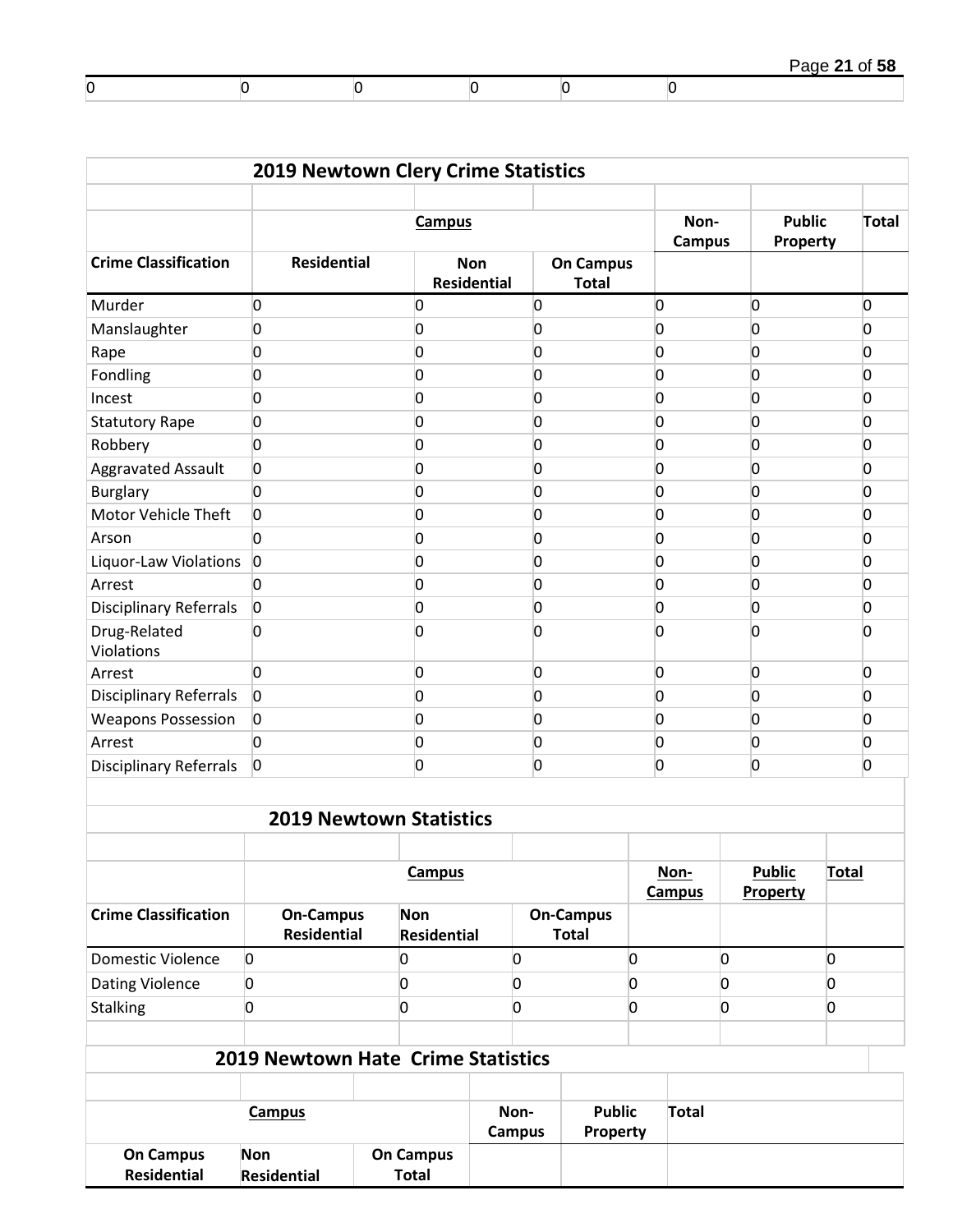|         |  |  | Page 21 of 58 |
|---------|--|--|---------------|
| C<br>IJ |  |  |               |

|                                 | 2019 Newtown Clery Crime Statistics       |                                  |                           |                       |                                  |                |                       |                           |                           |                |       |
|---------------------------------|-------------------------------------------|----------------------------------|---------------------------|-----------------------|----------------------------------|----------------|-----------------------|---------------------------|---------------------------|----------------|-------|
|                                 |                                           |                                  | <b>Campus</b>             |                       |                                  |                | Non-<br><b>Campus</b> |                           | <b>Public</b><br>Property |                | Total |
| <b>Crime Classification</b>     | <b>Residential</b>                        |                                  | <b>Non</b><br>Residential |                       | <b>On Campus</b><br><b>Total</b> |                |                       |                           |                           |                |       |
| Murder                          | 0                                         | 0                                |                           | 0                     |                                  | 0              |                       | 0                         |                           | 0              |       |
| Manslaughter                    | 0                                         | 0                                |                           | 0                     |                                  | 0              |                       | 0                         |                           | $\overline{0}$ |       |
| Rape                            | 0                                         | 0                                |                           | 0                     |                                  | 0              |                       | 0                         |                           | $\overline{0}$ |       |
| Fondling                        | 0                                         | 0                                |                           | 0                     |                                  | 0              |                       | 0                         |                           | 0              |       |
| Incest                          | 0                                         | 0                                |                           | 0                     |                                  | 0              |                       | 0                         |                           | $\overline{0}$ |       |
| <b>Statutory Rape</b>           | 0                                         | 0                                |                           | 0                     |                                  | 0              |                       | 0                         |                           | 0              |       |
| Robbery                         | $\overline{0}$                            | 0                                |                           | 0                     |                                  | 0              |                       | 0                         |                           | $\overline{0}$ |       |
| <b>Aggravated Assault</b>       | 0                                         | 0                                |                           | 0                     |                                  | 0              |                       | 0                         |                           | 0              |       |
| <b>Burglary</b>                 | 0                                         | 0                                |                           | 0                     |                                  | 0              |                       | 0                         |                           | $\overline{0}$ |       |
| <b>Motor Vehicle Theft</b>      | 0                                         | 0                                |                           | 0                     |                                  | 0              |                       | 0                         |                           | 0              |       |
| Arson                           | $\overline{0}$                            | 0                                |                           | 0                     |                                  | 0              |                       | 0                         |                           | $\overline{0}$ |       |
| Liquor-Law Violations           | $\overline{0}$                            | 0                                |                           | 0                     |                                  | 0              |                       | 0                         |                           | 0              |       |
| Arrest                          | 0                                         | 0                                |                           | 0                     |                                  | 0              |                       | 0                         |                           | 0              |       |
| <b>Disciplinary Referrals</b>   | $\overline{0}$                            | 0                                |                           | 0                     |                                  | 0              |                       | 0                         |                           | 0              |       |
| Drug-Related<br>Violations      | 0                                         | 0                                |                           | 0                     |                                  | 0              |                       | 0                         |                           | <sup>0</sup>   |       |
| Arrest                          | 0                                         | 0                                |                           | 0                     |                                  | 0              |                       | 0                         |                           | $\overline{0}$ |       |
| <b>Disciplinary Referrals</b>   | $\overline{0}$                            | 0                                |                           | 0                     |                                  | 0              |                       | 0                         |                           | $\overline{0}$ |       |
| <b>Weapons Possession</b>       | $\overline{0}$                            | 0                                |                           | 0                     |                                  | 0              |                       | 0                         |                           | <sup>0</sup>   |       |
| Arrest                          | $\Omega$                                  | 0                                |                           | 0                     |                                  | 0              |                       | 0                         |                           | 0              |       |
| <b>Disciplinary Referrals</b>   | $\overline{0}$                            | 0                                |                           | 0                     |                                  | 0              |                       | 0                         |                           | 0              |       |
|                                 |                                           |                                  |                           |                       |                                  |                |                       |                           |                           |                |       |
|                                 | <b>2019 Newtown Statistics</b>            |                                  |                           |                       |                                  |                |                       |                           |                           |                |       |
|                                 |                                           |                                  | <b>Campus</b>             |                       |                                  |                | Non-<br><b>Campus</b> | <b>Public</b><br>Property |                           | <b>Total</b>   |       |
| <b>Crime Classification</b>     | <b>On-Campus</b>                          | <b>Non</b>                       |                           |                       | <b>On-Campus</b>                 |                |                       |                           |                           |                |       |
|                                 | <b>Residential</b>                        |                                  | <b>Residential</b>        |                       | <b>Total</b>                     |                |                       |                           |                           |                |       |
| <b>Domestic Violence</b>        | $\overline{0}$                            | 0                                |                           | $\overline{0}$        |                                  | 0              |                       | 0                         |                           | 0              |       |
| Dating Violence                 | 0                                         | 0                                |                           | 0                     |                                  | 0              |                       | $\overline{0}$            |                           | 0              |       |
| Stalking                        | 0                                         | 0                                |                           | $\overline{0}$        |                                  | $\overline{0}$ |                       | 0                         |                           | 0              |       |
|                                 |                                           |                                  |                           |                       |                                  |                |                       |                           |                           |                |       |
|                                 | <b>2019 Newtown Hate Crime Statistics</b> |                                  |                           |                       |                                  |                |                       |                           |                           |                |       |
|                                 |                                           |                                  |                           |                       |                                  |                |                       |                           |                           |                |       |
|                                 | <b>Campus</b>                             |                                  |                           | Non-<br><b>Campus</b> | <b>Public</b><br>Property        |                | <b>Total</b>          |                           |                           |                |       |
| <b>On Campus</b><br>Residential | Non<br><b>Residential</b>                 | <b>On Campus</b><br><b>Total</b> |                           |                       |                                  |                |                       |                           |                           |                |       |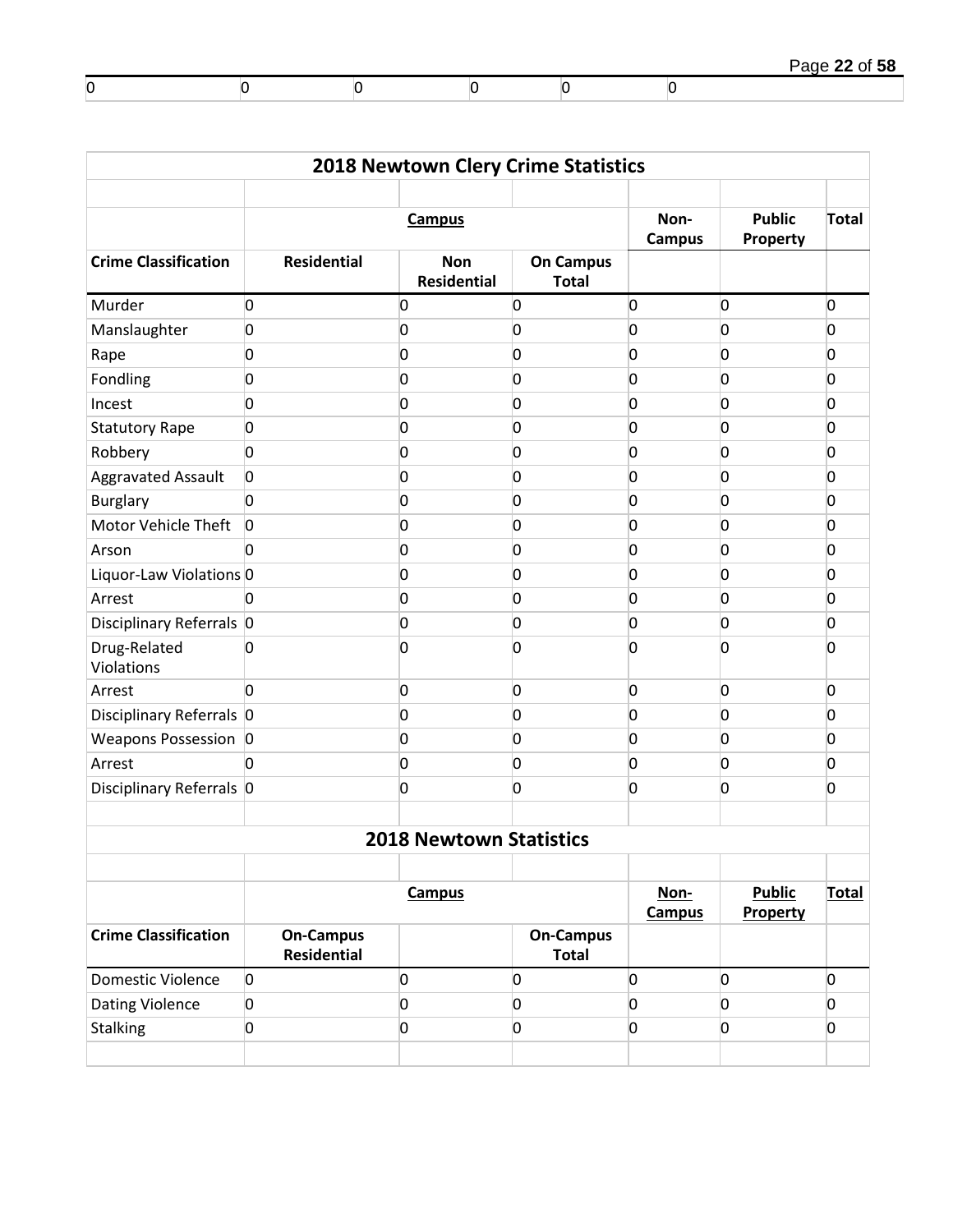|   |  |  | Page 22 of 58 |
|---|--|--|---------------|
| υ |  |  |               |

| <b>2018 Newtown Clery Crime Statistics</b> |                                        |                                  |                                  |                       |                           |                |  |  |  |  |  |  |
|--------------------------------------------|----------------------------------------|----------------------------------|----------------------------------|-----------------------|---------------------------|----------------|--|--|--|--|--|--|
|                                            |                                        | <b>Campus</b>                    |                                  | Non-<br><b>Campus</b> | <b>Public</b><br>Property | <b>Total</b>   |  |  |  |  |  |  |
| <b>Crime Classification</b>                | <b>Residential</b>                     | <b>Non</b><br><b>Residential</b> | <b>On Campus</b><br><b>Total</b> |                       |                           |                |  |  |  |  |  |  |
| Murder                                     | $\overline{0}$                         | 0                                | $\overline{0}$                   | 0                     | 0                         | 0              |  |  |  |  |  |  |
| Manslaughter                               | $\overline{0}$                         | 0                                | 0                                | 0                     | 0                         | 0              |  |  |  |  |  |  |
| Rape                                       | $\overline{0}$                         | 0                                | 0                                | 0                     | 0                         | 0              |  |  |  |  |  |  |
| Fondling                                   | $\overline{0}$                         | 0                                | 0                                | 0                     | 0                         | 0              |  |  |  |  |  |  |
| Incest                                     | $\overline{0}$                         | 0                                | 0                                | 0                     | 0                         | 0              |  |  |  |  |  |  |
| <b>Statutory Rape</b>                      | $\overline{0}$                         | 0                                | 0                                | 0                     | 0                         | 0              |  |  |  |  |  |  |
| Robbery                                    | $\overline{0}$                         | 0                                | 0                                | 0                     | 0                         | 0              |  |  |  |  |  |  |
| <b>Aggravated Assault</b>                  | $\overline{0}$                         | 0                                | 0                                | 0                     | 0                         | 0              |  |  |  |  |  |  |
| <b>Burglary</b>                            | $\overline{0}$                         | 0                                | 0                                | 0                     | 0                         | 0              |  |  |  |  |  |  |
| Motor Vehicle Theft                        | $\overline{0}$                         | 0                                | 0                                | 0                     | 0                         | 0              |  |  |  |  |  |  |
| Arson                                      | 0                                      | 0                                | 0                                | 0                     | 0                         | 0              |  |  |  |  |  |  |
| Liquor-Law Violations 0                    |                                        | 0                                | 0                                | 0                     | 0                         | 0              |  |  |  |  |  |  |
| Arrest                                     | $\overline{0}$                         | 0                                | $\overline{0}$                   | 0                     | 0                         | 0              |  |  |  |  |  |  |
| Disciplinary Referrals 0                   |                                        | 0                                | 0                                | 0                     | 0                         | 0              |  |  |  |  |  |  |
| Drug-Related<br>Violations                 | $\overline{0}$                         | 0                                | O                                | 0                     | 0                         | <sup>0</sup>   |  |  |  |  |  |  |
| Arrest                                     | $\overline{0}$                         | 0                                | $\overline{0}$                   | 0                     | $\overline{0}$            | 0              |  |  |  |  |  |  |
| Disciplinary Referrals 0                   |                                        | 0                                | 0                                | 0                     | 0                         | 0              |  |  |  |  |  |  |
| Weapons Possession 0                       |                                        | 0                                | 0                                | 0                     | 0                         | 0              |  |  |  |  |  |  |
| Arrest                                     | $\overline{0}$                         | 0                                | 0                                | 0                     | 0                         | 0              |  |  |  |  |  |  |
| Disciplinary Referrals 0                   |                                        | 0                                | $\overline{0}$                   | 0                     | 0                         | 0              |  |  |  |  |  |  |
|                                            |                                        | <b>2018 Newtown Statistics</b>   |                                  |                       |                           |                |  |  |  |  |  |  |
|                                            |                                        |                                  |                                  |                       |                           |                |  |  |  |  |  |  |
|                                            |                                        | <b>Campus</b>                    |                                  | Non-<br><b>Campus</b> | <b>Public</b><br>Property | <b>Total</b>   |  |  |  |  |  |  |
| <b>Crime Classification</b>                | <b>On-Campus</b><br><b>Residential</b> |                                  | <b>On-Campus</b><br><b>Total</b> |                       |                           |                |  |  |  |  |  |  |
| Domestic Violence                          | $\overline{0}$                         | 0                                | $\overline{0}$                   | 0                     | $\overline{0}$            | $\overline{0}$ |  |  |  |  |  |  |
| <b>Dating Violence</b>                     | $\overline{0}$                         | 0                                | $\overline{0}$                   | 0                     | 0                         | $\overline{0}$ |  |  |  |  |  |  |
| <b>Stalking</b>                            | $\overline{0}$                         | 0                                | $\overline{0}$                   | 0                     | $\overline{0}$            | $\overline{0}$ |  |  |  |  |  |  |
|                                            |                                        |                                  |                                  |                       |                           |                |  |  |  |  |  |  |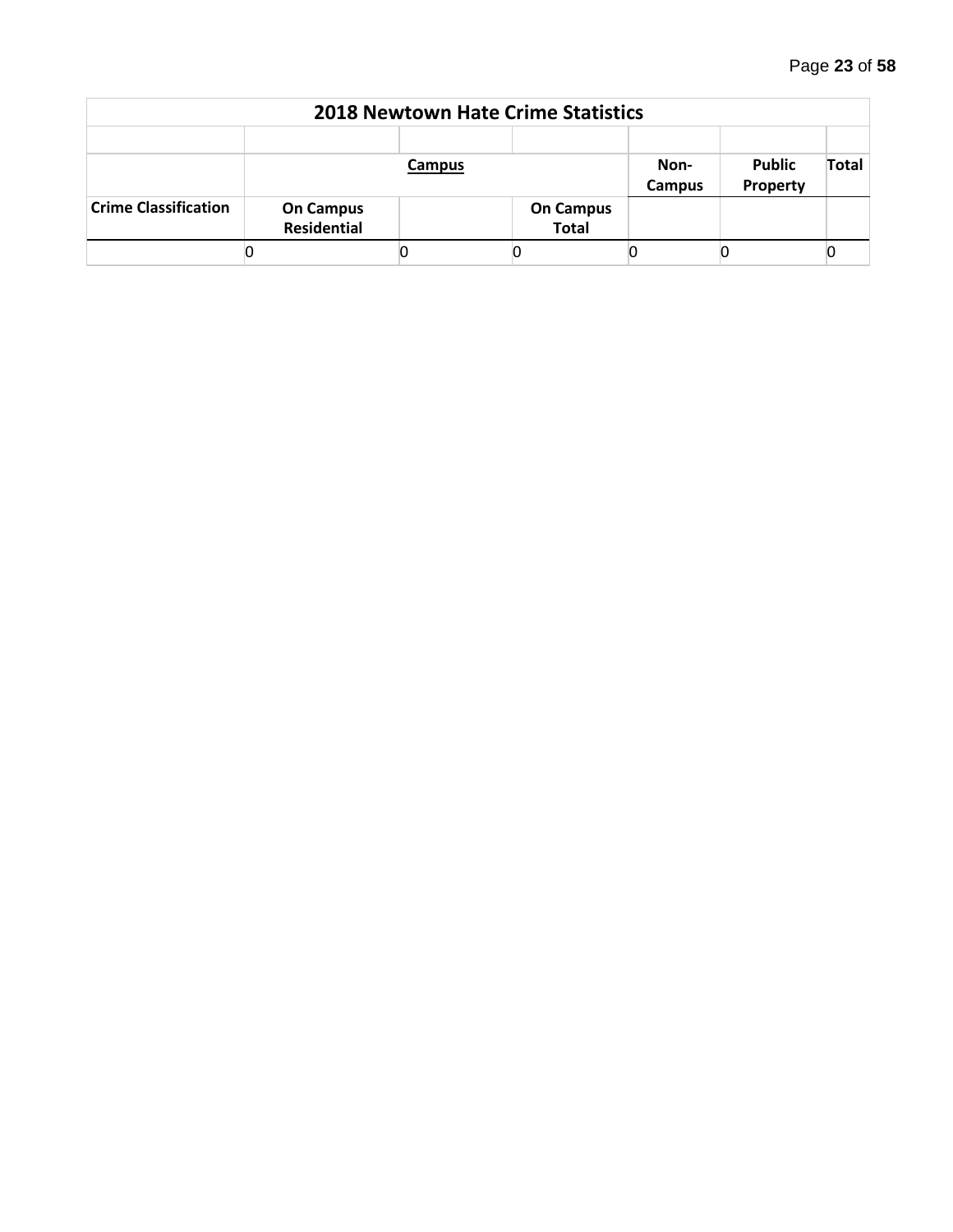| <b>2018 Newtown Hate Crime Statistics</b> |                                        |        |                                  |                |                           |              |  |  |  |  |  |
|-------------------------------------------|----------------------------------------|--------|----------------------------------|----------------|---------------------------|--------------|--|--|--|--|--|
|                                           |                                        | Campus |                                  | Non-<br>Campus | <b>Public</b><br>Property | <b>Total</b> |  |  |  |  |  |
| <b>Crime Classification</b>               | <b>On Campus</b><br><b>Residential</b> |        | <b>On Campus</b><br><b>Total</b> |                |                           |              |  |  |  |  |  |
|                                           |                                        |        |                                  |                |                           |              |  |  |  |  |  |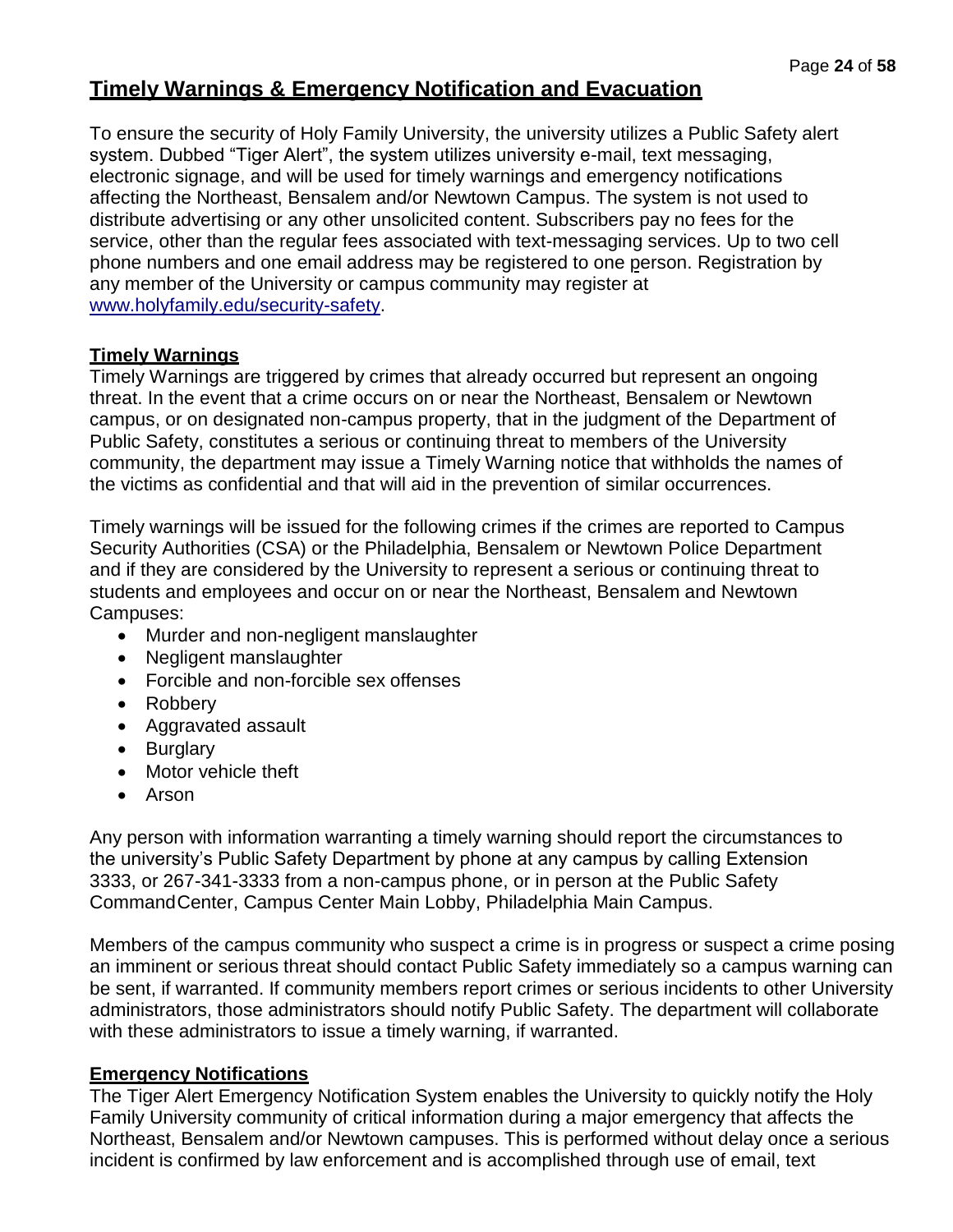# **Timely Warnings & Emergency Notification and Evacuation**

To ensure the security of Holy Family University, the university utilizes a Public Safety alert system. Dubbed "Tiger Alert", the system utilizes university e-mail, text messaging, electronic signage, and will be used for timely warnings and emergency notifications affecting the Northeast, Bensalem and/or Newtown Campus. The system is not used to distribute advertising or any other unsolicited content. Subscribers pay no fees for the service, other than the regular fees associated with text-messaging services. Up to two cell phone numbers and one email address may be registered to one person. Registration by any member of the University or campus community may register at [www.holyfamily.edu/security-safety.](http://www.holyfamily.edu/security-safety)

## **Timely Warnings**

Timely Warnings are triggered by crimes that already occurred but represent an ongoing threat. In the event that a crime occurs on or near the Northeast, Bensalem or Newtown campus, or on designated non-campus property, that in the judgment of the Department of Public Safety, constitutes a serious or continuing threat to members of the University community, the department may issue a Timely Warning notice that withholds the names of the victims as confidential and that will aid in the prevention of similar occurrences.

Timely warnings will be issued for the following crimes if the crimes are reported to Campus Security Authorities (CSA) or the Philadelphia, Bensalem or Newtown Police Department and if they are considered by the University to represent a serious or continuing threat to students and employees and occur on or near the Northeast, Bensalem and Newtown Campuses:

- Murder and non-negligent manslaughter
- Negligent manslaughter
- Forcible and non-forcible sex offenses
- Robbery
- Aggravated assault
- Burglary
- Motor vehicle theft
- Arson

Any person with information warranting a timely warning should report the circumstances to the university's Public Safety Department by phone at any campus by calling Extension 3333, or 267-341-3333 from a non-campus phone, or in person at the Public Safety CommandCenter, Campus Center Main Lobby, Philadelphia Main Campus.

Members of the campus community who suspect a crime is in progress or suspect a crime posing an imminent or serious threat should contact Public Safety immediately so a campus warning can be sent, if warranted. If community members report crimes or serious incidents to other University administrators, those administrators should notify Public Safety. The department will collaborate with these administrators to issue a timely warning, if warranted.

## **Emergency Notifications**

The Tiger Alert Emergency Notification System enables the University to quickly notify the Holy Family University community of critical information during a major emergency that affects the Northeast, Bensalem and/or Newtown campuses. This is performed without delay once a serious incident is confirmed by law enforcement and is accomplished through use of email, text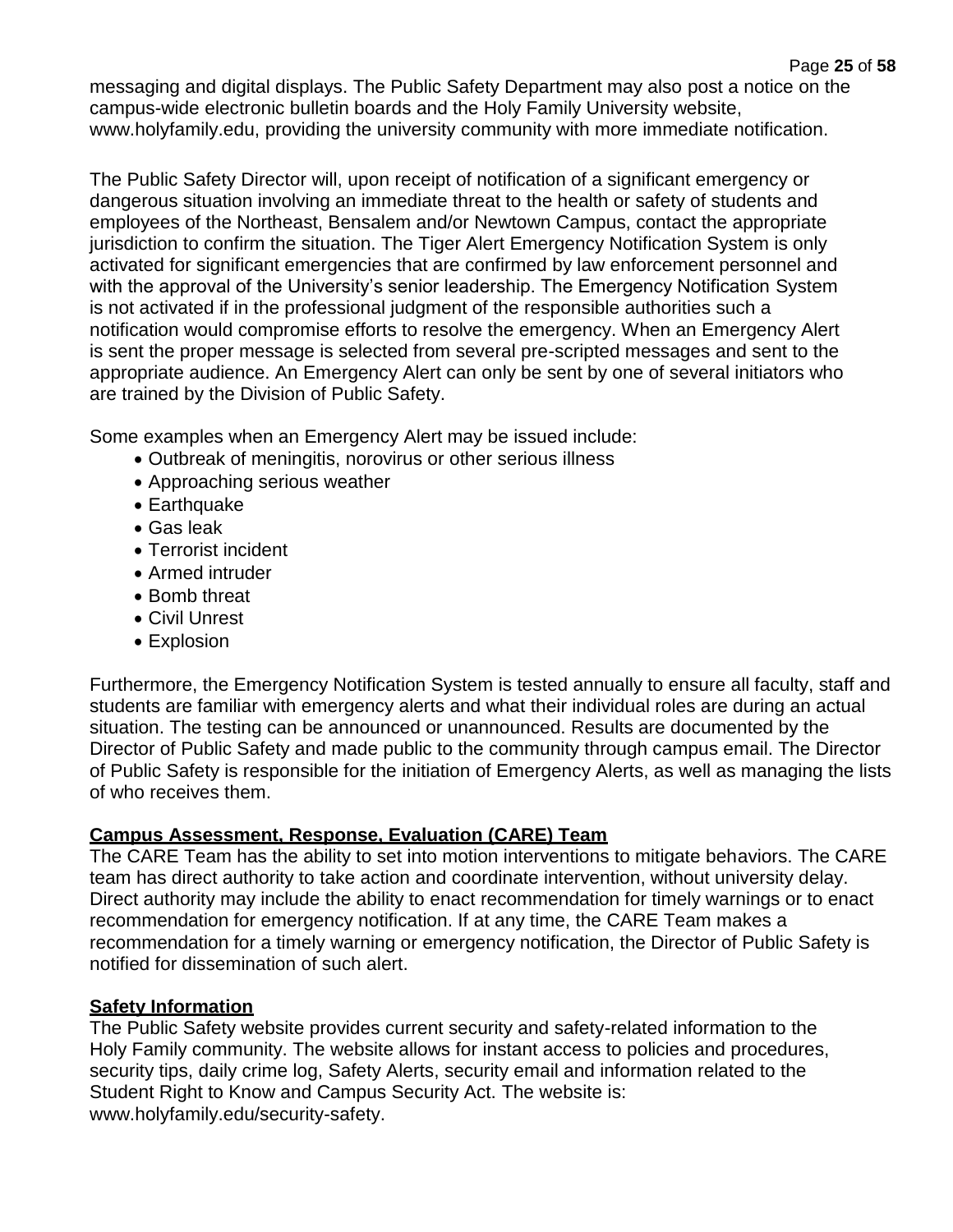messaging and digital displays. The Public Safety Department may also post a notice on the campus-wide electronic bulletin boards and the Holy Family University website, [www.holyfamily.edu, p](http://www.holyfamily.edu/)roviding the university community with more immediate notification.

The Public Safety Director will, upon receipt of notification of a significant emergency or dangerous situation involving an immediate threat to the health or safety of students and employees of the Northeast, Bensalem and/or Newtown Campus, contact the appropriate jurisdiction to confirm the situation. The Tiger Alert Emergency Notification System is only activated for significant emergencies that are confirmed by law enforcement personnel and with the approval of the University's senior leadership. The Emergency Notification System is not activated if in the professional judgment of the responsible authorities such a notification would compromise efforts to resolve the emergency. When an Emergency Alert is sent the proper message is selected from several pre-scripted messages and sent to the appropriate audience. An Emergency Alert can only be sent by one of several initiators who are trained by the Division of Public Safety.

Some examples when an Emergency Alert may be issued include:

- Outbreak of meningitis, norovirus or other serious illness
- Approaching serious weather
- Earthquake
- Gas leak
- Terrorist incident
- Armed intruder
- Bomb threat
- Civil Unrest
- Explosion

Furthermore, the Emergency Notification System is tested annually to ensure all faculty, staff and students are familiar with emergency alerts and what their individual roles are during an actual situation. The testing can be announced or unannounced. Results are documented by the Director of Public Safety and made public to the community through campus email. The Director of Public Safety is responsible for the initiation of Emergency Alerts, as well as managing the lists of who receives them.

## **Campus Assessment, Response, Evaluation (CARE) Team**

The CARE Team has the ability to set into motion interventions to mitigate behaviors. The CARE team has direct authority to take action and coordinate intervention, without university delay. Direct authority may include the ability to enact recommendation for timely warnings or to enact recommendation for emergency notification. If at any time, the CARE Team makes a recommendation for a timely warning or emergency notification, the Director of Public Safety is notified for dissemination of such alert.

## **Safety Information**

The Public Safety website provides current security and safety-related information to the Holy Family community. The website allows for instant access to policies and procedures, security tips, daily crime log, Safety Alerts, security email and information related to the Student Right to Know and Campus Security Act. The website is: [www.holyfamily.edu/security-safety.](http://www.holyfamily.edu/security-safety)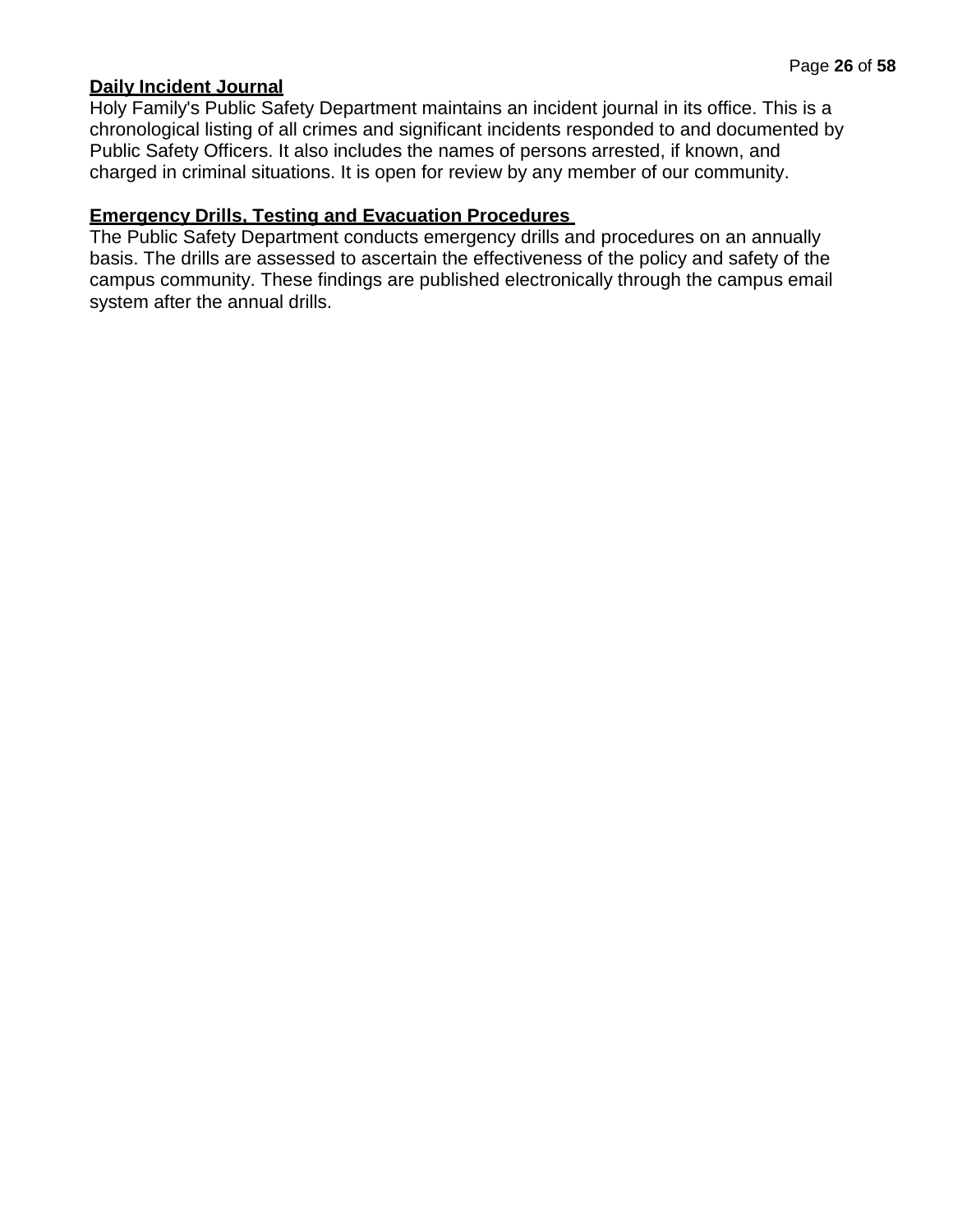## **Daily Incident Journal**

Holy Family's Public Safety Department maintains an incident journal in its office. This is a chronological listing of all crimes and significant incidents responded to and documented by Public Safety Officers. It also includes the names of persons arrested, if known, and charged in criminal situations. It is open for review by any member of our community.

#### **Emergency Drills, Testing and Evacuation Procedures**

The Public Safety Department conducts emergency drills and procedures on an annually basis. The drills are assessed to ascertain the effectiveness of the policy and safety of the campus community. These findings are published electronically through the campus email system after the annual drills.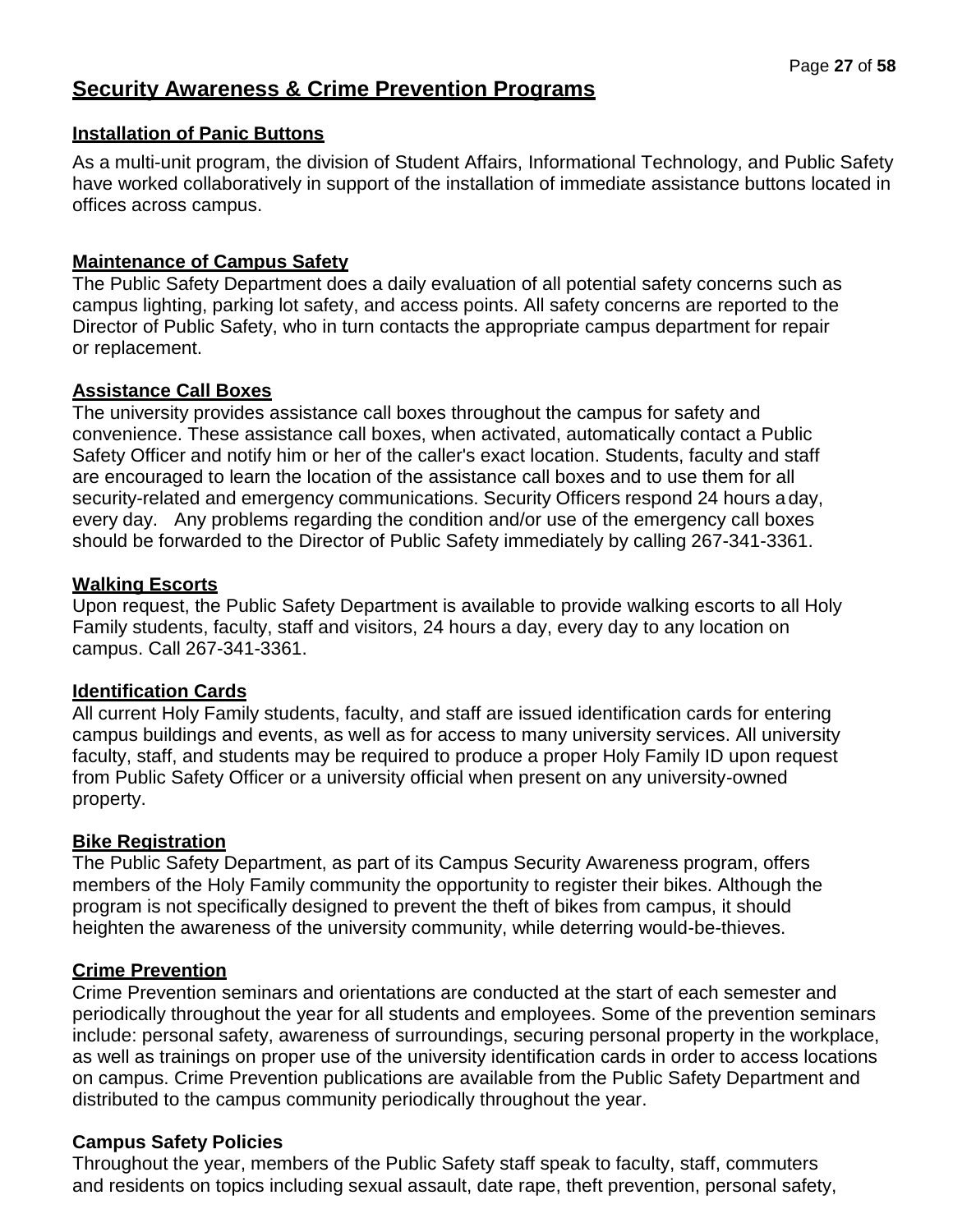## **Security Awareness & Crime Prevention Programs**

## **Installation of Panic Buttons**

As a multi-unit program, the division of Student Affairs, Informational Technology, and Public Safety have worked collaboratively in support of the installation of immediate assistance buttons located in offices across campus.

## **Maintenance of Campus Safety**

The Public Safety Department does a daily evaluation of all potential safety concerns such as campus lighting, parking lot safety, and access points. All safety concerns are reported to the Director of Public Safety, who in turn contacts the appropriate campus department for repair or replacement.

## **Assistance Call Boxes**

The university provides assistance call boxes throughout the campus for safety and convenience. These assistance call boxes, when activated, automatically contact a Public Safety Officer and notify him or her of the caller's exact location. Students, faculty and staff are encouraged to learn the location of the assistance call boxes and to use them for all security-related and emergency communications. Security Officers respond 24 hours a day, every day. Any problems regarding the condition and/or use of the emergency call boxes should be forwarded to the Director of Public Safety immediately by calling 267-341-3361.

## **Walking Escorts**

Upon request, the Public Safety Department is available to provide walking escorts to all Holy Family students, faculty, staff and visitors, 24 hours a day, every day to any location on campus. Call 267-341-3361.

## **Identification Cards**

All current Holy Family students, faculty, and staff are issued identification cards for entering campus buildings and events, as well as for access to many university services. All university faculty, staff, and students may be required to produce a proper Holy Family ID upon request from Public Safety Officer or a university official when present on any university-owned property.

## **Bike Registration**

The Public Safety Department, as part of its Campus Security Awareness program, offers members of the Holy Family community the opportunity to register their bikes. Although the program is not specifically designed to prevent the theft of bikes from campus, it should heighten the awareness of the university community, while deterring would-be-thieves.

## **Crime Prevention**

Crime Prevention seminars and orientations are conducted at the start of each semester and periodically throughout the year for all students and employees. Some of the prevention seminars include: personal safety, awareness of surroundings, securing personal property in the workplace, as well as trainings on proper use of the university identification cards in order to access locations on campus. Crime Prevention publications are available from the Public Safety Department and distributed to the campus community periodically throughout the year.

## **Campus Safety Policies**

Throughout the year, members of the Public Safety staff speak to faculty, staff, commuters and residents on topics including sexual assault, date rape, theft prevention, personal safety,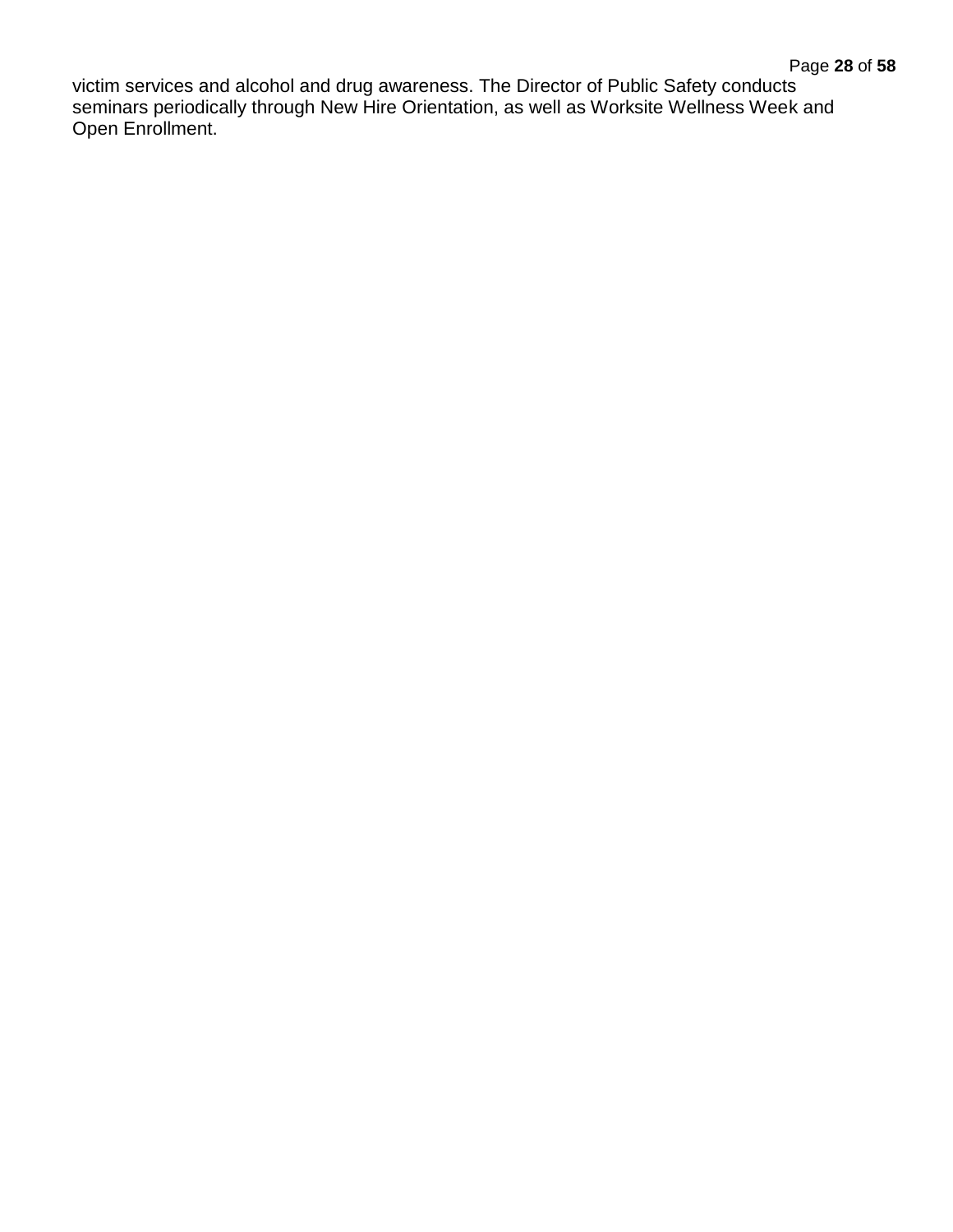victim services and alcohol and drug awareness. The Director of Public Safety conducts seminars periodically through New Hire Orientation, as well as Worksite Wellness Week and Open Enrollment.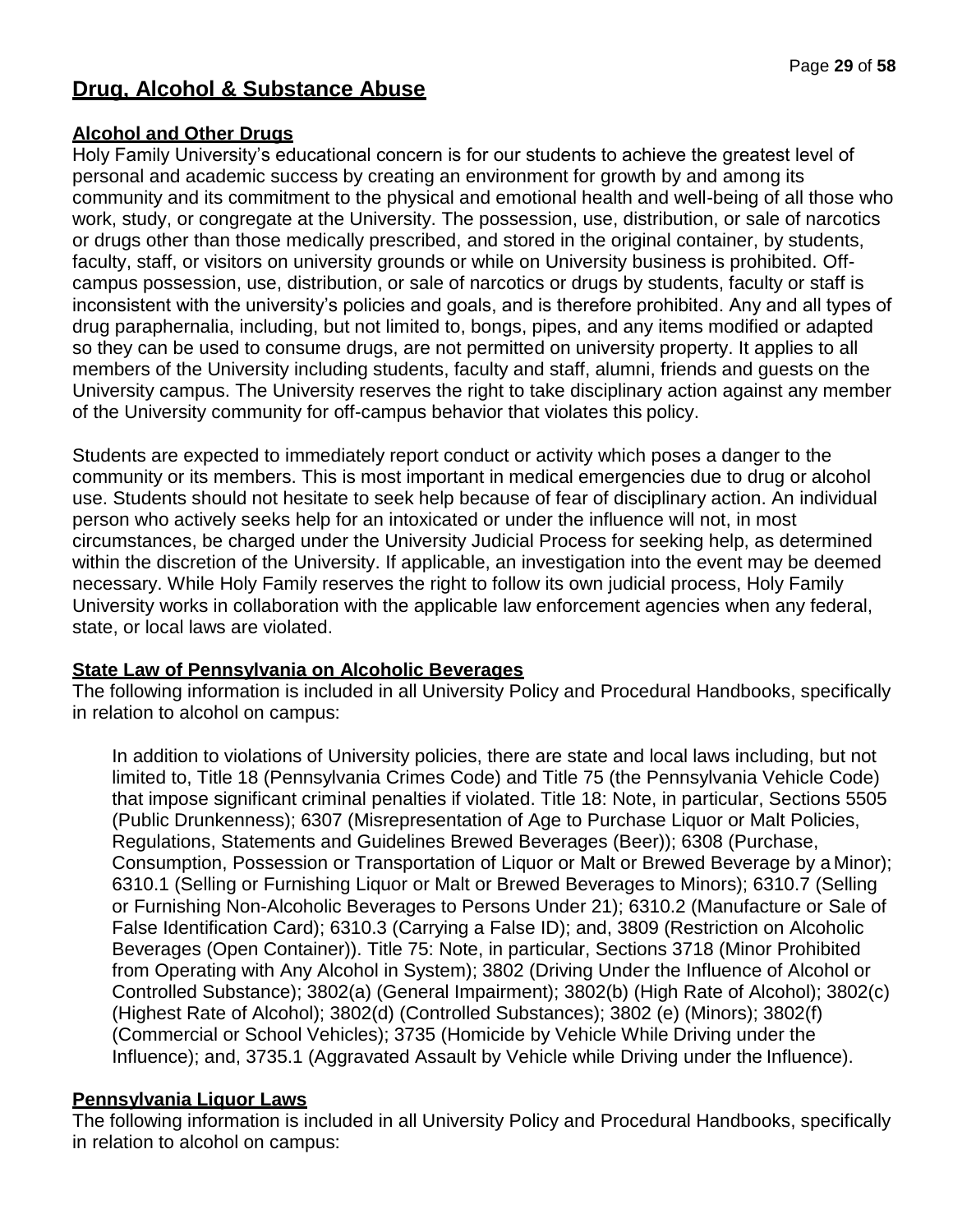# **Drug, Alcohol & Substance Abuse**

## **Alcohol and Other Drugs**

Holy Family University's educational concern is for our students to achieve the greatest level of personal and academic success by creating an environment for growth by and among its community and its commitment to the physical and emotional health and well-being of all those who work, study, or congregate at the University. The possession, use, distribution, or sale of narcotics or drugs other than those medically prescribed, and stored in the original container, by students, faculty, staff, or visitors on university grounds or while on University business is prohibited. Offcampus possession, use, distribution, or sale of narcotics or drugs by students, faculty or staff is inconsistent with the university's policies and goals, and is therefore prohibited. Any and all types of drug paraphernalia, including, but not limited to, bongs, pipes, and any items modified or adapted so they can be used to consume drugs, are not permitted on university property. It applies to all members of the University including students, faculty and staff, alumni, friends and guests on the University campus. The University reserves the right to take disciplinary action against any member of the University community for off-campus behavior that violates this policy.

Students are expected to immediately report conduct or activity which poses a danger to the community or its members. This is most important in medical emergencies due to drug or alcohol use. Students should not hesitate to seek help because of fear of disciplinary action. An individual person who actively seeks help for an intoxicated or under the influence will not, in most circumstances, be charged under the University Judicial Process for seeking help, as determined within the discretion of the University. If applicable, an investigation into the event may be deemed necessary. While Holy Family reserves the right to follow its own judicial process, Holy Family University works in collaboration with the applicable law enforcement agencies when any federal, state, or local laws are violated.

## **State Law of Pennsylvania on Alcoholic Beverages**

The following information is included in all University Policy and Procedural Handbooks, specifically in relation to alcohol on campus:

In addition to violations of University policies, there are state and local laws including, but not limited to, Title 18 (Pennsylvania Crimes Code) and Title 75 (the Pennsylvania Vehicle Code) that impose significant criminal penalties if violated. Title 18: Note, in particular, Sections 5505 (Public Drunkenness); 6307 (Misrepresentation of Age to Purchase Liquor or Malt Policies, Regulations, Statements and Guidelines Brewed Beverages (Beer)); 6308 (Purchase, Consumption, Possession or Transportation of Liquor or Malt or Brewed Beverage by a Minor); 6310.1 (Selling or Furnishing Liquor or Malt or Brewed Beverages to Minors); 6310.7 (Selling or Furnishing Non-Alcoholic Beverages to Persons Under 21); 6310.2 (Manufacture or Sale of False Identification Card); 6310.3 (Carrying a False ID); and, 3809 (Restriction on Alcoholic Beverages (Open Container)). Title 75: Note, in particular, Sections 3718 (Minor Prohibited from Operating with Any Alcohol in System); 3802 (Driving Under the Influence of Alcohol or Controlled Substance); 3802(a) (General Impairment); 3802(b) (High Rate of Alcohol); 3802(c) (Highest Rate of Alcohol); 3802(d) (Controlled Substances); 3802 (e) (Minors); 3802(f) (Commercial or School Vehicles); 3735 (Homicide by Vehicle While Driving under the Influence); and, 3735.1 (Aggravated Assault by Vehicle while Driving under the Influence).

## **Pennsylvania Liquor Laws**

The following information is included in all University Policy and Procedural Handbooks, specifically in relation to alcohol on campus: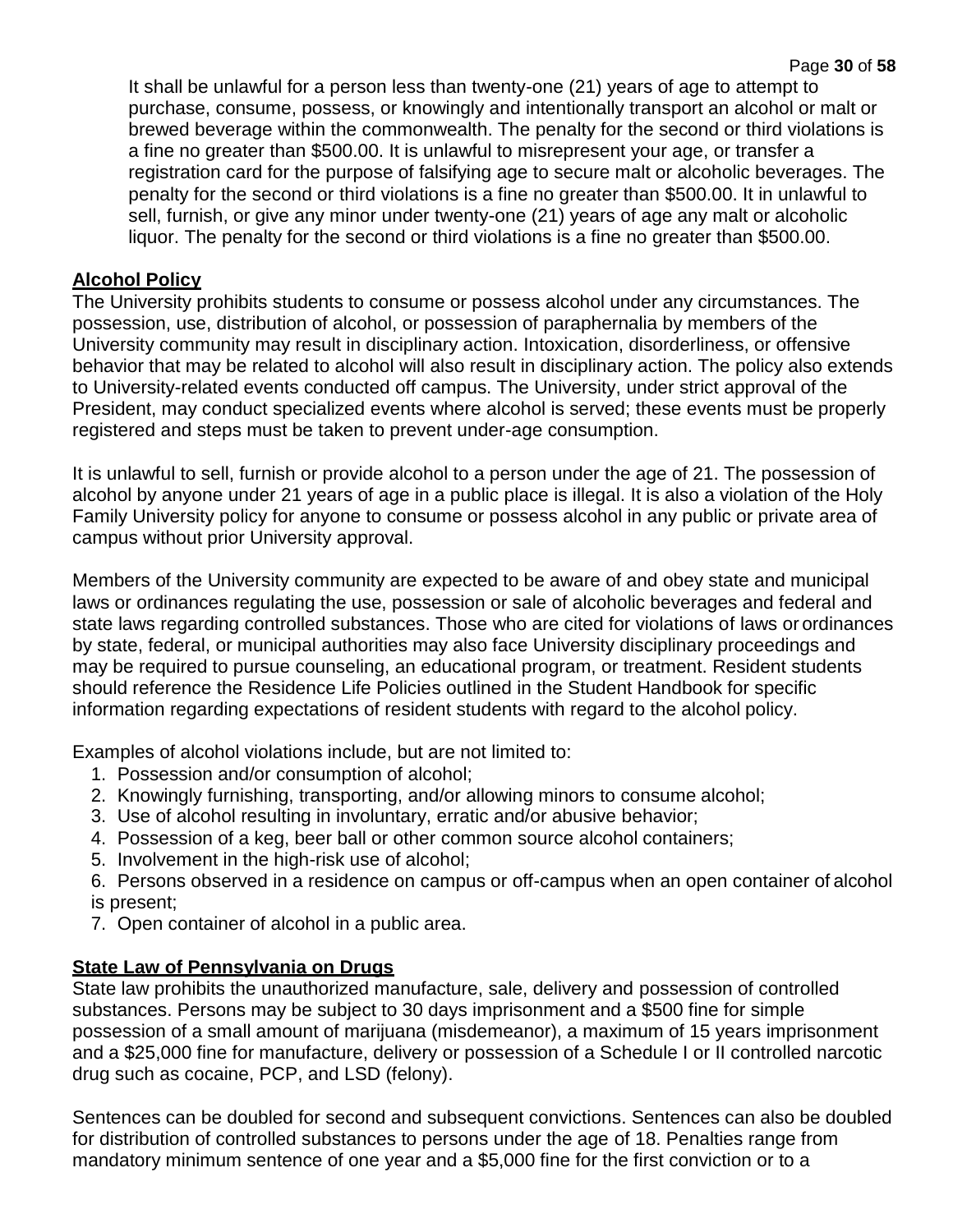It shall be unlawful for a person less than twenty-one (21) years of age to attempt to purchase, consume, possess, or knowingly and intentionally transport an alcohol or malt or brewed beverage within the commonwealth. The penalty for the second or third violations is a fine no greater than \$500.00. It is unlawful to misrepresent your age, or transfer a registration card for the purpose of falsifying age to secure malt or alcoholic beverages. The penalty for the second or third violations is a fine no greater than \$500.00. It in unlawful to sell, furnish, or give any minor under twenty-one (21) years of age any malt or alcoholic liquor. The penalty for the second or third violations is a fine no greater than \$500.00.

## **Alcohol Policy**

The University prohibits students to consume or possess alcohol under any circumstances. The possession, use, distribution of alcohol, or possession of paraphernalia by members of the University community may result in disciplinary action. Intoxication, disorderliness, or offensive behavior that may be related to alcohol will also result in disciplinary action. The policy also extends to University-related events conducted off campus. The University, under strict approval of the President, may conduct specialized events where alcohol is served; these events must be properly registered and steps must be taken to prevent under-age consumption.

It is unlawful to sell, furnish or provide alcohol to a person under the age of 21. The possession of alcohol by anyone under 21 years of age in a public place is illegal. It is also a violation of the Holy Family University policy for anyone to consume or possess alcohol in any public or private area of campus without prior University approval.

Members of the University community are expected to be aware of and obey state and municipal laws or ordinances regulating the use, possession or sale of alcoholic beverages and federal and state laws regarding controlled substances. Those who are cited for violations of laws or ordinances by state, federal, or municipal authorities may also face University disciplinary proceedings and may be required to pursue counseling, an educational program, or treatment. Resident students should reference the Residence Life Policies outlined in the Student Handbook for specific information regarding expectations of resident students with regard to the alcohol policy.

Examples of alcohol violations include, but are not limited to:

- 1. Possession and/or consumption of alcohol;
- 2. Knowingly furnishing, transporting, and/or allowing minors to consume alcohol;
- 3. Use of alcohol resulting in involuntary, erratic and/or abusive behavior;
- 4. Possession of a keg, beer ball or other common source alcohol containers;
- 5. Involvement in the high-risk use of alcohol;
- 6. Persons observed in a residence on campus or off-campus when an open container of alcohol is present;
- 7. Open container of alcohol in a public area.

## **State Law of Pennsylvania on Drugs**

State law prohibits the unauthorized manufacture, sale, delivery and possession of controlled substances. Persons may be subject to 30 days imprisonment and a \$500 fine for simple possession of a small amount of marijuana (misdemeanor), a maximum of 15 years imprisonment and a \$25,000 fine for manufacture, delivery or possession of a Schedule I or II controlled narcotic drug such as cocaine, PCP, and LSD (felony).

Sentences can be doubled for second and subsequent convictions. Sentences can also be doubled for distribution of controlled substances to persons under the age of 18. Penalties range from mandatory minimum sentence of one year and a \$5,000 fine for the first conviction or to a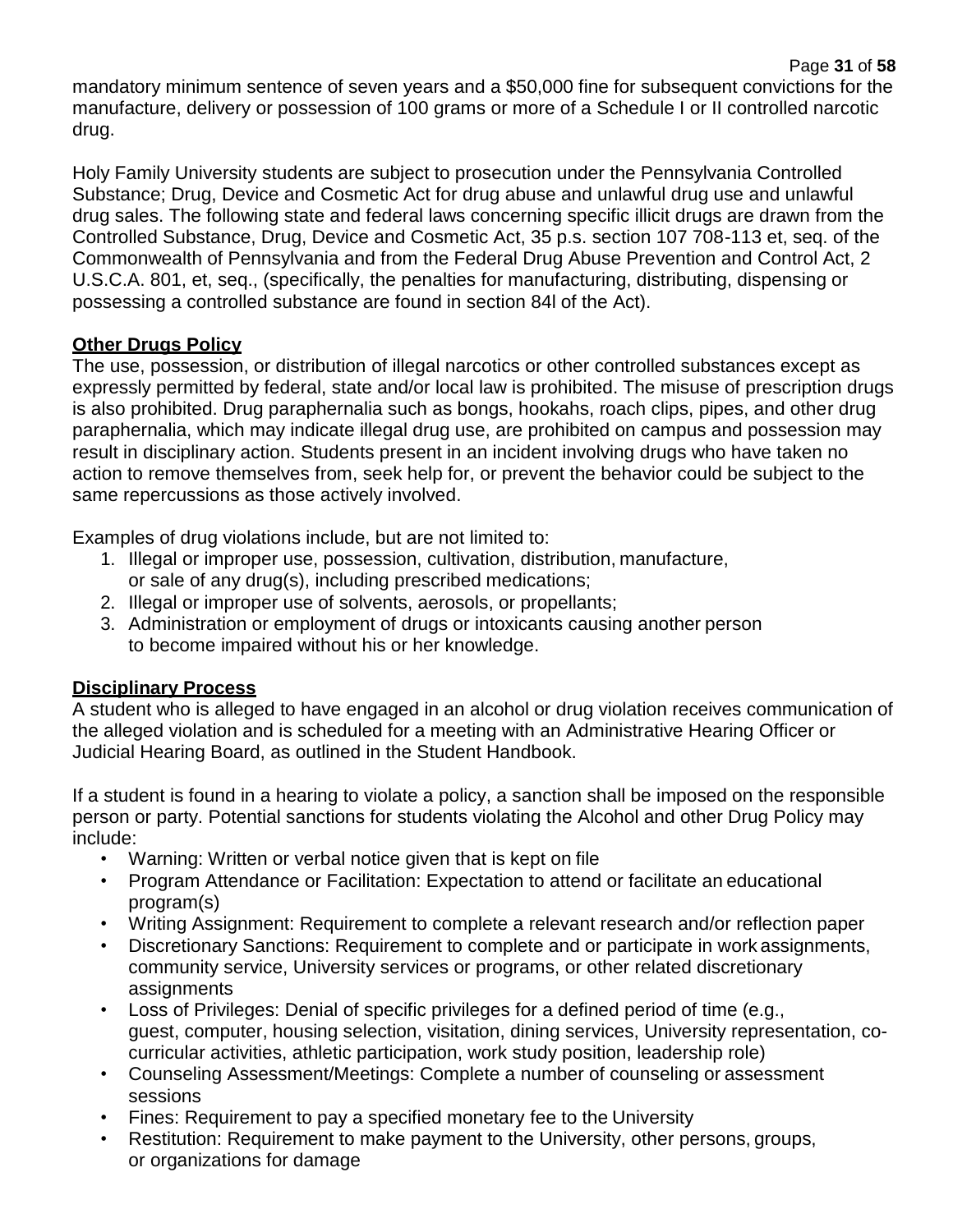mandatory minimum sentence of seven years and a \$50,000 fine for subsequent convictions for the manufacture, delivery or possession of 100 grams or more of a Schedule I or II controlled narcotic drug.

Holy Family University students are subject to prosecution under the Pennsylvania Controlled Substance; Drug, Device and Cosmetic Act for drug abuse and unlawful drug use and unlawful drug sales. The following state and federal laws concerning specific illicit drugs are drawn from the Controlled Substance, Drug, Device and Cosmetic Act, 35 p.s. section 107 708-113 et, seq. of the Commonwealth of Pennsylvania and from the Federal Drug Abuse Prevention and Control Act, 2 U.S.C.A. 801, et, seq., (specifically, the penalties for manufacturing, distributing, dispensing or possessing a controlled substance are found in section 84l of the Act).

## **Other Drugs Policy**

The use, possession, or distribution of illegal narcotics or other controlled substances except as expressly permitted by federal, state and/or local law is prohibited. The misuse of prescription drugs is also prohibited. Drug paraphernalia such as bongs, hookahs, roach clips, pipes, and other drug paraphernalia, which may indicate illegal drug use, are prohibited on campus and possession may result in disciplinary action. Students present in an incident involving drugs who have taken no action to remove themselves from, seek help for, or prevent the behavior could be subject to the same repercussions as those actively involved.

Examples of drug violations include, but are not limited to:

- 1. Illegal or improper use, possession, cultivation, distribution, manufacture, or sale of any drug(s), including prescribed medications;
- 2. Illegal or improper use of solvents, aerosols, or propellants;
- 3. Administration or employment of drugs or intoxicants causing another person to become impaired without his or her knowledge.

## **Disciplinary Process**

A student who is alleged to have engaged in an alcohol or drug violation receives communication of the alleged violation and is scheduled for a meeting with an Administrative Hearing Officer or Judicial Hearing Board, as outlined in the Student Handbook.

If a student is found in a hearing to violate a policy, a sanction shall be imposed on the responsible person or party. Potential sanctions for students violating the Alcohol and other Drug Policy may include:

- Warning: Written or verbal notice given that is kept on file
- Program Attendance or Facilitation: Expectation to attend or facilitate an educational program(s)
- Writing Assignment: Requirement to complete a relevant research and/or reflection paper
- Discretionary Sanctions: Requirement to complete and or participate in work assignments, community service, University services or programs, or other related discretionary assignments
- Loss of Privileges: Denial of specific privileges for a defined period of time (e.g., guest, computer, housing selection, visitation, dining services, University representation, cocurricular activities, athletic participation, work study position, leadership role)
- Counseling Assessment/Meetings: Complete a number of counseling or assessment sessions
- Fines: Requirement to pay a specified monetary fee to the University
- Restitution: Requirement to make payment to the University, other persons, groups, or organizations for damage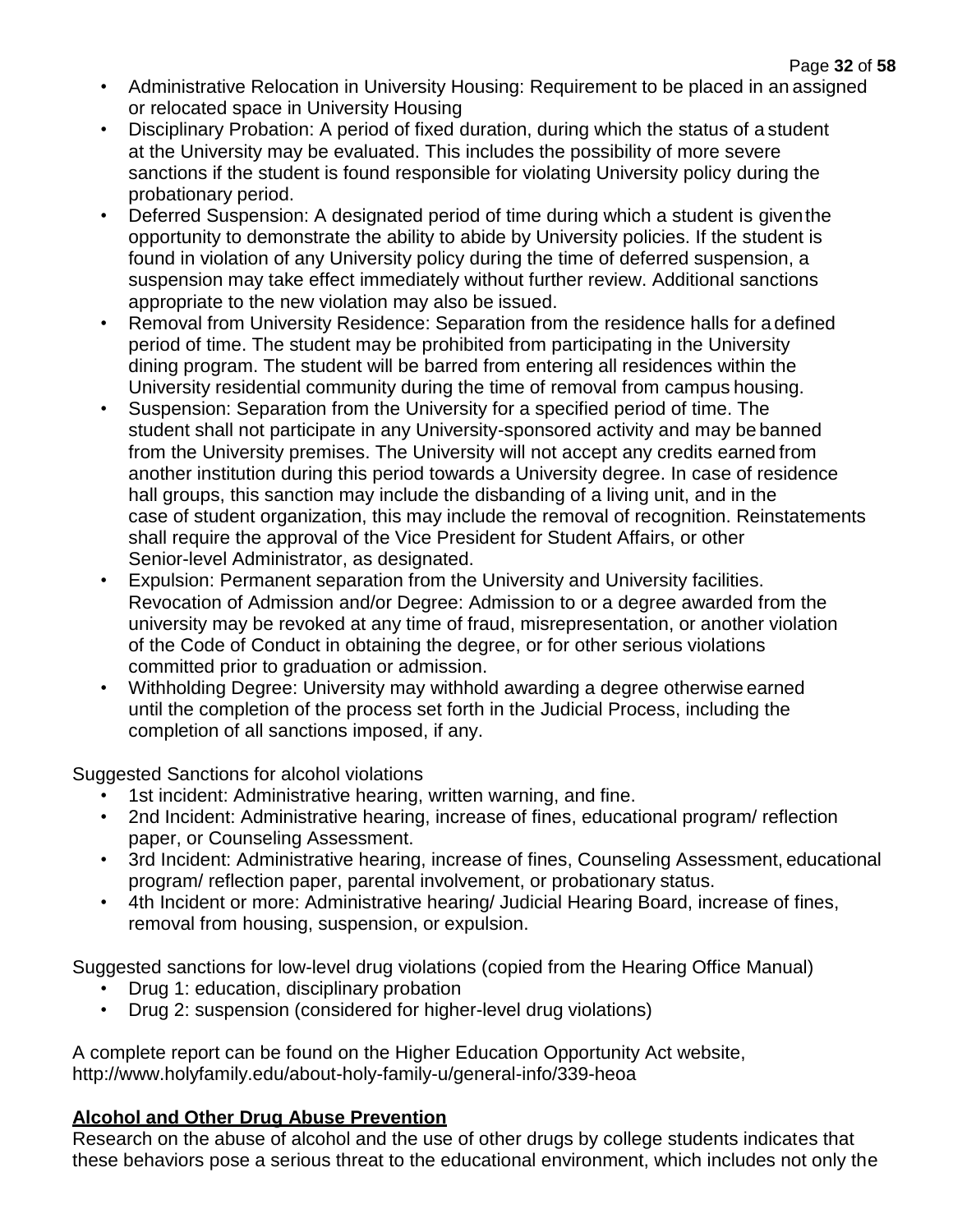- Administrative Relocation in University Housing: Requirement to be placed in an assigned or relocated space in University Housing
- Disciplinary Probation: A period of fixed duration, during which the status of a student at the University may be evaluated. This includes the possibility of more severe sanctions if the student is found responsible for violating University policy during the probationary period.
- Deferred Suspension: A designated period of time during which a student is giventhe opportunity to demonstrate the ability to abide by University policies. If the student is found in violation of any University policy during the time of deferred suspension, a suspension may take effect immediately without further review. Additional sanctions appropriate to the new violation may also be issued.
- Removal from University Residence: Separation from the residence halls for a defined period of time. The student may be prohibited from participating in the University dining program. The student will be barred from entering all residences within the University residential community during the time of removal from campus housing.
- Suspension: Separation from the University for a specified period of time. The student shall not participate in any University-sponsored activity and may be banned from the University premises. The University will not accept any credits earned from another institution during this period towards a University degree. In case of residence hall groups, this sanction may include the disbanding of a living unit, and in the case of student organization, this may include the removal of recognition. Reinstatements shall require the approval of the Vice President for Student Affairs, or other Senior-level Administrator, as designated.
- Expulsion: Permanent separation from the University and University facilities. Revocation of Admission and/or Degree: Admission to or a degree awarded from the university may be revoked at any time of fraud, misrepresentation, or another violation of the Code of Conduct in obtaining the degree, or for other serious violations committed prior to graduation or admission.
- Withholding Degree: University may withhold awarding a degree otherwise earned until the completion of the process set forth in the Judicial Process, including the completion of all sanctions imposed, if any.

Suggested Sanctions for alcohol violations

- 1st incident: Administrative hearing, written warning, and fine.
- 2nd Incident: Administrative hearing, increase of fines, educational program/ reflection paper, or Counseling Assessment.
- 3rd Incident: Administrative hearing, increase of fines, Counseling Assessment, educational program/ reflection paper, parental involvement, or probationary status.
- 4th Incident or more: Administrative hearing/ Judicial Hearing Board, increase of fines, removal from housing, suspension, or expulsion.

Suggested sanctions for low-level drug violations (copied from the Hearing Office Manual)

- Drug 1: education, disciplinary probation
- Drug 2: suspension (considered for higher-level drug violations)

A complete report can be found on the Higher Education Opportunity Act website, <http://www.holyfamily.edu/about-holy-family-u/general-info/339-heoa>

## **Alcohol and Other Drug Abuse Prevention**

Research on the abuse of alcohol and the use of other drugs by college students indicates that these behaviors pose a serious threat to the educational environment, which includes not only the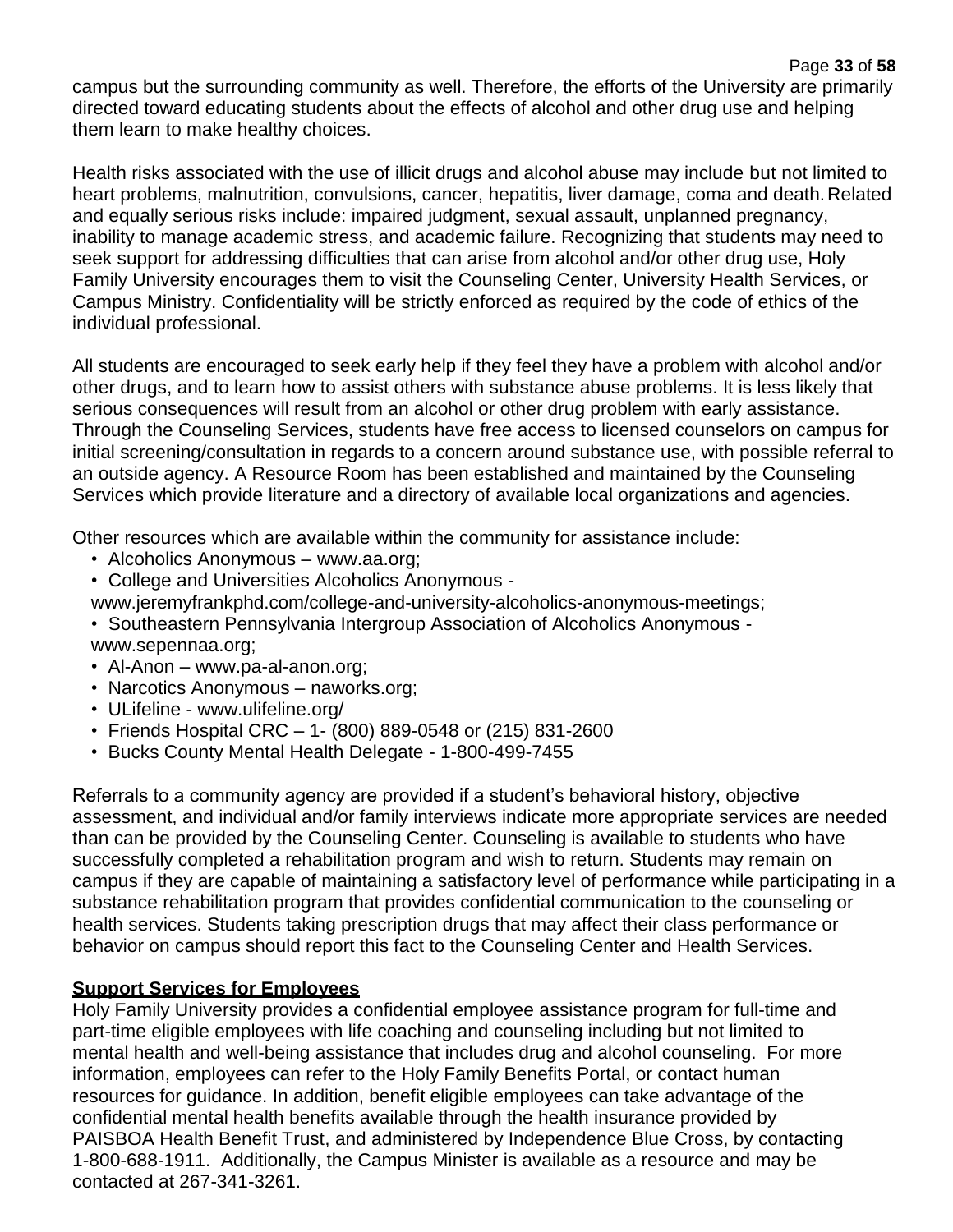Health risks associated with the use of illicit drugs and alcohol abuse may include but not limited to heart problems, malnutrition, convulsions, cancer, hepatitis, liver damage, coma and death.Related and equally serious risks include: impaired judgment, sexual assault, unplanned pregnancy, inability to manage academic stress, and academic failure. Recognizing that students may need to seek support for addressing difficulties that can arise from alcohol and/or other drug use, Holy Family University encourages them to visit the Counseling Center, University Health Services, or Campus Ministry. Confidentiality will be strictly enforced as required by the code of ethics of the individual professional.

All students are encouraged to seek early help if they feel they have a problem with alcohol and/or other drugs, and to learn how to assist others with substance abuse problems. It is less likely that serious consequences will result from an alcohol or other drug problem with early assistance. Through the Counseling Services, students have free access to licensed counselors on campus for initial screening/consultation in regards to a concern around substance use, with possible referral to an outside agency. A Resource Room has been established and maintained by the Counseling Services which provide literature and a directory of available local organizations and agencies.

Other resources which are available within the community for assistance include:

- Alcoholics Anonymous www.aa.org;
- College and Universities Alcoholics Anonymous -
- [www.jeremyfrankphd.com/college-and-university-alcoholics-anonymous-meetings;](http://www.jeremyfrankphd.com/college-and-university-alcoholics-anonymous-meetings%3B)
- Southeastern Pennsylvania Intergroup Association of Alcoholics Anonymous www.sepennaa.org;
- Al-Anon www.pa-al-anon.org;
- Narcotics Anonymous naworks.org;
- ULifeline [www.ulifeline.org/](http://www.ulifeline.org/)
- Friends Hospital CRC 1- (800) 889-0548 or (215) 831-2600
- Bucks County Mental Health Delegate 1-800-499-7455

Referrals to a community agency are provided if a student's behavioral history, objective assessment, and individual and/or family interviews indicate more appropriate services are needed than can be provided by the Counseling Center. Counseling is available to students who have successfully completed a rehabilitation program and wish to return. Students may remain on campus if they are capable of maintaining a satisfactory level of performance while participating in a substance rehabilitation program that provides confidential communication to the counseling or health services. Students taking prescription drugs that may affect their class performance or behavior on campus should report this fact to the Counseling Center and Health Services.

## **Support Services for Employees**

Holy Family University provides a confidential employee assistance program for full-time and part-time eligible employees with life coaching and counseling including but not limited to mental health and well-being assistance that includes drug and alcohol counseling. For more information, employees can refer to the Holy Family Benefits Portal, or contact human resources for guidance. In addition, benefit eligible employees can take advantage of the confidential mental health benefits available through the health insurance provided by PAISBOA Health Benefit Trust, and administered by Independence Blue Cross, by contacting 1-800-688-1911. Additionally, the Campus Minister is available as a resource and may be contacted at 267-341-3261.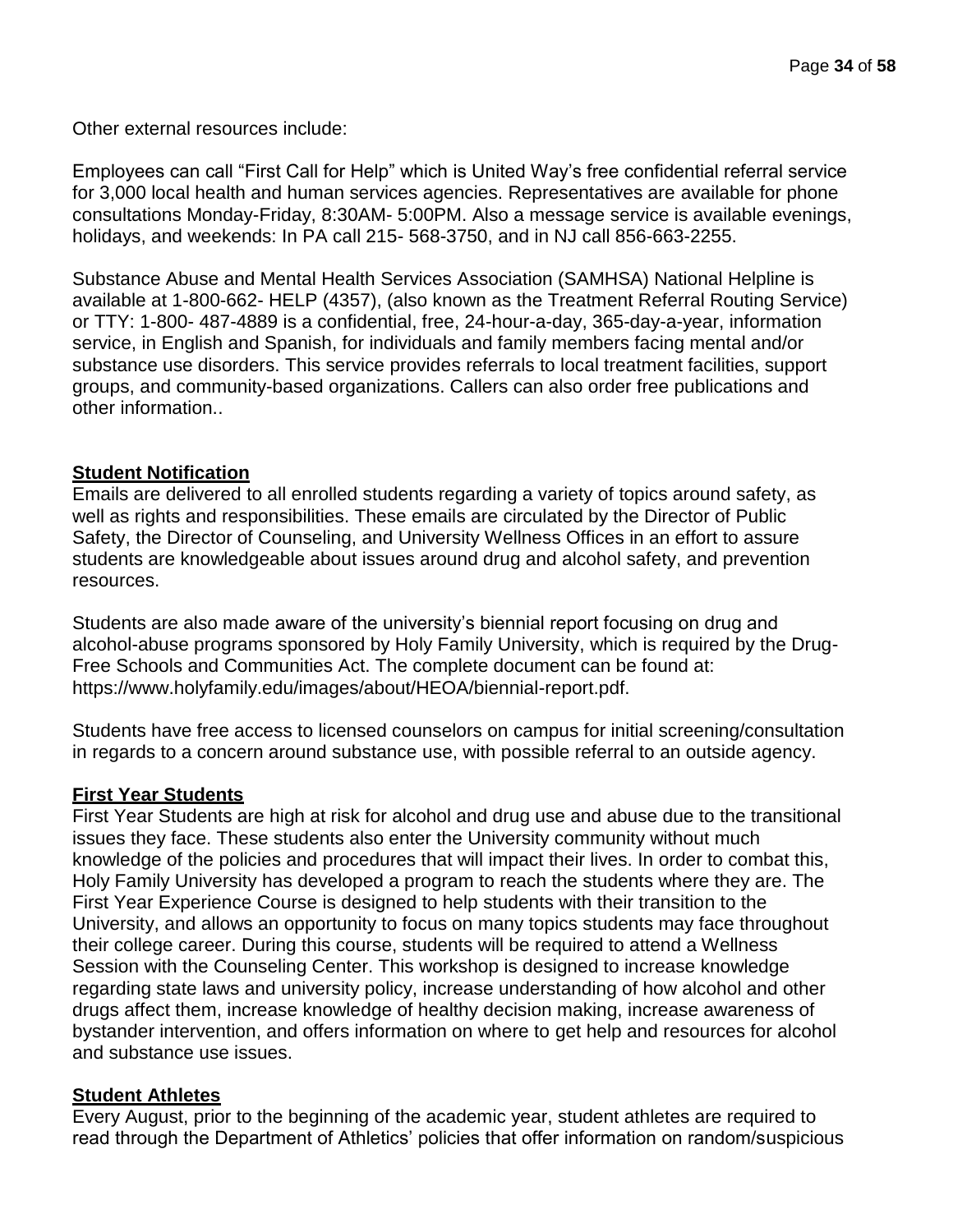Other external resources include:

Employees can call "First Call for Help" which is United Way's free confidential referral service for 3,000 local health and human services agencies. Representatives are available for phone consultations Monday-Friday, 8:30AM- 5:00PM. Also a message service is available evenings, holidays, and weekends: In PA call 215- 568-3750, and in NJ call 856-663-2255.

Substance Abuse and Mental Health Services Association (SAMHSA) National Helpline is available at 1-800-662- HELP (4357), (also known as the Treatment Referral Routing Service) or TTY: 1-800- 487-4889 is a confidential, free, 24-hour-a-day, 365-day-a-year, information service, in English and Spanish, for individuals and family members facing mental and/or substance use disorders. This service provides referrals to local treatment facilities, support groups, and community-based organizations. Callers can also order free publications and other information..

#### **Student Notification**

Emails are delivered to all enrolled students regarding a variety of topics around safety, as well as rights and responsibilities. These emails are circulated by the Director of Public Safety, the Director of Counseling, and University Wellness Offices in an effort to assure students are knowledgeable about issues around drug and alcohol safety, and prevention resources.

Students are also made aware of the university's biennial report focusing on drug and alcohol-abuse programs sponsored by Holy Family University, which is required by the Drug-Free Schools and Communities Act. The complete document can be found at: https:/[/www.holyfamily.edu/images/about/HEOA/biennial-report.pdf.](http://www.holyfamily.edu/images/about/HEOA/biennial-report.pdf)

Students have free access to licensed counselors on campus for initial screening/consultation in regards to a concern around substance use, with possible referral to an outside agency.

## **First Year Students**

First Year Students are high at risk for alcohol and drug use and abuse due to the transitional issues they face. These students also enter the University community without much knowledge of the policies and procedures that will impact their lives. In order to combat this, Holy Family University has developed a program to reach the students where they are. The First Year Experience Course is designed to help students with their transition to the University, and allows an opportunity to focus on many topics students may face throughout their college career. During this course, students will be required to attend a Wellness Session with the Counseling Center. This workshop is designed to increase knowledge regarding state laws and university policy, increase understanding of how alcohol and other drugs affect them, increase knowledge of healthy decision making, increase awareness of bystander intervention, and offers information on where to get help and resources for alcohol and substance use issues.

#### **Student Athletes**

Every August, prior to the beginning of the academic year, student athletes are required to read through the Department of Athletics' policies that offer information on random/suspicious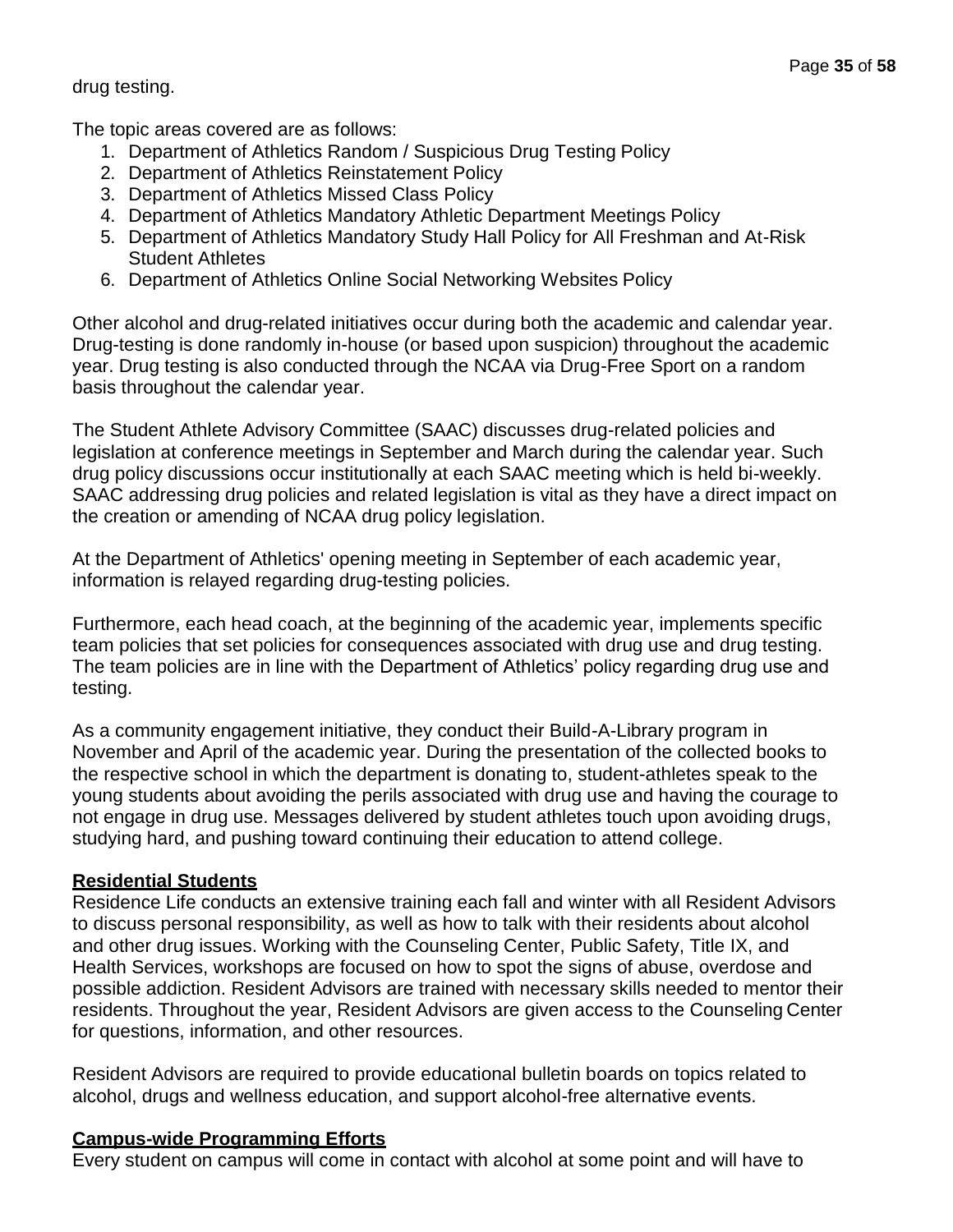drug testing.

The topic areas covered are as follows:

- 1. Department of Athletics Random / Suspicious Drug Testing Policy
- 2. Department of Athletics Reinstatement Policy
- 3. Department of Athletics Missed Class Policy
- 4. Department of Athletics Mandatory Athletic Department Meetings Policy
- 5. Department of Athletics Mandatory Study Hall Policy for All Freshman and At-Risk Student Athletes
- 6. Department of Athletics Online Social Networking Websites Policy

Other alcohol and drug-related initiatives occur during both the academic and calendar year. Drug-testing is done randomly in-house (or based upon suspicion) throughout the academic year. Drug testing is also conducted through the NCAA via Drug-Free Sport on a random basis throughout the calendar year.

The Student Athlete Advisory Committee (SAAC) discusses drug-related policies and legislation at conference meetings in September and March during the calendar year. Such drug policy discussions occur institutionally at each SAAC meeting which is held bi-weekly. SAAC addressing drug policies and related legislation is vital as they have a direct impact on the creation or amending of NCAA drug policy legislation.

At the Department of Athletics' opening meeting in September of each academic year, information is relayed regarding drug-testing policies.

Furthermore, each head coach, at the beginning of the academic year, implements specific team policies that set policies for consequences associated with drug use and drug testing. The team policies are in line with the Department of Athletics' policy regarding drug use and testing.

As a community engagement initiative, they conduct their Build-A-Library program in November and April of the academic year. During the presentation of the collected books to the respective school in which the department is donating to, student-athletes speak to the young students about avoiding the perils associated with drug use and having the courage to not engage in drug use. Messages delivered by student athletes touch upon avoiding drugs, studying hard, and pushing toward continuing their education to attend college.

## **Residential Students**

Residence Life conducts an extensive training each fall and winter with all Resident Advisors to discuss personal responsibility, as well as how to talk with their residents about alcohol and other drug issues. Working with the Counseling Center, Public Safety, Title IX, and Health Services, workshops are focused on how to spot the signs of abuse, overdose and possible addiction. Resident Advisors are trained with necessary skills needed to mentor their residents. Throughout the year, Resident Advisors are given access to the Counseling Center for questions, information, and other resources.

Resident Advisors are required to provide educational bulletin boards on topics related to alcohol, drugs and wellness education, and support alcohol-free alternative events.

## **Campus-wide Programming Efforts**

Every student on campus will come in contact with alcohol at some point and will have to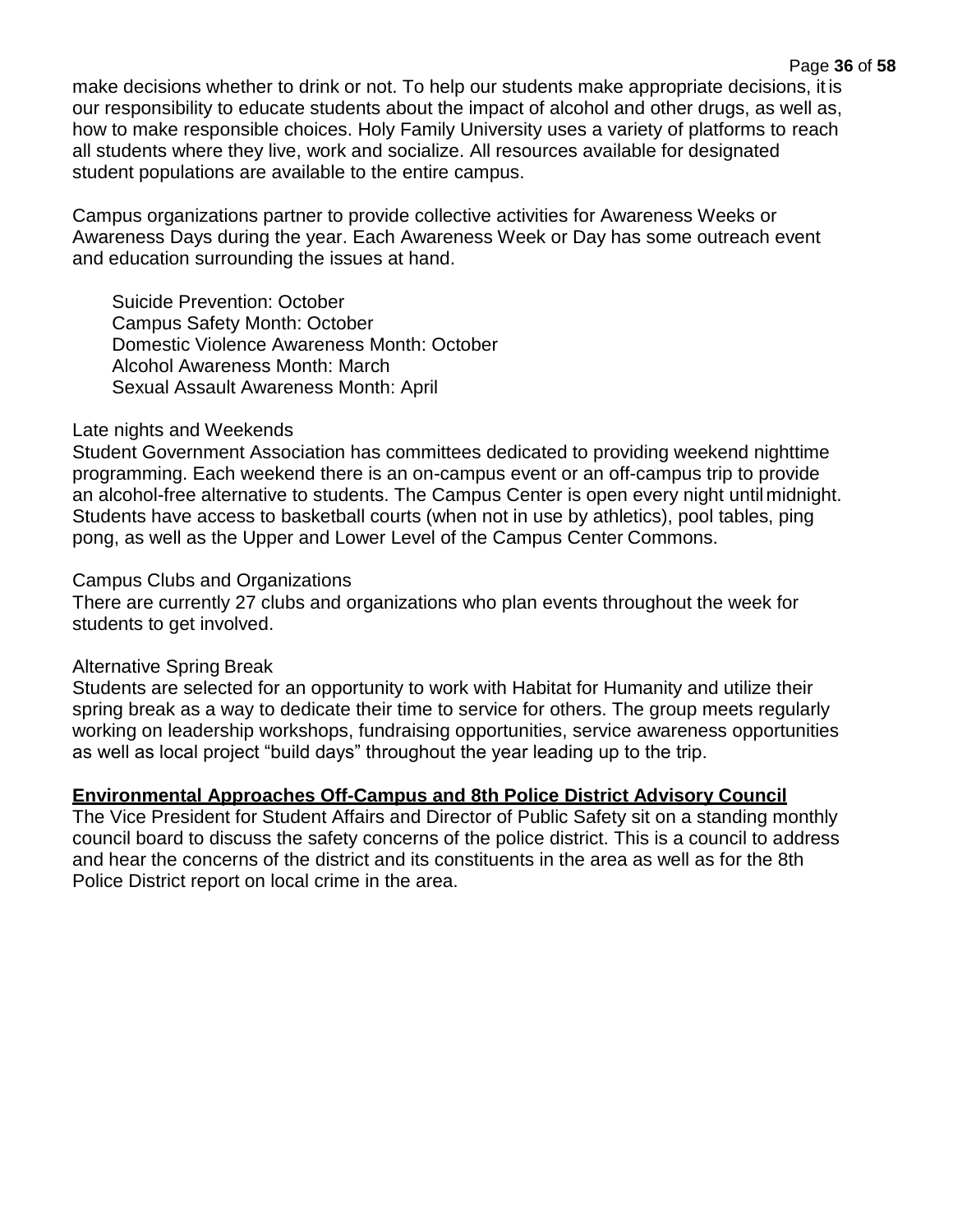make decisions whether to drink or not. To help our students make appropriate decisions, it is our responsibility to educate students about the impact of alcohol and other drugs, as well as, how to make responsible choices. Holy Family University uses a variety of platforms to reach all students where they live, work and socialize. All resources available for designated student populations are available to the entire campus.

Campus organizations partner to provide collective activities for Awareness Weeks or Awareness Days during the year. Each Awareness Week or Day has some outreach event and education surrounding the issues at hand.

Suicide Prevention: October Campus Safety Month: October Domestic Violence Awareness Month: October Alcohol Awareness Month: March Sexual Assault Awareness Month: April

## Late nights and Weekends

Student Government Association has committees dedicated to providing weekend nighttime programming. Each weekend there is an on-campus event or an off-campus trip to provide an alcohol-free alternative to students. The Campus Center is open every night until midnight. Students have access to basketball courts (when not in use by athletics), pool tables, ping pong, as well as the Upper and Lower Level of the Campus Center Commons.

## Campus Clubs and Organizations

There are currently 27 clubs and organizations who plan events throughout the week for students to get involved.

## Alternative Spring Break

Students are selected for an opportunity to work with Habitat for Humanity and utilize their spring break as a way to dedicate their time to service for others. The group meets regularly working on leadership workshops, fundraising opportunities, service awareness opportunities as well as local project "build days" throughout the year leading up to the trip.

## **Environmental Approaches Off-Campus and 8th Police District Advisory Council**

The Vice President for Student Affairs and Director of Public Safety sit on a standing monthly council board to discuss the safety concerns of the police district. This is a council to address and hear the concerns of the district and its constituents in the area as well as for the 8th Police District report on local crime in the area.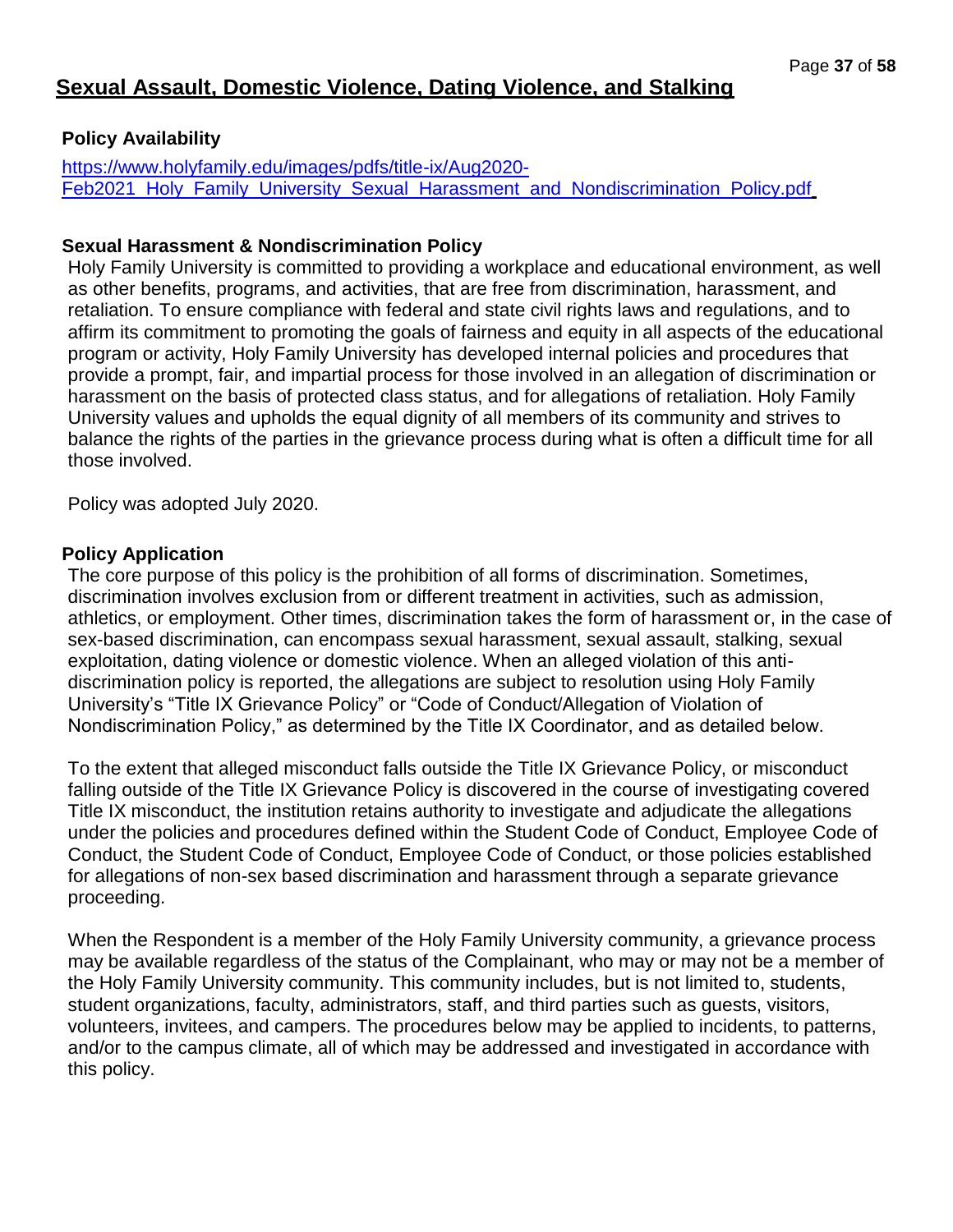# **Sexual Assault, Domestic Violence, Dating Violence, and Stalking**

## **Policy Availability**

[https://www.holyfamily.edu/images/pdfs/title-ix/Aug2020-](https://www.holyfamily.edu/images/pdfs/title-ix/Aug2020-Feb2021_Holy_Family_University_Sexual_Harassment_and_Nondiscrimination_Policy.pdf) Feb2021 Holy Family University Sexual Harassment and Nondiscrimination Policy.pdf

## **Sexual Harassment & Nondiscrimination Policy**

Holy Family University is committed to providing a workplace and educational environment, as well as other benefits, programs, and activities, that are free from discrimination, harassment, and retaliation. To ensure compliance with federal and state civil rights laws and regulations, and to affirm its commitment to promoting the goals of fairness and equity in all aspects of the educational program or activity, Holy Family University has developed internal policies and procedures that provide a prompt, fair, and impartial process for those involved in an allegation of discrimination or harassment on the basis of protected class status, and for allegations of retaliation. Holy Family University values and upholds the equal dignity of all members of its community and strives to balance the rights of the parties in the grievance process during what is often a difficult time for all those involved.

Policy was adopted July 2020.

## **Policy Application**

The core purpose of this policy is the prohibition of all forms of discrimination. Sometimes, discrimination involves exclusion from or different treatment in activities, such as admission, athletics, or employment. Other times, discrimination takes the form of harassment or, in the case of sex-based discrimination, can encompass sexual harassment, sexual assault, stalking, sexual exploitation, dating violence or domestic violence. When an alleged violation of this antidiscrimination policy is reported, the allegations are subject to resolution using Holy Family University's "Title IX Grievance Policy" or "Code of Conduct/Allegation of Violation of Nondiscrimination Policy," as determined by the Title IX Coordinator, and as detailed below.

To the extent that alleged misconduct falls outside the Title IX Grievance Policy, or misconduct falling outside of the Title IX Grievance Policy is discovered in the course of investigating covered Title IX misconduct, the institution retains authority to investigate and adjudicate the allegations under the policies and procedures defined within the Student Code of Conduct, Employee Code of Conduct, the Student Code of Conduct, Employee Code of Conduct, or those policies established for allegations of non-sex based discrimination and harassment through a separate grievance proceeding.

When the Respondent is a member of the Holy Family University community, a grievance process may be available regardless of the status of the Complainant, who may or may not be a member of the Holy Family University community. This community includes, but is not limited to, students, student organizations, faculty, administrators, staff, and third parties such as guests, visitors, volunteers, invitees, and campers. The procedures below may be applied to incidents, to patterns, and/or to the campus climate, all of which may be addressed and investigated in accordance with this policy.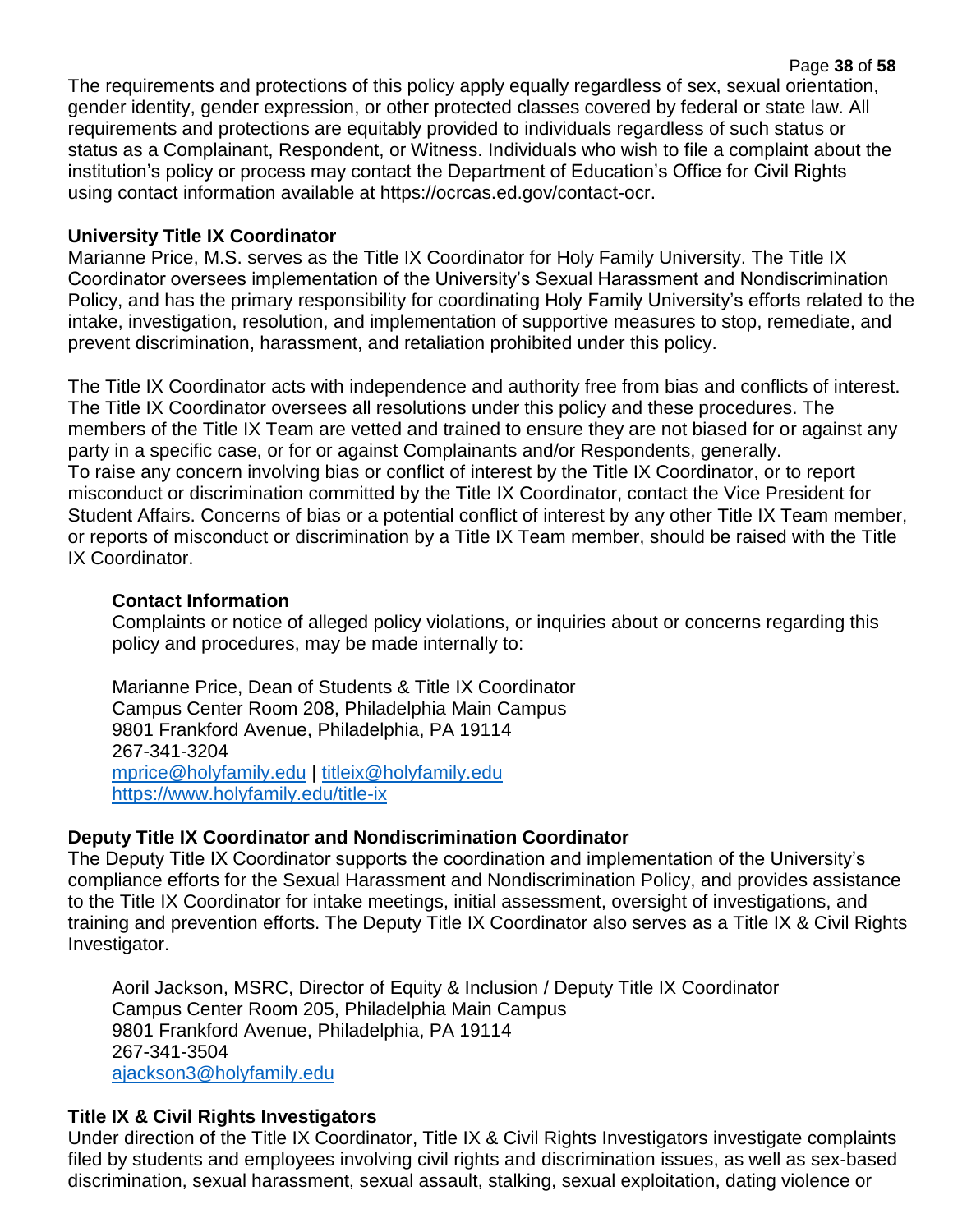The requirements and protections of this policy apply equally regardless of sex, sexual orientation, gender identity, gender expression, or other protected classes covered by federal or state law. All requirements and protections are equitably provided to individuals regardless of such status or status as a Complainant, Respondent, or Witness. Individuals who wish to file a complaint about the institution's policy or process may contact the Department of Education's Office for Civil Rights using contact information available at https://ocrcas.ed.gov/contact-ocr.

Page **38** of **58**

## **University Title IX Coordinator**

Marianne Price, M.S. serves as the Title IX Coordinator for Holy Family University. The Title IX Coordinator oversees implementation of the University's Sexual Harassment and Nondiscrimination Policy, and has the primary responsibility for coordinating Holy Family University's efforts related to the intake, investigation, resolution, and implementation of supportive measures to stop, remediate, and prevent discrimination, harassment, and retaliation prohibited under this policy.

The Title IX Coordinator acts with independence and authority free from bias and conflicts of interest. The Title IX Coordinator oversees all resolutions under this policy and these procedures. The members of the Title IX Team are vetted and trained to ensure they are not biased for or against any party in a specific case, or for or against Complainants and/or Respondents, generally. To raise any concern involving bias or conflict of interest by the Title IX Coordinator, or to report misconduct or discrimination committed by the Title IX Coordinator, contact the Vice President for Student Affairs. Concerns of bias or a potential conflict of interest by any other Title IX Team member, or reports of misconduct or discrimination by a Title IX Team member, should be raised with the Title IX Coordinator.

## **Contact Information**

Complaints or notice of alleged policy violations, or inquiries about or concerns regarding this policy and procedures, may be made internally to:

Marianne Price, Dean of Students & Title IX Coordinator Campus Center Room 208, Philadelphia Main Campus 9801 Frankford Avenue, Philadelphia, PA 19114 267-341-3204 [mprice@holyfamily.edu](mailto:mprice@holyfamily.edu) | [titleix@holyfamily.edu](mailto:titleix@holyfamily.edu) <https://www.holyfamily.edu/title-ix>

## **Deputy Title IX Coordinator and Nondiscrimination Coordinator**

The Deputy Title IX Coordinator supports the coordination and implementation of the University's compliance efforts for the Sexual Harassment and Nondiscrimination Policy, and provides assistance to the Title IX Coordinator for intake meetings, initial assessment, oversight of investigations, and training and prevention efforts. The Deputy Title IX Coordinator also serves as a Title IX & Civil Rights Investigator.

Aoril Jackson, MSRC, Director of Equity & Inclusion / Deputy Title IX Coordinator Campus Center Room 205, Philadelphia Main Campus 9801 Frankford Avenue, Philadelphia, PA 19114 267-341-3504 [ajackson3@holyfamily.edu](mailto:ajackson3@holyfamily.edu)

## **Title IX & Civil Rights Investigators**

Under direction of the Title IX Coordinator, Title IX & Civil Rights Investigators investigate complaints filed by students and employees involving civil rights and discrimination issues, as well as sex-based discrimination, sexual harassment, sexual assault, stalking, sexual exploitation, dating violence or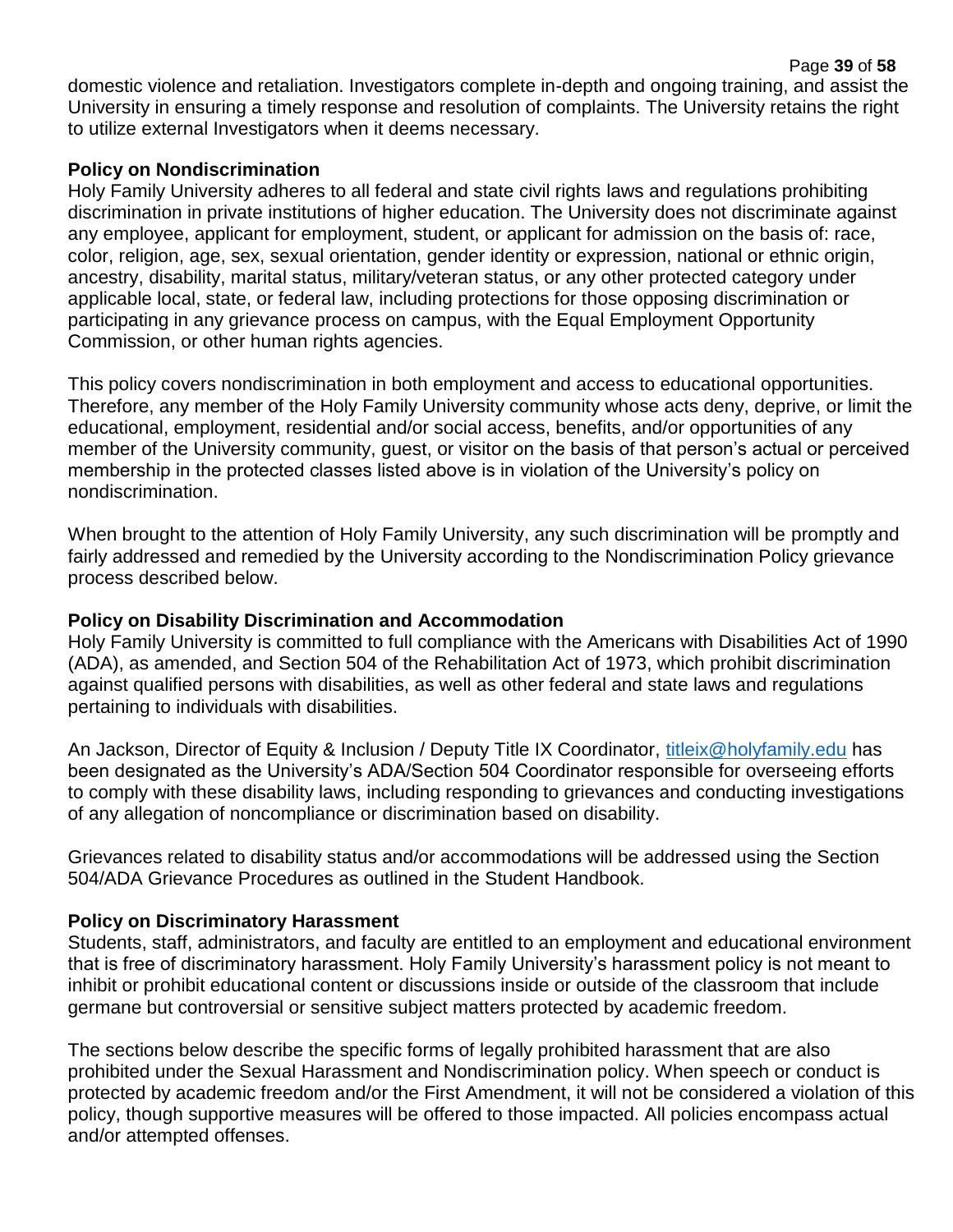Page **39** of **58** domestic violence and retaliation. Investigators complete in-depth and ongoing training, and assist the University in ensuring a timely response and resolution of complaints. The University retains the right to utilize external Investigators when it deems necessary.

## **Policy on Nondiscrimination**

Holy Family University adheres to all federal and state civil rights laws and regulations prohibiting discrimination in private institutions of higher education. The University does not discriminate against any employee, applicant for employment, student, or applicant for admission on the basis of: race, color, religion, age, sex, sexual orientation, gender identity or expression, national or ethnic origin, ancestry, disability, marital status, military/veteran status, or any other protected category under applicable local, state, or federal law, including protections for those opposing discrimination or participating in any grievance process on campus, with the Equal Employment Opportunity Commission, or other human rights agencies.

This policy covers nondiscrimination in both employment and access to educational opportunities. Therefore, any member of the Holy Family University community whose acts deny, deprive, or limit the educational, employment, residential and/or social access, benefits, and/or opportunities of any member of the University community, guest, or visitor on the basis of that person's actual or perceived membership in the protected classes listed above is in violation of the University's policy on nondiscrimination.

When brought to the attention of Holy Family University, any such discrimination will be promptly and fairly addressed and remedied by the University according to the Nondiscrimination Policy grievance process described below.

## **Policy on Disability Discrimination and Accommodation**

Holy Family University is committed to full compliance with the Americans with Disabilities Act of 1990 (ADA), as amended, and Section 504 of the Rehabilitation Act of 1973, which prohibit discrimination against qualified persons with disabilities, as well as other federal and state laws and regulations pertaining to individuals with disabilities.

An Jackson, Director of Equity & Inclusion / Deputy Title IX Coordinator, [titleix@holyfamily.edu](mailto:titleix@holyfamily.edu) has been designated as the University's ADA/Section 504 Coordinator responsible for overseeing efforts to comply with these disability laws, including responding to grievances and conducting investigations of any allegation of noncompliance or discrimination based on disability.

Grievances related to disability status and/or accommodations will be addressed using the Section 504/ADA Grievance Procedures as outlined in the Student Handbook.

## **Policy on Discriminatory Harassment**

Students, staff, administrators, and faculty are entitled to an employment and educational environment that is free of discriminatory harassment. Holy Family University's harassment policy is not meant to inhibit or prohibit educational content or discussions inside or outside of the classroom that include germane but controversial or sensitive subject matters protected by academic freedom.

The sections below describe the specific forms of legally prohibited harassment that are also prohibited under the Sexual Harassment and Nondiscrimination policy. When speech or conduct is protected by academic freedom and/or the First Amendment, it will not be considered a violation of this policy, though supportive measures will be offered to those impacted. All policies encompass actual and/or attempted offenses.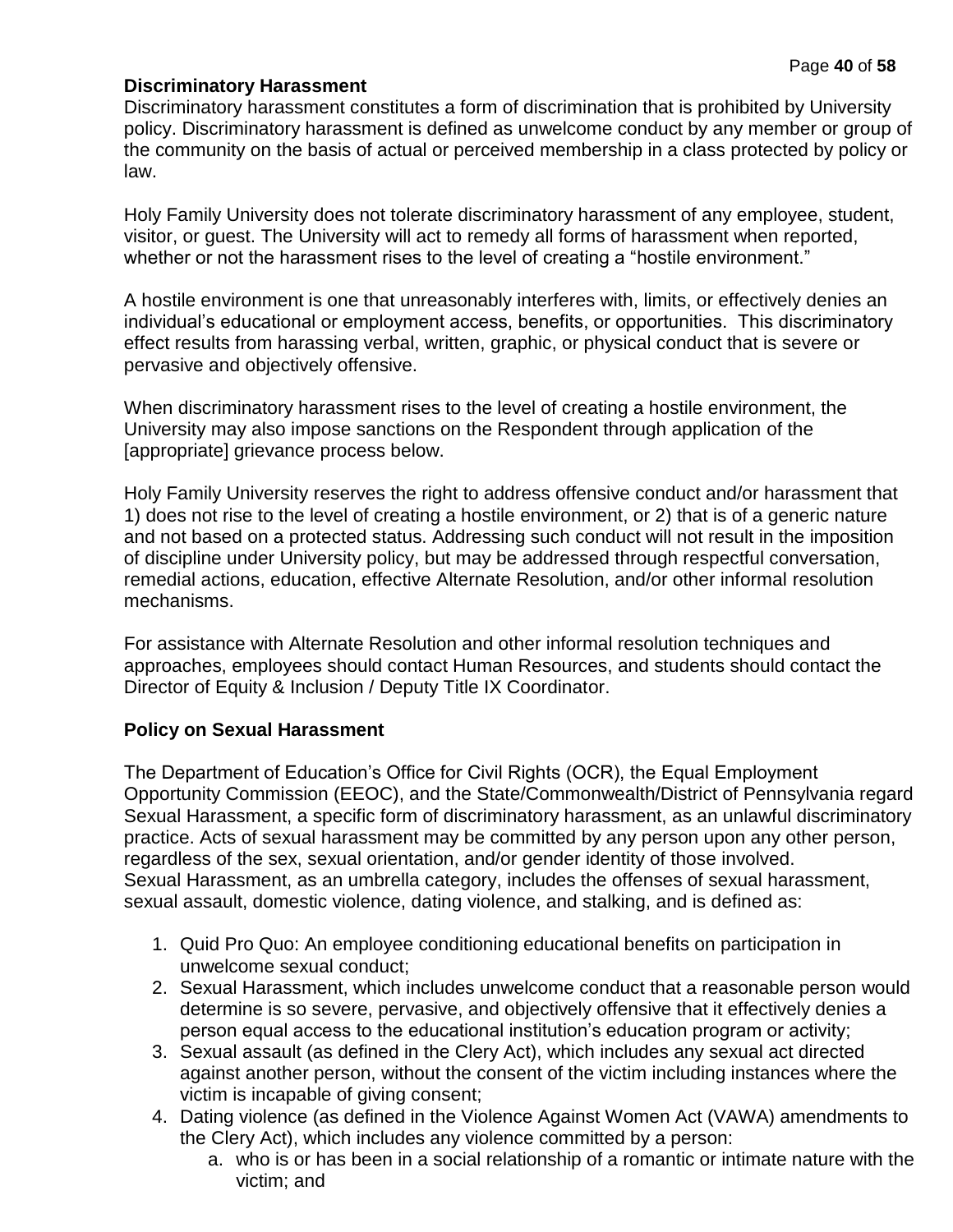## **Discriminatory Harassment**

Discriminatory harassment constitutes a form of discrimination that is prohibited by University policy. Discriminatory harassment is defined as unwelcome conduct by any member or group of the community on the basis of actual or perceived membership in a class protected by policy or law.

Holy Family University does not tolerate discriminatory harassment of any employee, student, visitor, or guest. The University will act to remedy all forms of harassment when reported, whether or not the harassment rises to the level of creating a "hostile environment."

A hostile environment is one that unreasonably interferes with, limits, or effectively denies an individual's educational or employment access, benefits, or opportunities. This discriminatory effect results from harassing verbal, written, graphic, or physical conduct that is severe or pervasive and objectively offensive.

When discriminatory harassment rises to the level of creating a hostile environment, the University may also impose sanctions on the Respondent through application of the [appropriate] grievance process below.

Holy Family University reserves the right to address offensive conduct and/or harassment that 1) does not rise to the level of creating a hostile environment, or 2) that is of a generic nature and not based on a protected status. Addressing such conduct will not result in the imposition of discipline under University policy, but may be addressed through respectful conversation, remedial actions, education, effective Alternate Resolution, and/or other informal resolution mechanisms.

For assistance with Alternate Resolution and other informal resolution techniques and approaches, employees should contact Human Resources, and students should contact the Director of Equity & Inclusion / Deputy Title IX Coordinator.

## **Policy on Sexual Harassment**

The Department of Education's Office for Civil Rights (OCR), the Equal Employment Opportunity Commission (EEOC), and the State/Commonwealth/District of Pennsylvania regard Sexual Harassment, a specific form of discriminatory harassment, as an unlawful discriminatory practice. Acts of sexual harassment may be committed by any person upon any other person, regardless of the sex, sexual orientation, and/or gender identity of those involved. Sexual Harassment, as an umbrella category, includes the offenses of sexual harassment, sexual assault, domestic violence, dating violence, and stalking, and is defined as:

- 1. Quid Pro Quo: An employee conditioning educational benefits on participation in unwelcome sexual conduct;
- 2. Sexual Harassment, which includes unwelcome conduct that a reasonable person would determine is so severe, pervasive, and objectively offensive that it effectively denies a person equal access to the educational institution's education program or activity;
- 3. Sexual assault (as defined in the Clery Act), which includes any sexual act directed against another person, without the consent of the victim including instances where the victim is incapable of giving consent;
- 4. Dating violence (as defined in the Violence Against Women Act (VAWA) amendments to the Clery Act), which includes any violence committed by a person:
	- a. who is or has been in a social relationship of a romantic or intimate nature with the victim; and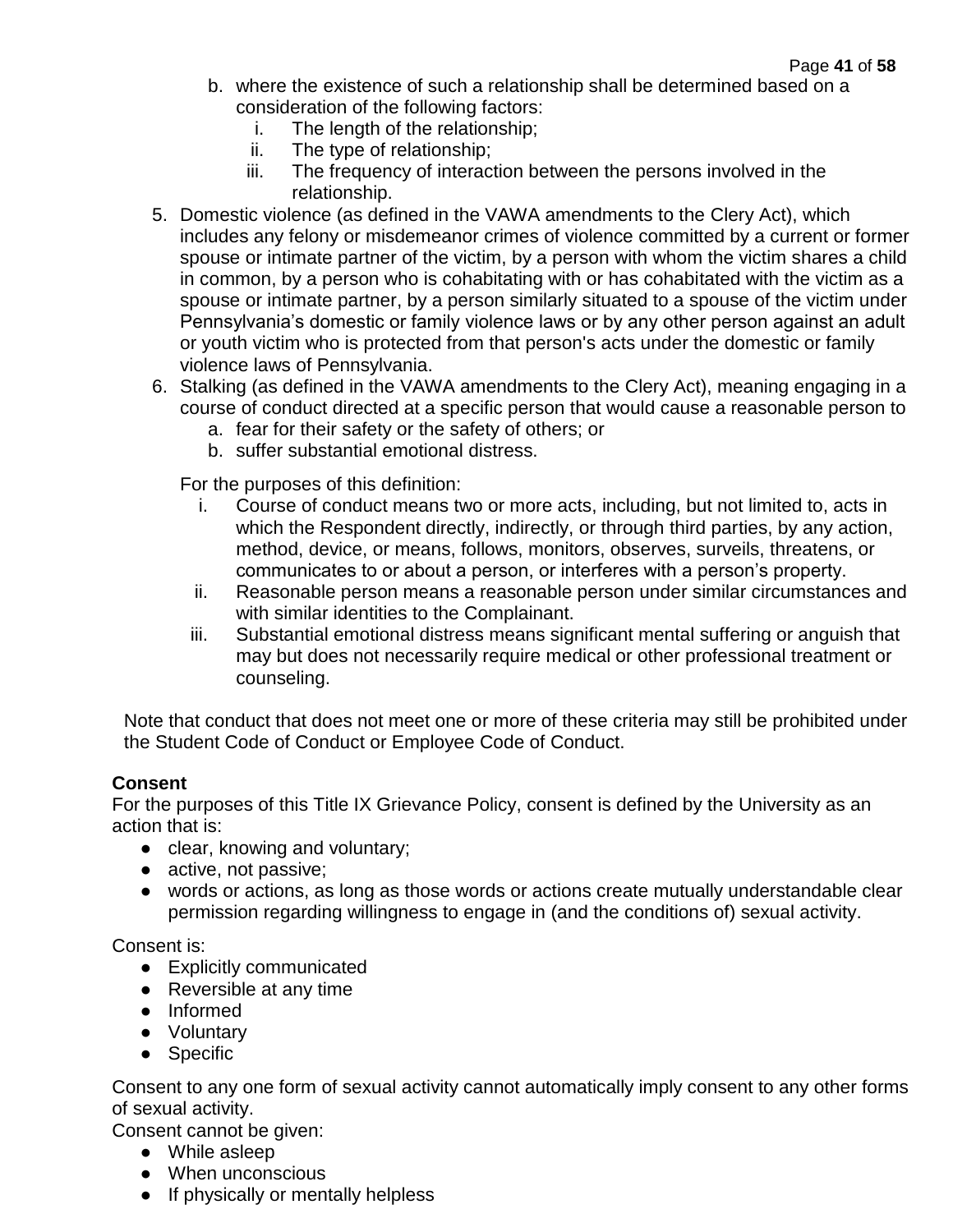- b. where the existence of such a relationship shall be determined based on a consideration of the following factors:
	- i. The length of the relationship;
	- ii. The type of relationship;
	- iii. The frequency of interaction between the persons involved in the relationship.
- 5. Domestic violence (as defined in the VAWA amendments to the Clery Act), which includes any felony or misdemeanor crimes of violence committed by a current or former spouse or intimate partner of the victim, by a person with whom the victim shares a child in common, by a person who is cohabitating with or has cohabitated with the victim as a spouse or intimate partner, by a person similarly situated to a spouse of the victim under Pennsylvania's domestic or family violence laws or by any other person against an adult or youth victim who is protected from that person's acts under the domestic or family violence laws of Pennsylvania.
- 6. Stalking (as defined in the VAWA amendments to the Clery Act), meaning engaging in a course of conduct directed at a specific person that would cause a reasonable person to
	- a. fear for their safety or the safety of others; or
	- b. suffer substantial emotional distress.

For the purposes of this definition:

- i. Course of conduct means two or more acts, including, but not limited to, acts in which the Respondent directly, indirectly, or through third parties, by any action, method, device, or means, follows, monitors, observes, surveils, threatens, or communicates to or about a person, or interferes with a person's property.
- ii. Reasonable person means a reasonable person under similar circumstances and with similar identities to the Complainant.
- iii. Substantial emotional distress means significant mental suffering or anguish that may but does not necessarily require medical or other professional treatment or counseling.

Note that conduct that does not meet one or more of these criteria may still be prohibited under the Student Code of Conduct or Employee Code of Conduct.

## **Consent**

For the purposes of this Title IX Grievance Policy, consent is defined by the University as an action that is:

- clear, knowing and voluntary;
- active, not passive;
- words or actions, as long as those words or actions create mutually understandable clear permission regarding willingness to engage in (and the conditions of) sexual activity.

Consent is:

- Explicitly communicated
- Reversible at any time
- Informed
- Voluntary
- Specific

Consent to any one form of sexual activity cannot automatically imply consent to any other forms of sexual activity.

Consent cannot be given:

- While asleep
- When unconscious
- If physically or mentally helpless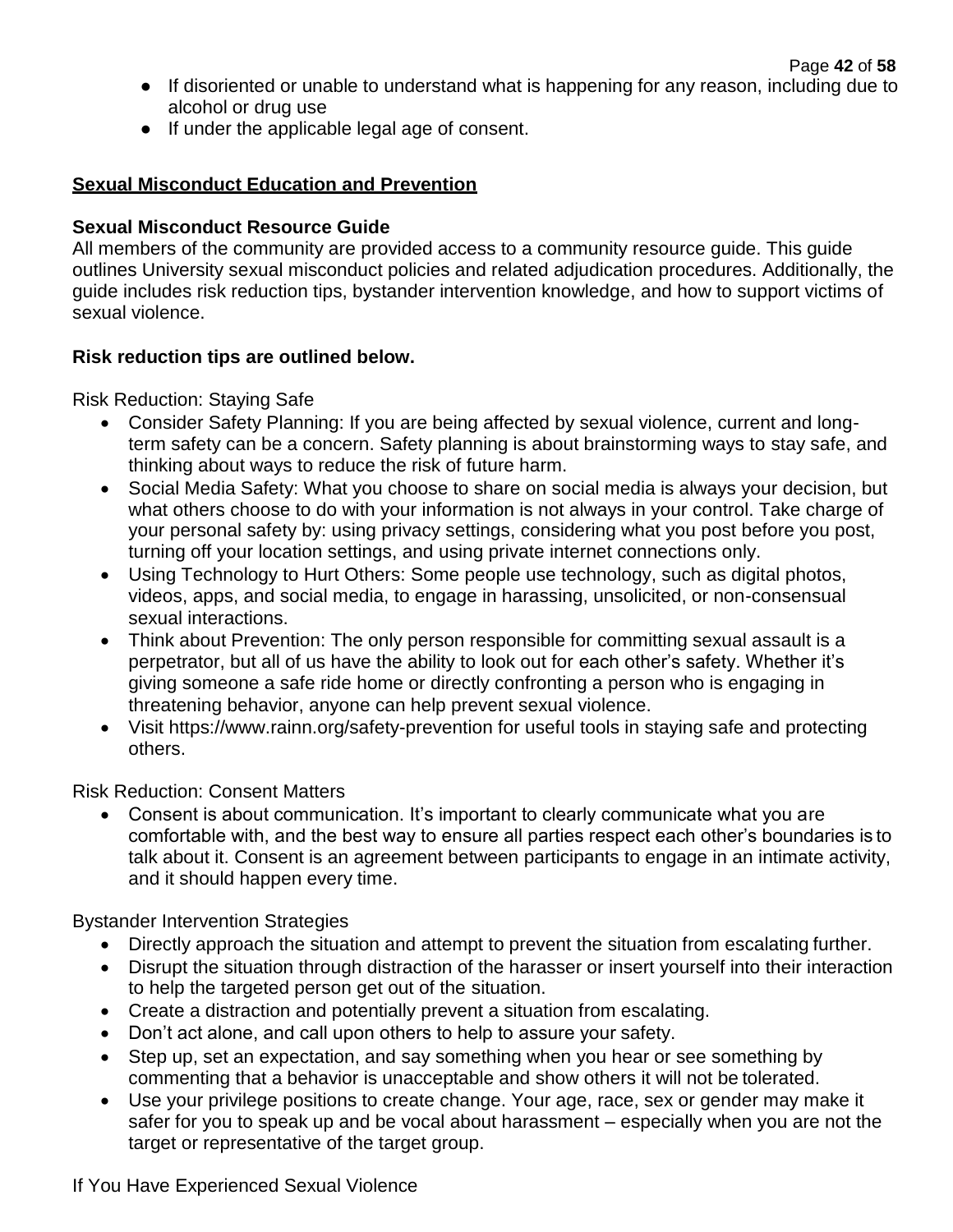- If disoriented or unable to understand what is happening for any reason, including due to alcohol or drug use
- If under the applicable legal age of consent.

## **Sexual Misconduct Education and Prevention**

## **Sexual Misconduct Resource Guide**

All members of the community are provided access to a community resource guide. This guide outlines University sexual misconduct policies and related adjudication procedures. Additionally, the guide includes risk reduction tips, bystander intervention knowledge, and how to support victims of sexual violence.

## **Risk reduction tips are outlined below.**

Risk Reduction: Staying Safe

- Consider Safety Planning: If you are being affected by sexual violence, current and longterm safety can be a concern. Safety planning is about brainstorming ways to stay safe, and thinking about ways to reduce the risk of future harm.
- Social Media Safety: What you choose to share on social media is always your decision, but what others choose to do with your information is not always in your control. Take charge of your personal safety by: using privacy settings, considering what you post before you post, turning off your location settings, and using private internet connections only.
- Using Technology to Hurt Others: Some people use technology, such as digital photos, videos, apps, and social media, to engage in harassing, unsolicited, or non-consensual sexual interactions.
- Think about Prevention: The only person responsible for committing sexual assault is a perpetrator, but all of us have the ability to look out for each other's safety. Whether it's giving someone a safe ride home or directly confronting a person who is engaging in threatening behavior, anyone can help prevent sexual violence.
- Visit https:[//www.rainn.org/safety-prevention f](http://www.rainn.org/safety-prevention)or useful tools in staying safe and protecting others.

Risk Reduction: Consent Matters

• Consent is about communication. It's important to clearly communicate what you are comfortable with, and the best way to ensure all parties respect each other's boundaries is to talk about it. Consent is an agreement between participants to engage in an intimate activity, and it should happen every time.

Bystander Intervention Strategies

- Directly approach the situation and attempt to prevent the situation from escalating further.
- Disrupt the situation through distraction of the harasser or insert yourself into their interaction to help the targeted person get out of the situation.
- Create a distraction and potentially prevent a situation from escalating.
- Don't act alone, and call upon others to help to assure your safety.
- Step up, set an expectation, and say something when you hear or see something by commenting that a behavior is unacceptable and show others it will not be tolerated.
- Use your privilege positions to create change. Your age, race, sex or gender may make it safer for you to speak up and be vocal about harassment – especially when you are not the target or representative of the target group.

If You Have Experienced Sexual Violence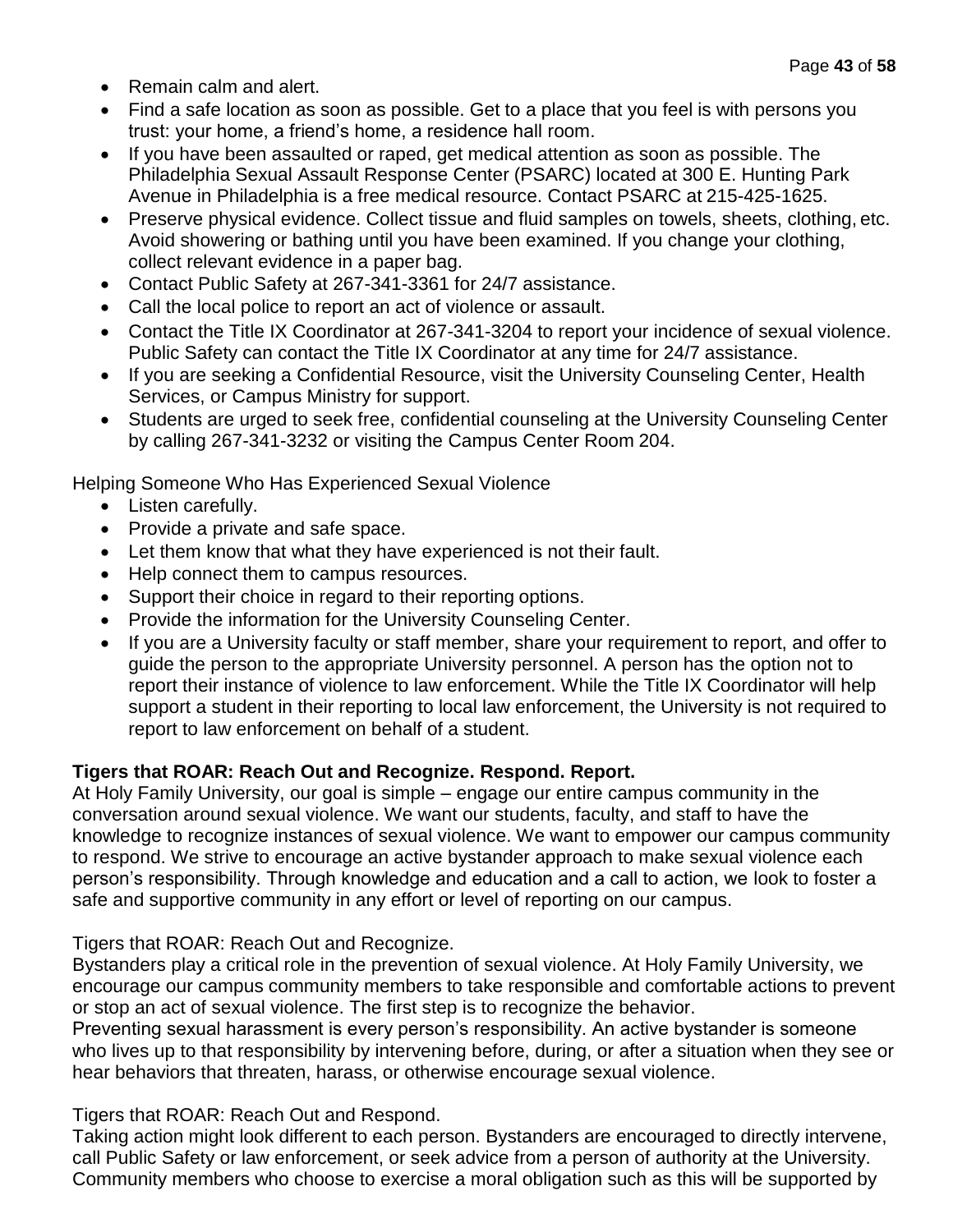- Remain calm and alert.
- Find a safe location as soon as possible. Get to a place that you feel is with persons you trust: your home, a friend's home, a residence hall room.
- If you have been assaulted or raped, get medical attention as soon as possible. The Philadelphia Sexual Assault Response Center (PSARC) located at 300 E. Hunting Park Avenue in Philadelphia is a free medical resource. Contact PSARC at 215-425-1625.
- Preserve physical evidence. Collect tissue and fluid samples on towels, sheets, clothing, etc. Avoid showering or bathing until you have been examined. If you change your clothing, collect relevant evidence in a paper bag.
- Contact Public Safety at 267-341-3361 for 24/7 assistance.
- Call the local police to report an act of violence or assault.
- Contact the Title IX Coordinator at 267-341-3204 to report your incidence of sexual violence. Public Safety can contact the Title IX Coordinator at any time for 24/7 assistance.
- If you are seeking a Confidential Resource, visit the University Counseling Center, Health Services, or Campus Ministry for support.
- Students are urged to seek free, confidential counseling at the University Counseling Center by calling 267-341-3232 or visiting the Campus Center Room 204.

Helping Someone Who Has Experienced Sexual Violence

- Listen carefully.
- Provide a private and safe space.
- Let them know that what they have experienced is not their fault.
- Help connect them to campus resources.
- Support their choice in regard to their reporting options.
- Provide the information for the University Counseling Center.
- If you are a University faculty or staff member, share your requirement to report, and offer to guide the person to the appropriate University personnel. A person has the option not to report their instance of violence to law enforcement. While the Title IX Coordinator will help support a student in their reporting to local law enforcement, the University is not required to report to law enforcement on behalf of a student.

## **Tigers that ROAR: Reach Out and Recognize. Respond. Report.**

At Holy Family University, our goal is simple – engage our entire campus community in the conversation around sexual violence. We want our students, faculty, and staff to have the knowledge to recognize instances of sexual violence. We want to empower our campus community to respond. We strive to encourage an active bystander approach to make sexual violence each person's responsibility. Through knowledge and education and a call to action, we look to foster a safe and supportive community in any effort or level of reporting on our campus.

Tigers that ROAR: Reach Out and Recognize.

Bystanders play a critical role in the prevention of sexual violence. At Holy Family University, we encourage our campus community members to take responsible and comfortable actions to prevent or stop an act of sexual violence. The first step is to recognize the behavior.

Preventing sexual harassment is every person's responsibility. An active bystander is someone who lives up to that responsibility by intervening before, during, or after a situation when they see or hear behaviors that threaten, harass, or otherwise encourage sexual violence.

Tigers that ROAR: Reach Out and Respond.

Taking action might look different to each person. Bystanders are encouraged to directly intervene, call Public Safety or law enforcement, or seek advice from a person of authority at the University. Community members who choose to exercise a moral obligation such as this will be supported by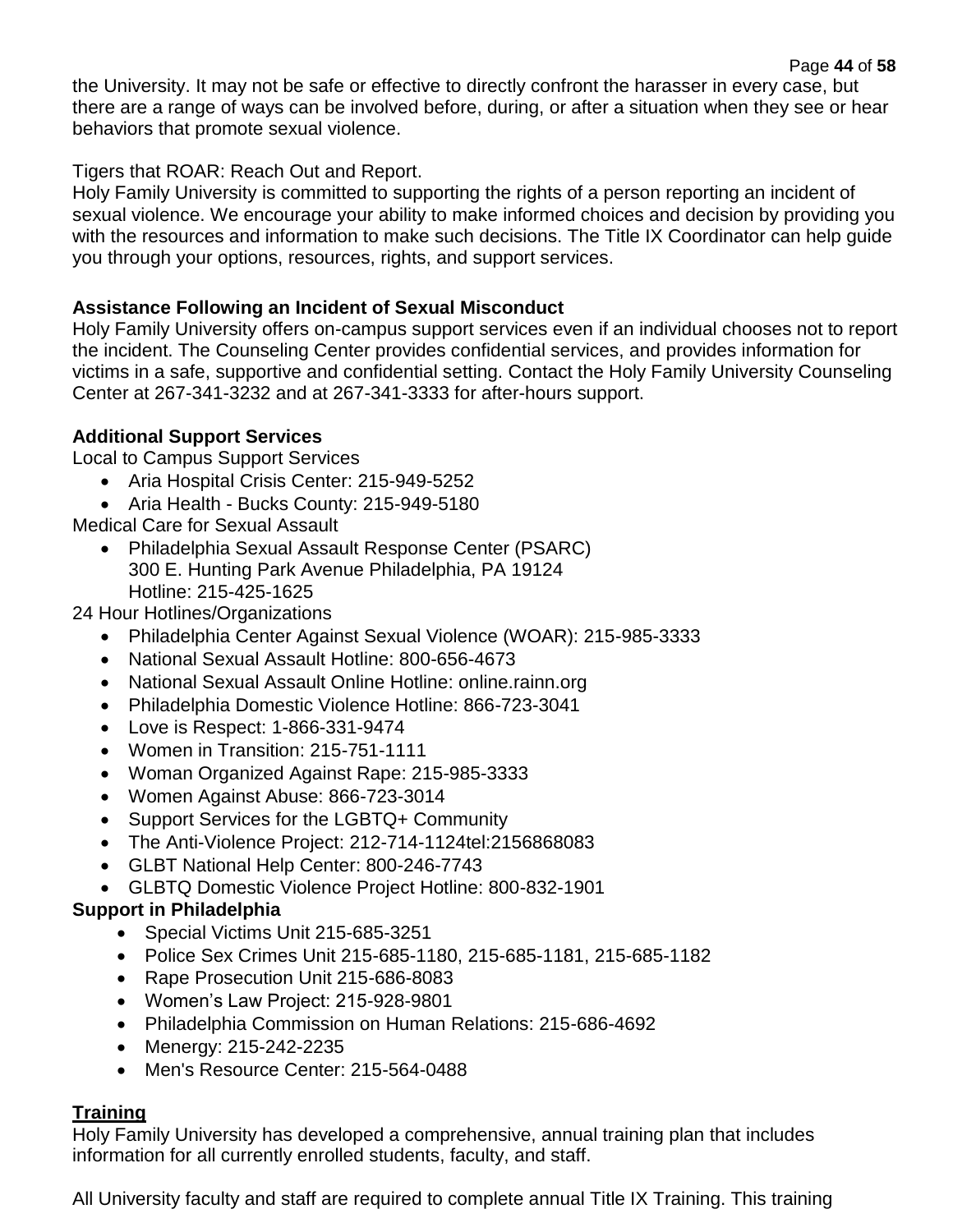Page **44** of **58** the University. It may not be safe or effective to directly confront the harasser in every case, but there are a range of ways can be involved before, during, or after a situation when they see or hear behaviors that promote sexual violence.

Tigers that ROAR: Reach Out and Report.

Holy Family University is committed to supporting the rights of a person reporting an incident of sexual violence. We encourage your ability to make informed choices and decision by providing you with the resources and information to make such decisions. The Title IX Coordinator can help quide you through your options, resources, rights, and support services.

## **Assistance Following an Incident of Sexual Misconduct**

Holy Family University offers on-campus support services even if an individual chooses not to report the incident. The Counseling Center provides confidential services, and provides information for victims in a safe, supportive and confidential setting. Contact the Holy Family University Counseling Center at 267-341-3232 and at 267-341-3333 for after-hours support.

## **Additional Support Services**

Local to Campus Support Services

- Aria Hospital Crisis Center: 215-949-5252
- Aria Health Bucks County: 215-949-5180

Medical Care for Sexual Assault

• Philadelphia Sexual Assault Response Center (PSARC) 300 E. Hunting Park Avenue Philadelphia, PA 19124 Hotline: 215-425-1625

24 Hour Hotlines/Organizations

- Philadelphia Center Against Sexual Violence (WOAR): 215-985-3333
- National Sexual Assault Hotline: 800-656-4673
- National Sexual Assault Online Hotline: online.rainn.org
- Philadelphia Domestic Violence Hotline: 866-723-3041
- Love is Respect: 1-866-331-9474
- Women in Transition: 215-751-1111
- Woman Organized Against Rape: 215-985-3333
- Women Against Abuse: 866-723-3014
- Support Services for the LGBTQ+ Community
- The Anti-Violence Project: 212-714-1124tel:2156868083
- GLBT National Help Center: 800-246-7743
- GLBTQ Domestic Violence Project Hotline: 800-832-1901

## **Support in Philadelphia**

- Special Victims Unit 215-685-3251
- Police Sex Crimes Unit 215-685-1180, 215-685-1181, 215-685-1182
- Rape Prosecution Unit 215-686-8083
- Women's Law Project: 215-928-9801
- Philadelphia Commission on Human Relations: 215-686-4692
- Menergy: 215-242-2235
- Men's Resource Center: 215-564-0488

## **Training**

Holy Family University has developed a comprehensive, annual training plan that includes information for all currently enrolled students, faculty, and staff.

All University faculty and staff are required to complete annual Title IX Training. This training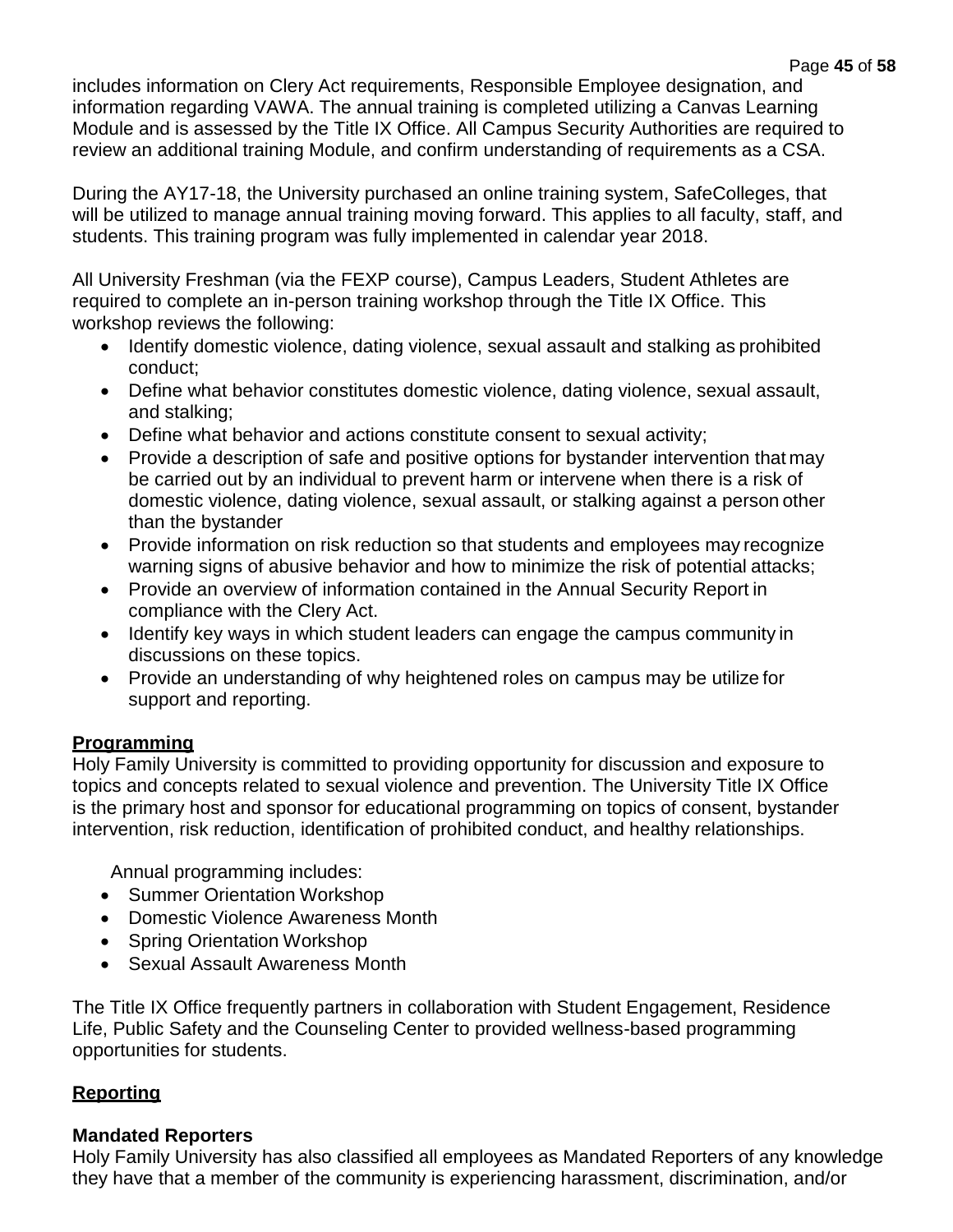includes information on Clery Act requirements, Responsible Employee designation, and information regarding VAWA. The annual training is completed utilizing a Canvas Learning Module and is assessed by the Title IX Office. All Campus Security Authorities are required to review an additional training Module, and confirm understanding of requirements as a CSA.

During the AY17-18, the University purchased an online training system, SafeColleges, that will be utilized to manage annual training moving forward. This applies to all faculty, staff, and students. This training program was fully implemented in calendar year 2018.

All University Freshman (via the FEXP course), Campus Leaders, Student Athletes are required to complete an in-person training workshop through the Title IX Office. This workshop reviews the following:

- Identify domestic violence, dating violence, sexual assault and stalking as prohibited conduct;
- Define what behavior constitutes domestic violence, dating violence, sexual assault, and stalking;
- Define what behavior and actions constitute consent to sexual activity;
- Provide a description of safe and positive options for bystander intervention that may be carried out by an individual to prevent harm or intervene when there is a risk of domestic violence, dating violence, sexual assault, or stalking against a person other than the bystander
- Provide information on risk reduction so that students and employees may recognize warning signs of abusive behavior and how to minimize the risk of potential attacks;
- Provide an overview of information contained in the Annual Security Report in compliance with the Clery Act.
- Identify key ways in which student leaders can engage the campus community in discussions on these topics.
- Provide an understanding of why heightened roles on campus may be utilize for support and reporting.

## **Programming**

Holy Family University is committed to providing opportunity for discussion and exposure to topics and concepts related to sexual violence and prevention. The University Title IX Office is the primary host and sponsor for educational programming on topics of consent, bystander intervention, risk reduction, identification of prohibited conduct, and healthy relationships.

Annual programming includes:

- Summer Orientation Workshop
- Domestic Violence Awareness Month
- Spring Orientation Workshop
- Sexual Assault Awareness Month

The Title IX Office frequently partners in collaboration with Student Engagement, Residence Life, Public Safety and the Counseling Center to provided wellness-based programming opportunities for students.

## **Reporting**

## **Mandated Reporters**

Holy Family University has also classified all employees as Mandated Reporters of any knowledge they have that a member of the community is experiencing harassment, discrimination, and/or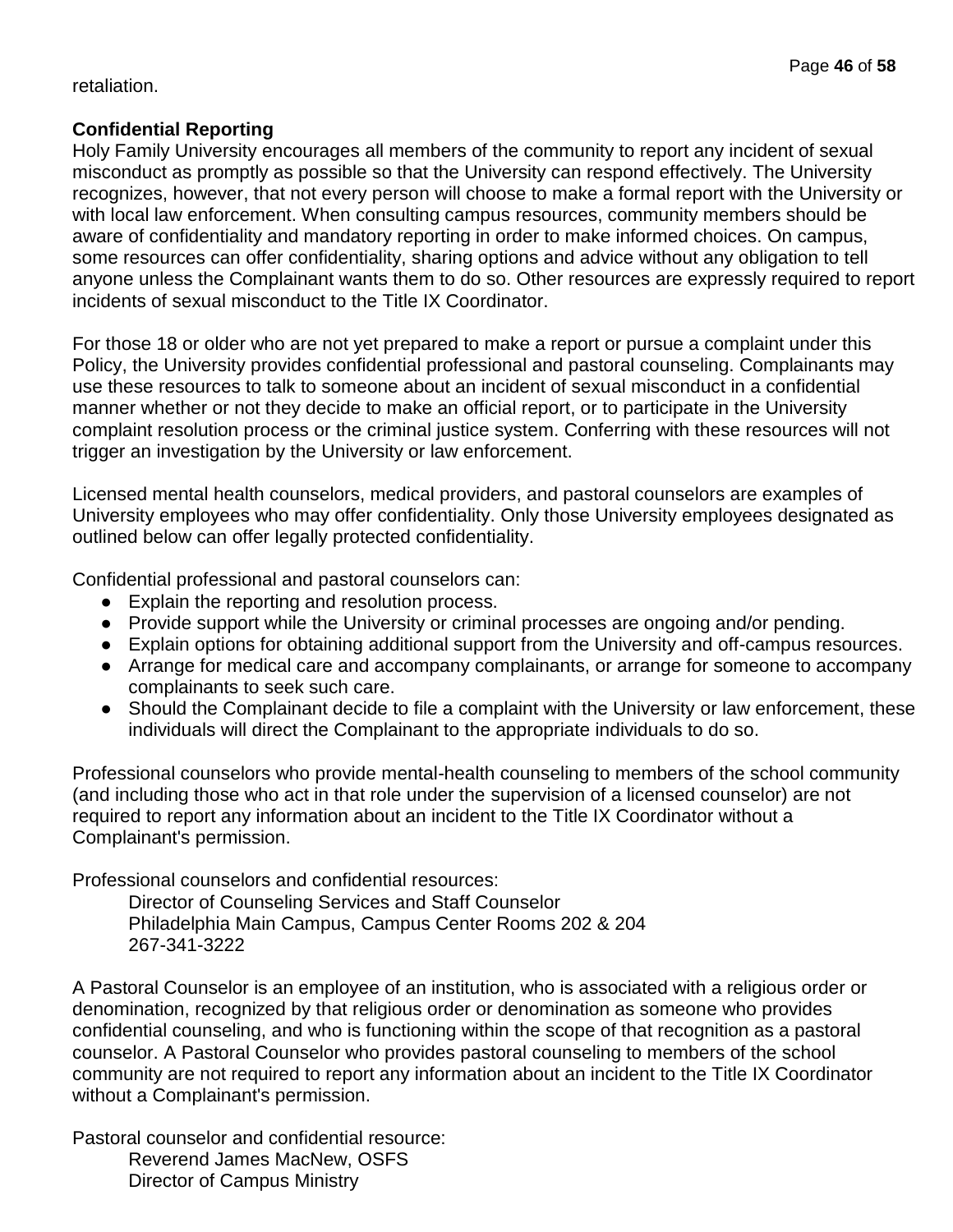#### retaliation.

## **Confidential Reporting**

Holy Family University encourages all members of the community to report any incident of sexual misconduct as promptly as possible so that the University can respond effectively. The University recognizes, however, that not every person will choose to make a formal report with the University or with local law enforcement. When consulting campus resources, community members should be aware of confidentiality and mandatory reporting in order to make informed choices. On campus, some resources can offer confidentiality, sharing options and advice without any obligation to tell anyone unless the Complainant wants them to do so. Other resources are expressly required to report incidents of sexual misconduct to the Title IX Coordinator.

For those 18 or older who are not yet prepared to make a report or pursue a complaint under this Policy, the University provides confidential professional and pastoral counseling. Complainants may use these resources to talk to someone about an incident of sexual misconduct in a confidential manner whether or not they decide to make an official report, or to participate in the University complaint resolution process or the criminal justice system. Conferring with these resources will not trigger an investigation by the University or law enforcement.

Licensed mental health counselors, medical providers, and pastoral counselors are examples of University employees who may offer confidentiality. Only those University employees designated as outlined below can offer legally protected confidentiality.

Confidential professional and pastoral counselors can:

- Explain the reporting and resolution process.
- Provide support while the University or criminal processes are ongoing and/or pending.
- Explain options for obtaining additional support from the University and off-campus resources.
- Arrange for medical care and accompany complainants, or arrange for someone to accompany complainants to seek such care.
- Should the Complainant decide to file a complaint with the University or law enforcement, these individuals will direct the Complainant to the appropriate individuals to do so.

Professional counselors who provide mental-health counseling to members of the school community (and including those who act in that role under the supervision of a licensed counselor) are not required to report any information about an incident to the Title IX Coordinator without a Complainant's permission.

Professional counselors and confidential resources:

Director of Counseling Services and Staff Counselor Philadelphia Main Campus, Campus Center Rooms 202 & 204 267-341-3222

A Pastoral Counselor is an employee of an institution, who is associated with a religious order or denomination, recognized by that religious order or denomination as someone who provides confidential counseling, and who is functioning within the scope of that recognition as a pastoral counselor. A Pastoral Counselor who provides pastoral counseling to members of the school community are not required to report any information about an incident to the Title IX Coordinator without a Complainant's permission.

Pastoral counselor and confidential resource: Reverend James MacNew, OSFS Director of Campus Ministry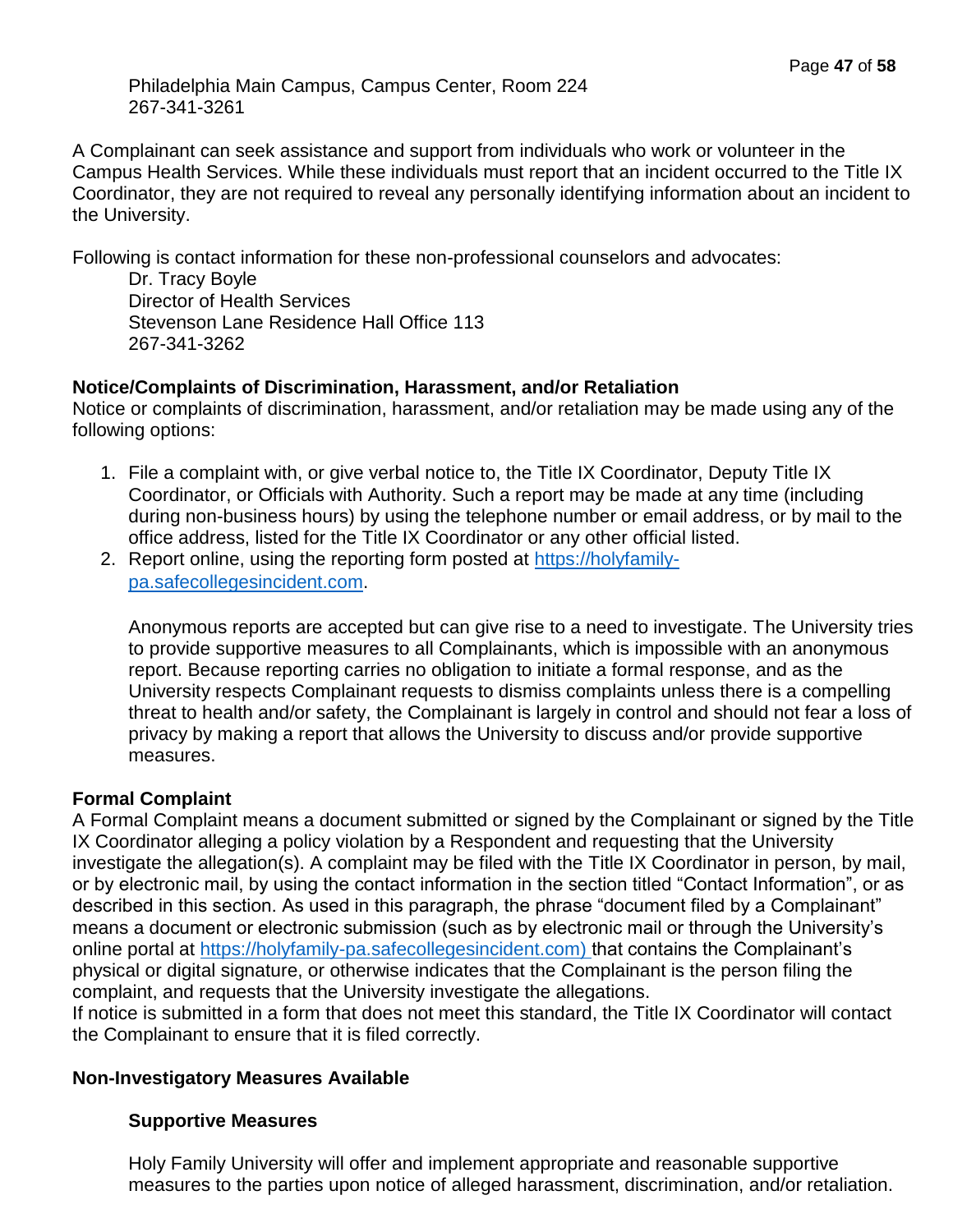Philadelphia Main Campus, Campus Center, Room 224 267-341-3261

A Complainant can seek assistance and support from individuals who work or volunteer in the Campus Health Services. While these individuals must report that an incident occurred to the Title IX Coordinator, they are not required to reveal any personally identifying information about an incident to the University.

Following is contact information for these non-professional counselors and advocates:

Dr. Tracy Boyle Director of Health Services Stevenson Lane Residence Hall Office 113 267-341-3262

## **Notice/Complaints of Discrimination, Harassment, and/or Retaliation**

Notice or complaints of discrimination, harassment, and/or retaliation may be made using any of the following options:

- 1. File a complaint with, or give verbal notice to, the Title IX Coordinator, Deputy Title IX Coordinator, or Officials with Authority. Such a report may be made at any time (including during non-business hours) by using the telephone number or email address, or by mail to the office address, listed for the Title IX Coordinator or any other official listed.
- 2. Report online, using the reporting form posted at [https://holyfamily](https://holyfamily-pa.safecollegesincident.com/)[pa.safecollegesincident.com.](https://holyfamily-pa.safecollegesincident.com/)

Anonymous reports are accepted but can give rise to a need to investigate. The University tries to provide supportive measures to all Complainants, which is impossible with an anonymous report. Because reporting carries no obligation to initiate a formal response, and as the University respects Complainant requests to dismiss complaints unless there is a compelling threat to health and/or safety, the Complainant is largely in control and should not fear a loss of privacy by making a report that allows the University to discuss and/or provide supportive measures.

## **Formal Complaint**

A Formal Complaint means a document submitted or signed by the Complainant or signed by the Title IX Coordinator alleging a policy violation by a Respondent and requesting that the University investigate the allegation(s). A complaint may be filed with the Title IX Coordinator in person, by mail, or by electronic mail, by using the contact information in the section titled "Contact Information", or as described in this section. As used in this paragraph, the phrase "document filed by a Complainant" means a document or electronic submission (such as by electronic mail or through the University's online portal at [https://holyfamily-pa.safecollegesincident.com\)](https://holyfamily-pa.safecollegesincident.com/) that contains the Complainant's physical or digital signature, or otherwise indicates that the Complainant is the person filing the complaint, and requests that the University investigate the allegations.

If notice is submitted in a form that does not meet this standard, the Title IX Coordinator will contact the Complainant to ensure that it is filed correctly.

## **Non-Investigatory Measures Available**

## **Supportive Measures**

Holy Family University will offer and implement appropriate and reasonable supportive measures to the parties upon notice of alleged harassment, discrimination, and/or retaliation.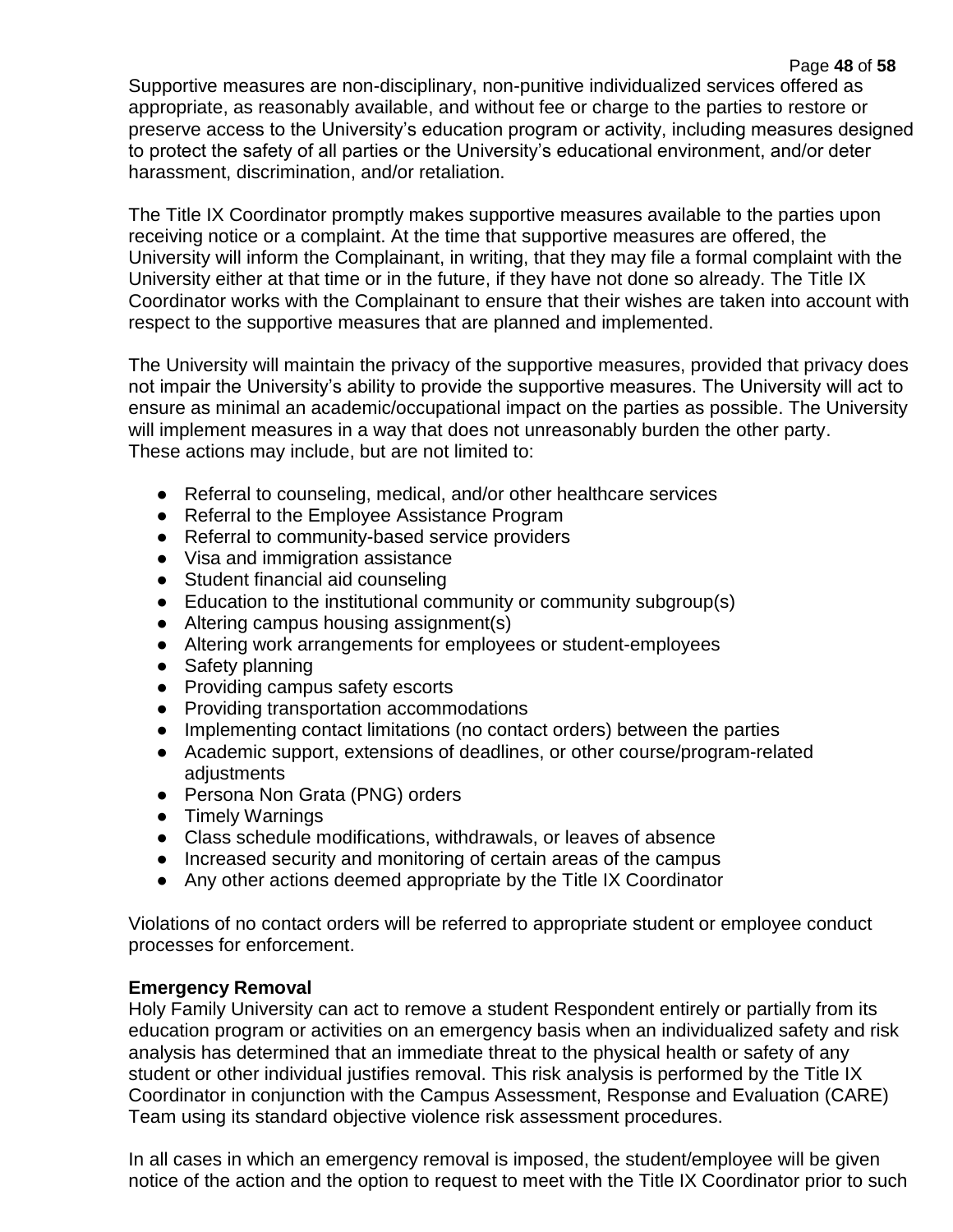Page **48** of **58** Supportive measures are non-disciplinary, non-punitive individualized services offered as appropriate, as reasonably available, and without fee or charge to the parties to restore or preserve access to the University's education program or activity, including measures designed to protect the safety of all parties or the University's educational environment, and/or deter harassment, discrimination, and/or retaliation.

The Title IX Coordinator promptly makes supportive measures available to the parties upon receiving notice or a complaint. At the time that supportive measures are offered, the University will inform the Complainant, in writing, that they may file a formal complaint with the University either at that time or in the future, if they have not done so already. The Title IX Coordinator works with the Complainant to ensure that their wishes are taken into account with respect to the supportive measures that are planned and implemented.

The University will maintain the privacy of the supportive measures, provided that privacy does not impair the University's ability to provide the supportive measures. The University will act to ensure as minimal an academic/occupational impact on the parties as possible. The University will implement measures in a way that does not unreasonably burden the other party. These actions may include, but are not limited to:

- Referral to counseling, medical, and/or other healthcare services
- Referral to the Employee Assistance Program
- Referral to community-based service providers
- Visa and immigration assistance
- Student financial aid counseling
- Education to the institutional community or community subgroup(s)
- Altering campus housing assignment(s)
- Altering work arrangements for employees or student-employees
- Safety planning
- Providing campus safety escorts
- Providing transportation accommodations
- Implementing contact limitations (no contact orders) between the parties
- Academic support, extensions of deadlines, or other course/program-related adiustments
- Persona Non Grata (PNG) orders
- Timely Warnings
- Class schedule modifications, withdrawals, or leaves of absence
- Increased security and monitoring of certain areas of the campus
- Any other actions deemed appropriate by the Title IX Coordinator

Violations of no contact orders will be referred to appropriate student or employee conduct processes for enforcement.

## **Emergency Removal**

Holy Family University can act to remove a student Respondent entirely or partially from its education program or activities on an emergency basis when an individualized safety and risk analysis has determined that an immediate threat to the physical health or safety of any student or other individual justifies removal. This risk analysis is performed by the Title IX Coordinator in conjunction with the Campus Assessment, Response and Evaluation (CARE) Team using its standard objective violence risk assessment procedures.

In all cases in which an emergency removal is imposed, the student/employee will be given notice of the action and the option to request to meet with the Title IX Coordinator prior to such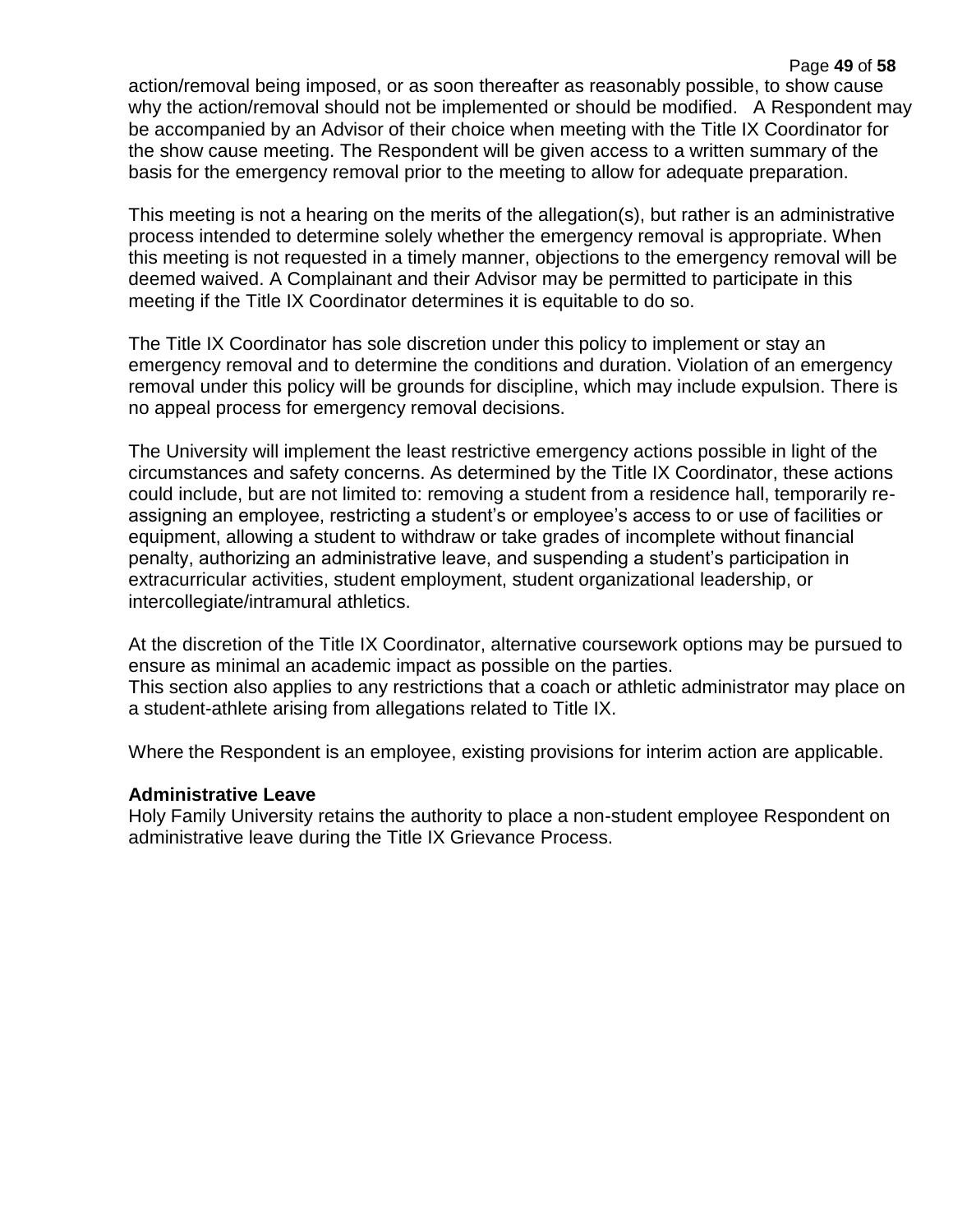#### Page **49** of **58**

action/removal being imposed, or as soon thereafter as reasonably possible, to show cause why the action/removal should not be implemented or should be modified. A Respondent may be accompanied by an Advisor of their choice when meeting with the Title IX Coordinator for the show cause meeting. The Respondent will be given access to a written summary of the basis for the emergency removal prior to the meeting to allow for adequate preparation.

This meeting is not a hearing on the merits of the allegation(s), but rather is an administrative process intended to determine solely whether the emergency removal is appropriate. When this meeting is not requested in a timely manner, objections to the emergency removal will be deemed waived. A Complainant and their Advisor may be permitted to participate in this meeting if the Title IX Coordinator determines it is equitable to do so.

The Title IX Coordinator has sole discretion under this policy to implement or stay an emergency removal and to determine the conditions and duration. Violation of an emergency removal under this policy will be grounds for discipline, which may include expulsion. There is no appeal process for emergency removal decisions.

The University will implement the least restrictive emergency actions possible in light of the circumstances and safety concerns. As determined by the Title IX Coordinator, these actions could include, but are not limited to: removing a student from a residence hall, temporarily reassigning an employee, restricting a student's or employee's access to or use of facilities or equipment, allowing a student to withdraw or take grades of incomplete without financial penalty, authorizing an administrative leave, and suspending a student's participation in extracurricular activities, student employment, student organizational leadership, or intercollegiate/intramural athletics.

At the discretion of the Title IX Coordinator, alternative coursework options may be pursued to ensure as minimal an academic impact as possible on the parties. This section also applies to any restrictions that a coach or athletic administrator may place on a student-athlete arising from allegations related to Title IX.

Where the Respondent is an employee, existing provisions for interim action are applicable.

#### **Administrative Leave**

Holy Family University retains the authority to place a non-student employee Respondent on administrative leave during the Title IX Grievance Process.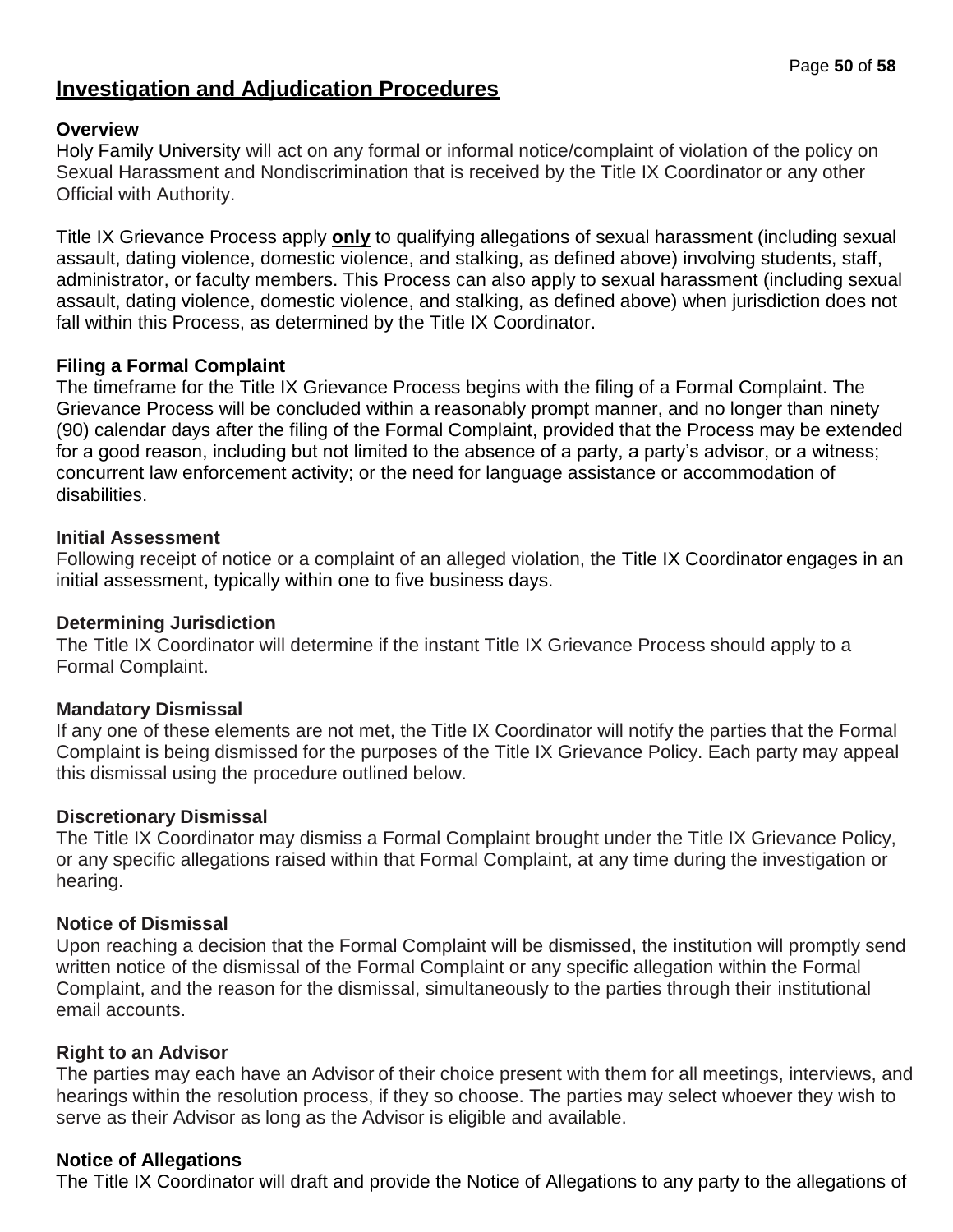## **Investigation and Adjudication Procedures**

#### **Overview**

Holy Family University will act on any formal or informal notice/complaint of violation of the policy on Sexual Harassment and Nondiscrimination that is received by the Title IX Coordinator or any other Official with Authority.

Title IX Grievance Process apply **only** to qualifying allegations of sexual harassment (including sexual assault, dating violence, domestic violence, and stalking, as defined above) involving students, staff, administrator, or faculty members. This Process can also apply to sexual harassment (including sexual assault, dating violence, domestic violence, and stalking, as defined above) when jurisdiction does not fall within this Process, as determined by the Title IX Coordinator.

#### **Filing a Formal Complaint**

The timeframe for the Title IX Grievance Process begins with the filing of a Formal Complaint. The Grievance Process will be concluded within a reasonably prompt manner, and no longer than ninety (90) calendar days after the filing of the Formal Complaint, provided that the Process may be extended for a good reason, including but not limited to the absence of a party, a party's advisor, or a witness; concurrent law enforcement activity; or the need for language assistance or accommodation of disabilities.

#### **Initial Assessment**

Following receipt of notice or a complaint of an alleged violation, the Title IX Coordinator engages in an initial assessment, typically within one to five business days.

#### **Determining Jurisdiction**

The Title IX Coordinator will determine if the instant Title IX Grievance Process should apply to a Formal Complaint.

## **Mandatory Dismissal**

If any one of these elements are not met, the Title IX Coordinator will notify the parties that the Formal Complaint is being dismissed for the purposes of the Title IX Grievance Policy. Each party may appeal this dismissal using the procedure outlined below.

#### **Discretionary Dismissal**

The Title IX Coordinator may dismiss a Formal Complaint brought under the Title IX Grievance Policy, or any specific allegations raised within that Formal Complaint, at any time during the investigation or hearing.

#### **Notice of Dismissal**

Upon reaching a decision that the Formal Complaint will be dismissed, the institution will promptly send written notice of the dismissal of the Formal Complaint or any specific allegation within the Formal Complaint, and the reason for the dismissal, simultaneously to the parties through their institutional email accounts.

#### **Right to an Advisor**

The parties may each have an Advisor of their choice present with them for all meetings, interviews, and hearings within the resolution process, if they so choose. The parties may select whoever they wish to serve as their Advisor as long as the Advisor is eligible and available.

#### **Notice of Allegations**

The Title IX Coordinator will draft and provide the Notice of Allegations to any party to the allegations of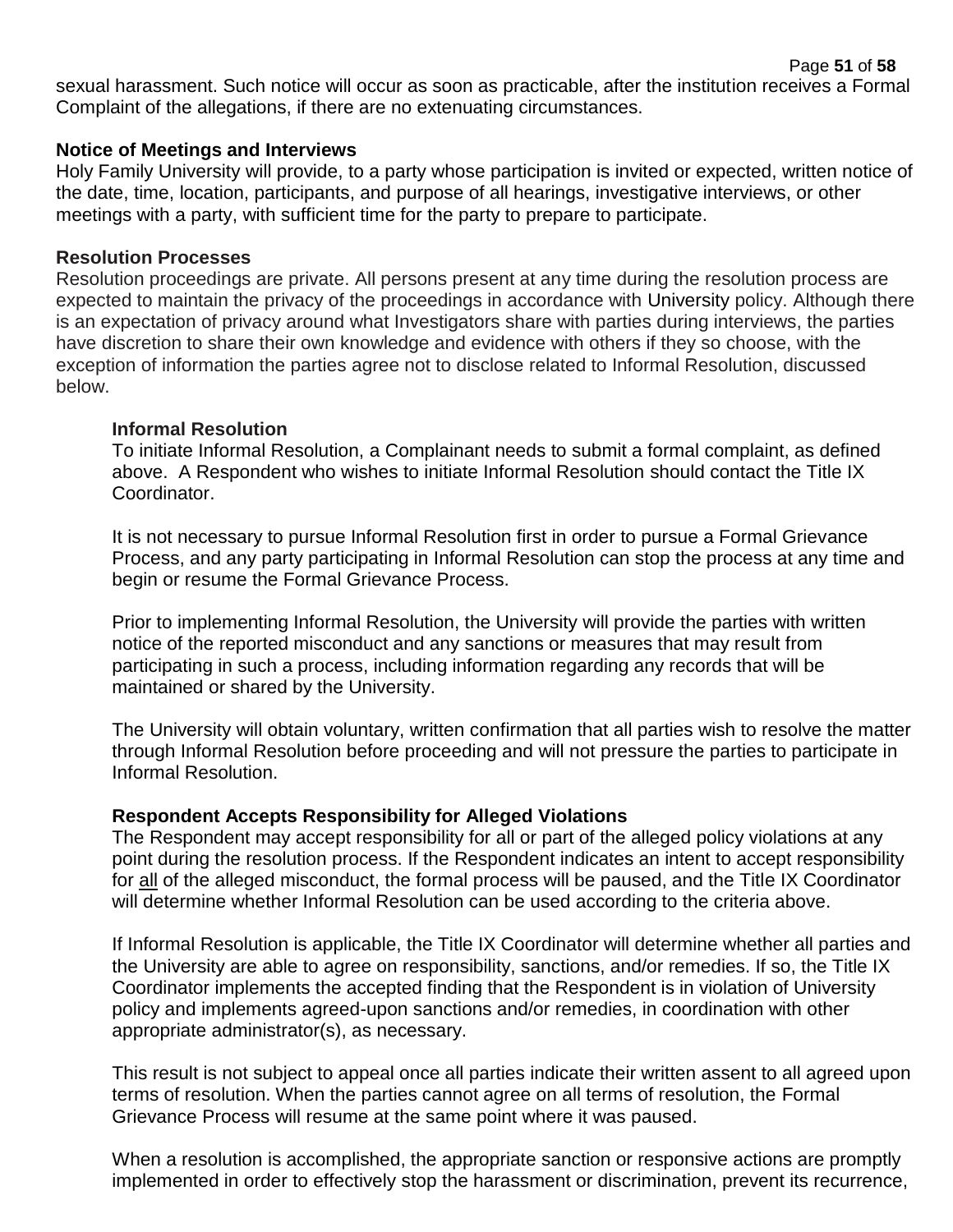sexual harassment. Such notice will occur as soon as practicable, after the institution receives a Formal Complaint of the allegations, if there are no extenuating circumstances.

#### **Notice of Meetings and Interviews**

Holy Family University will provide, to a party whose participation is invited or expected, written notice of the date, time, location, participants, and purpose of all hearings, investigative interviews, or other meetings with a party, with sufficient time for the party to prepare to participate.

#### **Resolution Processes**

Resolution proceedings are private. All persons present at any time during the resolution process are expected to maintain the privacy of the proceedings in accordance with University policy. Although there is an expectation of privacy around what Investigators share with parties during interviews, the parties have discretion to share their own knowledge and evidence with others if they so choose, with the exception of information the parties agree not to disclose related to Informal Resolution, discussed below.

#### **Informal Resolution**

To initiate Informal Resolution, a Complainant needs to submit a formal complaint, as defined above. A Respondent who wishes to initiate Informal Resolution should contact the Title IX Coordinator.

It is not necessary to pursue Informal Resolution first in order to pursue a Formal Grievance Process, and any party participating in Informal Resolution can stop the process at any time and begin or resume the Formal Grievance Process.

Prior to implementing Informal Resolution, the University will provide the parties with written notice of the reported misconduct and any sanctions or measures that may result from participating in such a process, including information regarding any records that will be maintained or shared by the University.

The University will obtain voluntary, written confirmation that all parties wish to resolve the matter through Informal Resolution before proceeding and will not pressure the parties to participate in Informal Resolution.

## **Respondent Accepts Responsibility for Alleged Violations**

The Respondent may accept responsibility for all or part of the alleged policy violations at any point during the resolution process. If the Respondent indicates an intent to accept responsibility for all of the alleged misconduct, the formal process will be paused, and the Title IX Coordinator will determine whether Informal Resolution can be used according to the criteria above.

If Informal Resolution is applicable, the Title IX Coordinator will determine whether all parties and the University are able to agree on responsibility, sanctions, and/or remedies. If so, the Title IX Coordinator implements the accepted finding that the Respondent is in violation of University policy and implements agreed-upon sanctions and/or remedies, in coordination with other appropriate administrator(s), as necessary.

This result is not subject to appeal once all parties indicate their written assent to all agreed upon terms of resolution. When the parties cannot agree on all terms of resolution, the Formal Grievance Process will resume at the same point where it was paused.

When a resolution is accomplished, the appropriate sanction or responsive actions are promptly implemented in order to effectively stop the harassment or discrimination, prevent its recurrence,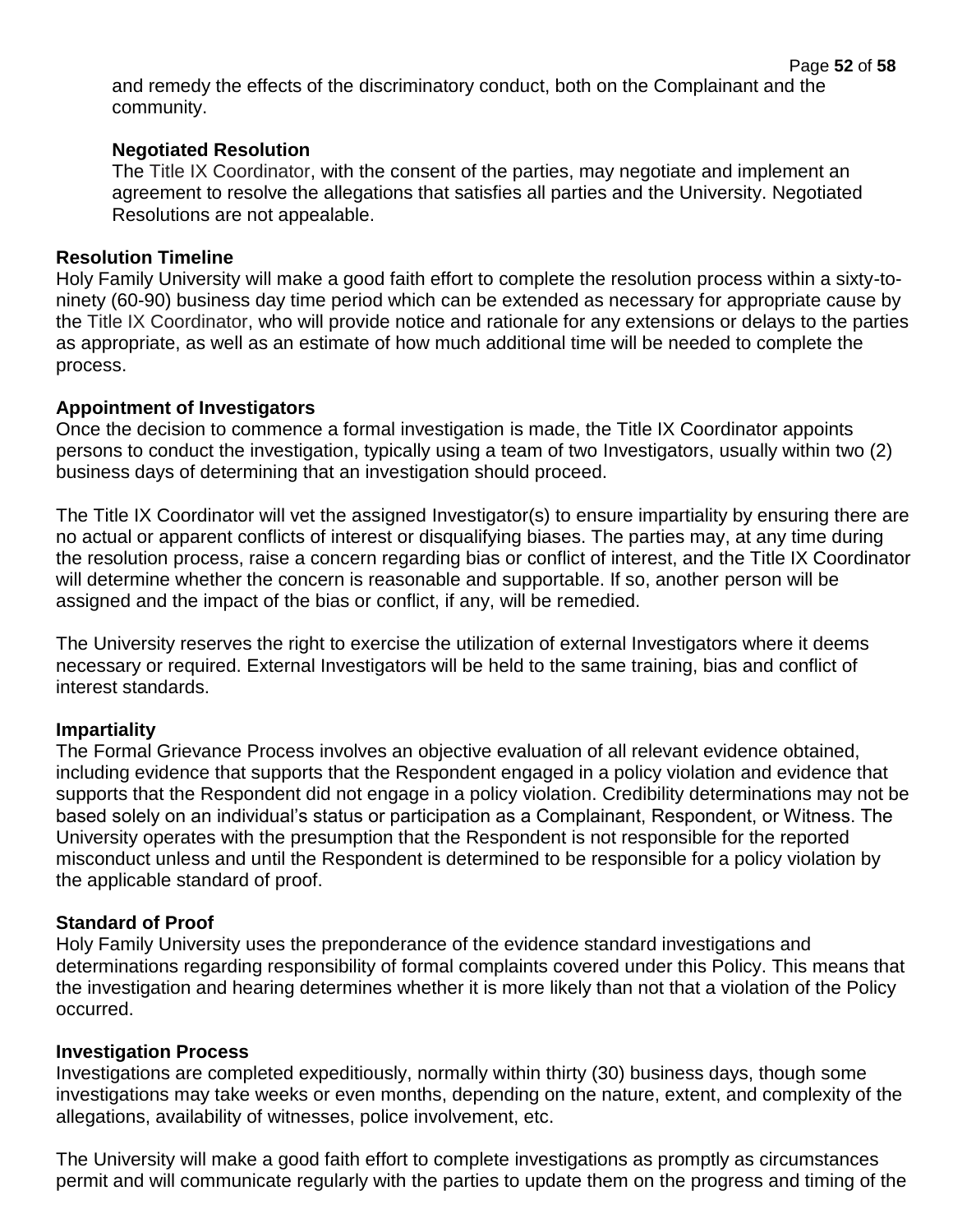and remedy the effects of the discriminatory conduct, both on the Complainant and the community.

## **Negotiated Resolution**

The Title IX Coordinator, with the consent of the parties, may negotiate and implement an agreement to resolve the allegations that satisfies all parties and the University. Negotiated Resolutions are not appealable.

## **Resolution Timeline**

Holy Family University will make a good faith effort to complete the resolution process within a sixty-toninety (60-90) business day time period which can be extended as necessary for appropriate cause by the Title IX Coordinator, who will provide notice and rationale for any extensions or delays to the parties as appropriate, as well as an estimate of how much additional time will be needed to complete the process.

## **Appointment of Investigators**

Once the decision to commence a formal investigation is made, the Title IX Coordinator appoints persons to conduct the investigation, typically using a team of two Investigators, usually within two (2) business days of determining that an investigation should proceed.

The Title IX Coordinator will vet the assigned Investigator(s) to ensure impartiality by ensuring there are no actual or apparent conflicts of interest or disqualifying biases. The parties may, at any time during the resolution process, raise a concern regarding bias or conflict of interest, and the Title IX Coordinator will determine whether the concern is reasonable and supportable. If so, another person will be assigned and the impact of the bias or conflict, if any, will be remedied.

The University reserves the right to exercise the utilization of external Investigators where it deems necessary or required. External Investigators will be held to the same training, bias and conflict of interest standards.

## **Impartiality**

The Formal Grievance Process involves an objective evaluation of all relevant evidence obtained, including evidence that supports that the Respondent engaged in a policy violation and evidence that supports that the Respondent did not engage in a policy violation. Credibility determinations may not be based solely on an individual's status or participation as a Complainant, Respondent, or Witness. The University operates with the presumption that the Respondent is not responsible for the reported misconduct unless and until the Respondent is determined to be responsible for a policy violation by the applicable standard of proof.

## **Standard of Proof**

Holy Family University uses the preponderance of the evidence standard investigations and determinations regarding responsibility of formal complaints covered under this Policy. This means that the investigation and hearing determines whether it is more likely than not that a violation of the Policy occurred.

## **Investigation Process**

Investigations are completed expeditiously, normally within thirty (30) business days, though some investigations may take weeks or even months, depending on the nature, extent, and complexity of the allegations, availability of witnesses, police involvement, etc.

The University will make a good faith effort to complete investigations as promptly as circumstances permit and will communicate regularly with the parties to update them on the progress and timing of the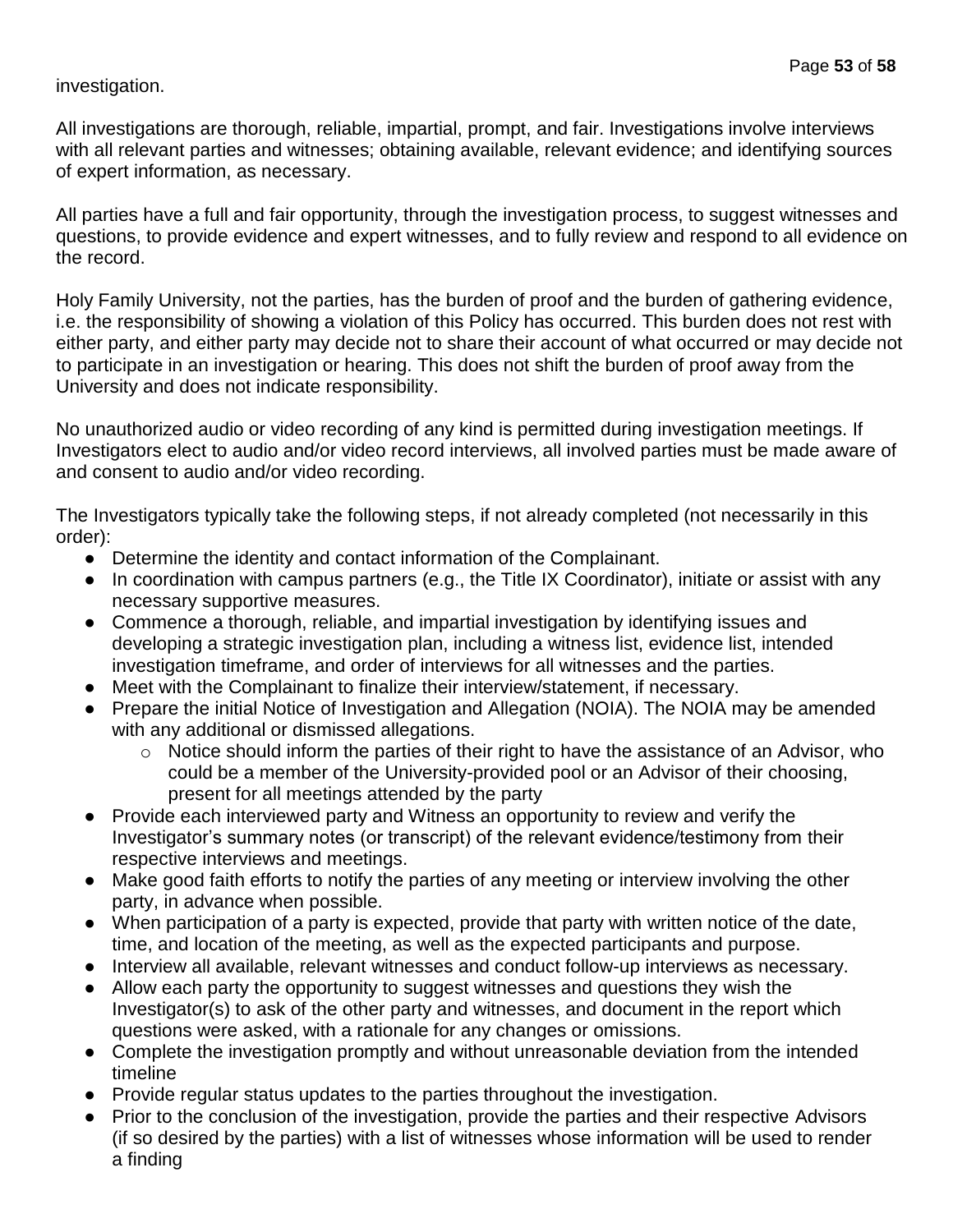## investigation.

All investigations are thorough, reliable, impartial, prompt, and fair. Investigations involve interviews with all relevant parties and witnesses; obtaining available, relevant evidence; and identifying sources of expert information, as necessary.

All parties have a full and fair opportunity, through the investigation process, to suggest witnesses and questions, to provide evidence and expert witnesses, and to fully review and respond to all evidence on the record.

Holy Family University, not the parties, has the burden of proof and the burden of gathering evidence, i.e. the responsibility of showing a violation of this Policy has occurred. This burden does not rest with either party, and either party may decide not to share their account of what occurred or may decide not to participate in an investigation or hearing. This does not shift the burden of proof away from the University and does not indicate responsibility.

No unauthorized audio or video recording of any kind is permitted during investigation meetings. If Investigators elect to audio and/or video record interviews, all involved parties must be made aware of and consent to audio and/or video recording.

The Investigators typically take the following steps, if not already completed (not necessarily in this order):

- Determine the identity and contact information of the Complainant.
- In coordination with campus partners (e.g., the Title IX Coordinator), initiate or assist with any necessary supportive measures.
- Commence a thorough, reliable, and impartial investigation by identifying issues and developing a strategic investigation plan, including a witness list, evidence list, intended investigation timeframe, and order of interviews for all witnesses and the parties.
- Meet with the Complainant to finalize their interview/statement, if necessary.
- Prepare the initial Notice of Investigation and Allegation (NOIA). The NOIA may be amended with any additional or dismissed allegations.
	- o Notice should inform the parties of their right to have the assistance of an Advisor, who could be a member of the University-provided pool or an Advisor of their choosing, present for all meetings attended by the party
- Provide each interviewed party and Witness an opportunity to review and verify the Investigator's summary notes (or transcript) of the relevant evidence/testimony from their respective interviews and meetings.
- Make good faith efforts to notify the parties of any meeting or interview involving the other party, in advance when possible.
- When participation of a party is expected, provide that party with written notice of the date, time, and location of the meeting, as well as the expected participants and purpose.
- Interview all available, relevant witnesses and conduct follow-up interviews as necessary.
- Allow each party the opportunity to suggest witnesses and questions they wish the Investigator(s) to ask of the other party and witnesses, and document in the report which questions were asked, with a rationale for any changes or omissions.
- Complete the investigation promptly and without unreasonable deviation from the intended timeline
- Provide regular status updates to the parties throughout the investigation.
- Prior to the conclusion of the investigation, provide the parties and their respective Advisors (if so desired by the parties) with a list of witnesses whose information will be used to render a finding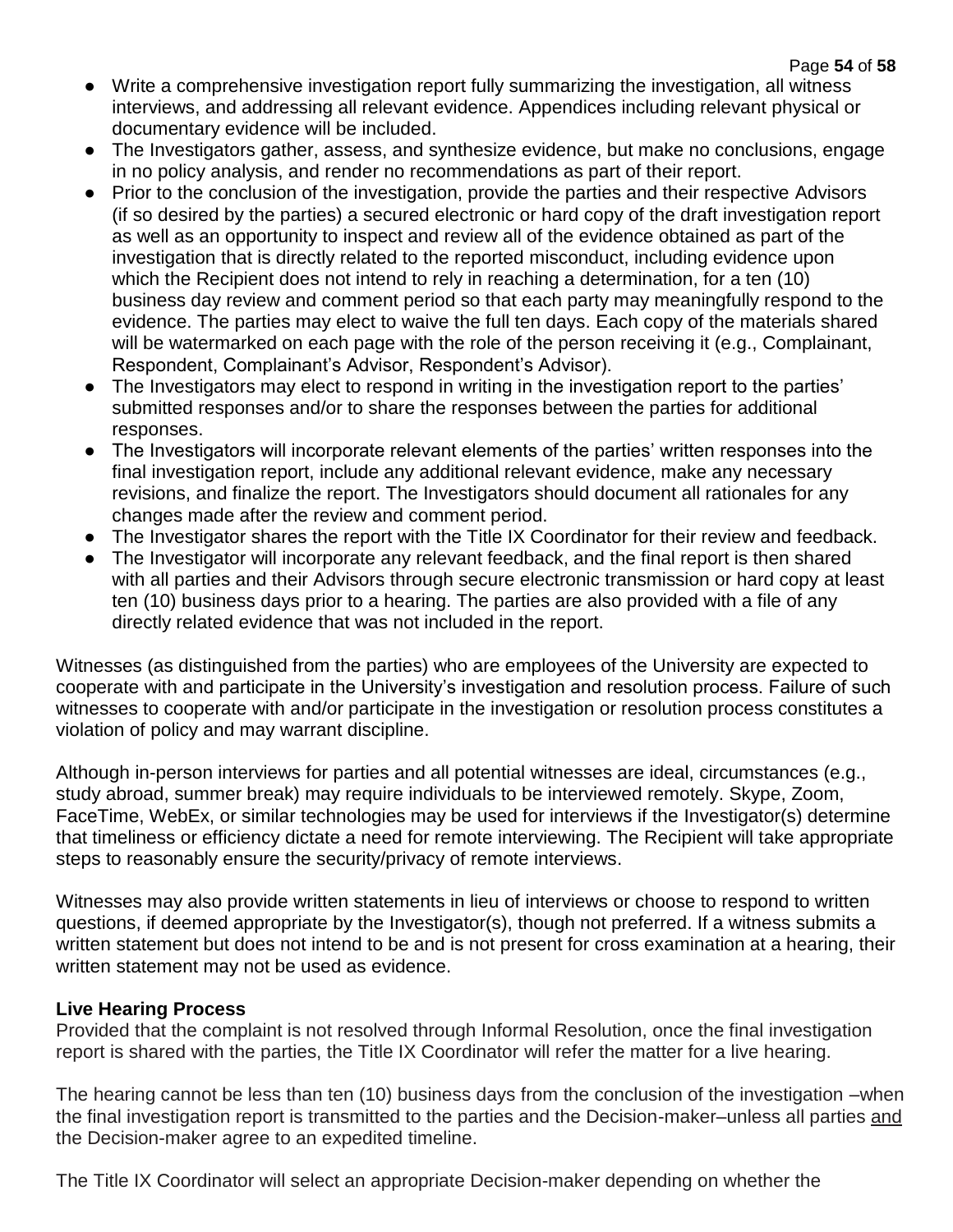- Write a comprehensive investigation report fully summarizing the investigation, all witness interviews, and addressing all relevant evidence. Appendices including relevant physical or documentary evidence will be included.
- The Investigators gather, assess, and synthesize evidence, but make no conclusions, engage in no policy analysis, and render no recommendations as part of their report.
- Prior to the conclusion of the investigation, provide the parties and their respective Advisors (if so desired by the parties) a secured electronic or hard copy of the draft investigation report as well as an opportunity to inspect and review all of the evidence obtained as part of the investigation that is directly related to the reported misconduct, including evidence upon which the Recipient does not intend to rely in reaching a determination, for a ten (10) business day review and comment period so that each party may meaningfully respond to the evidence. The parties may elect to waive the full ten days. Each copy of the materials shared will be watermarked on each page with the role of the person receiving it (e.g., Complainant, Respondent, Complainant's Advisor, Respondent's Advisor).
- The Investigators may elect to respond in writing in the investigation report to the parties' submitted responses and/or to share the responses between the parties for additional responses.
- The Investigators will incorporate relevant elements of the parties' written responses into the final investigation report, include any additional relevant evidence, make any necessary revisions, and finalize the report. The Investigators should document all rationales for any changes made after the review and comment period.
- The Investigator shares the report with the Title IX Coordinator for their review and feedback.
- The Investigator will incorporate any relevant feedback, and the final report is then shared with all parties and their Advisors through secure electronic transmission or hard copy at least ten (10) business days prior to a hearing. The parties are also provided with a file of any directly related evidence that was not included in the report.

Witnesses (as distinguished from the parties) who are employees of the University are expected to cooperate with and participate in the University's investigation and resolution process. Failure of such witnesses to cooperate with and/or participate in the investigation or resolution process constitutes a violation of policy and may warrant discipline.

Although in-person interviews for parties and all potential witnesses are ideal, circumstances (e.g., study abroad, summer break) may require individuals to be interviewed remotely. Skype, Zoom, FaceTime, WebEx, or similar technologies may be used for interviews if the Investigator(s) determine that timeliness or efficiency dictate a need for remote interviewing. The Recipient will take appropriate steps to reasonably ensure the security/privacy of remote interviews.

Witnesses may also provide written statements in lieu of interviews or choose to respond to written questions, if deemed appropriate by the Investigator(s), though not preferred. If a witness submits a written statement but does not intend to be and is not present for cross examination at a hearing, their written statement may not be used as evidence.

## **Live Hearing Process**

Provided that the complaint is not resolved through Informal Resolution, once the final investigation report is shared with the parties, the Title IX Coordinator will refer the matter for a live hearing.

The hearing cannot be less than ten (10) business days from the conclusion of the investigation –when the final investigation report is transmitted to the parties and the Decision-maker–unless all parties and the Decision-maker agree to an expedited timeline.

The Title IX Coordinator will select an appropriate Decision-maker depending on whether the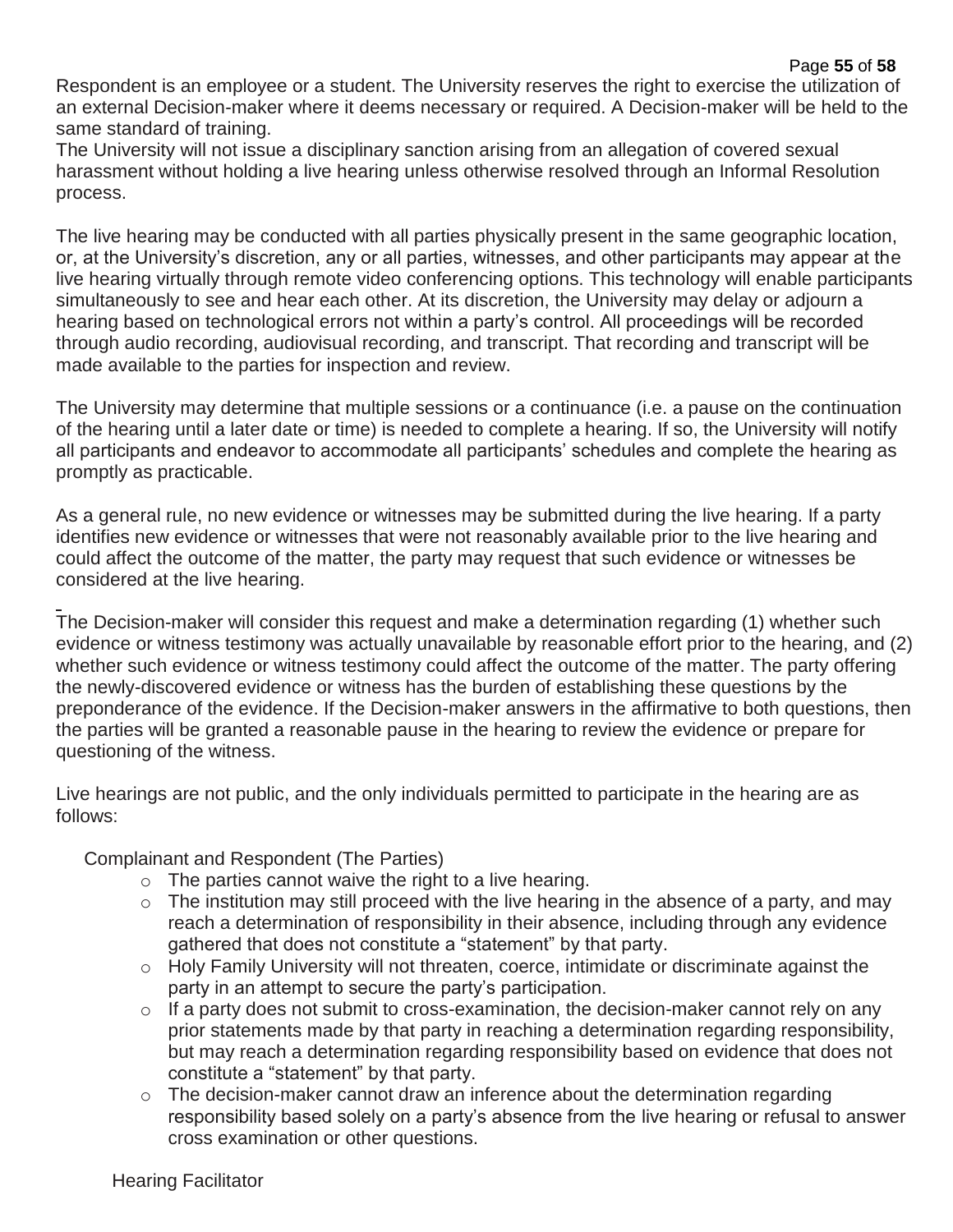Respondent is an employee or a student. The University reserves the right to exercise the utilization of an external Decision-maker where it deems necessary or required. A Decision-maker will be held to the same standard of training.

The University will not issue a disciplinary sanction arising from an allegation of covered sexual harassment without holding a live hearing unless otherwise resolved through an Informal Resolution process.

The live hearing may be conducted with all parties physically present in the same geographic location, or, at the University's discretion, any or all parties, witnesses, and other participants may appear at the live hearing virtually through remote video conferencing options. This technology will enable participants simultaneously to see and hear each other. At its discretion, the University may delay or adjourn a hearing based on technological errors not within a party's control. All proceedings will be recorded through audio recording, audiovisual recording, and transcript. That recording and transcript will be made available to the parties for inspection and review.

The University may determine that multiple sessions or a continuance (i.e. a pause on the continuation of the hearing until a later date or time) is needed to complete a hearing. If so, the University will notify all participants and endeavor to accommodate all participants' schedules and complete the hearing as promptly as practicable.

As a general rule, no new evidence or witnesses may be submitted during the live hearing. If a party identifies new evidence or witnesses that were not reasonably available prior to the live hearing and could affect the outcome of the matter, the party may request that such evidence or witnesses be considered at the live hearing.

The Decision-maker will consider this request and make a determination regarding (1) whether such evidence or witness testimony was actually unavailable by reasonable effort prior to the hearing, and (2) whether such evidence or witness testimony could affect the outcome of the matter. The party offering the newly-discovered evidence or witness has the burden of establishing these questions by the preponderance of the evidence. If the Decision-maker answers in the affirmative to both questions, then the parties will be granted a reasonable pause in the hearing to review the evidence or prepare for questioning of the witness.

Live hearings are not public, and the only individuals permitted to participate in the hearing are as follows:

Complainant and Respondent (The Parties)

- $\circ$  The parties cannot waive the right to a live hearing.
- $\circ$  The institution may still proceed with the live hearing in the absence of a party, and may reach a determination of responsibility in their absence, including through any evidence gathered that does not constitute a "statement" by that party.
- o Holy Family University will not threaten, coerce, intimidate or discriminate against the party in an attempt to secure the party's participation.
- o If a party does not submit to cross-examination, the decision-maker cannot rely on any prior statements made by that party in reaching a determination regarding responsibility, but may reach a determination regarding responsibility based on evidence that does not constitute a "statement" by that party.
- o The decision-maker cannot draw an inference about the determination regarding responsibility based solely on a party's absence from the live hearing or refusal to answer cross examination or other questions.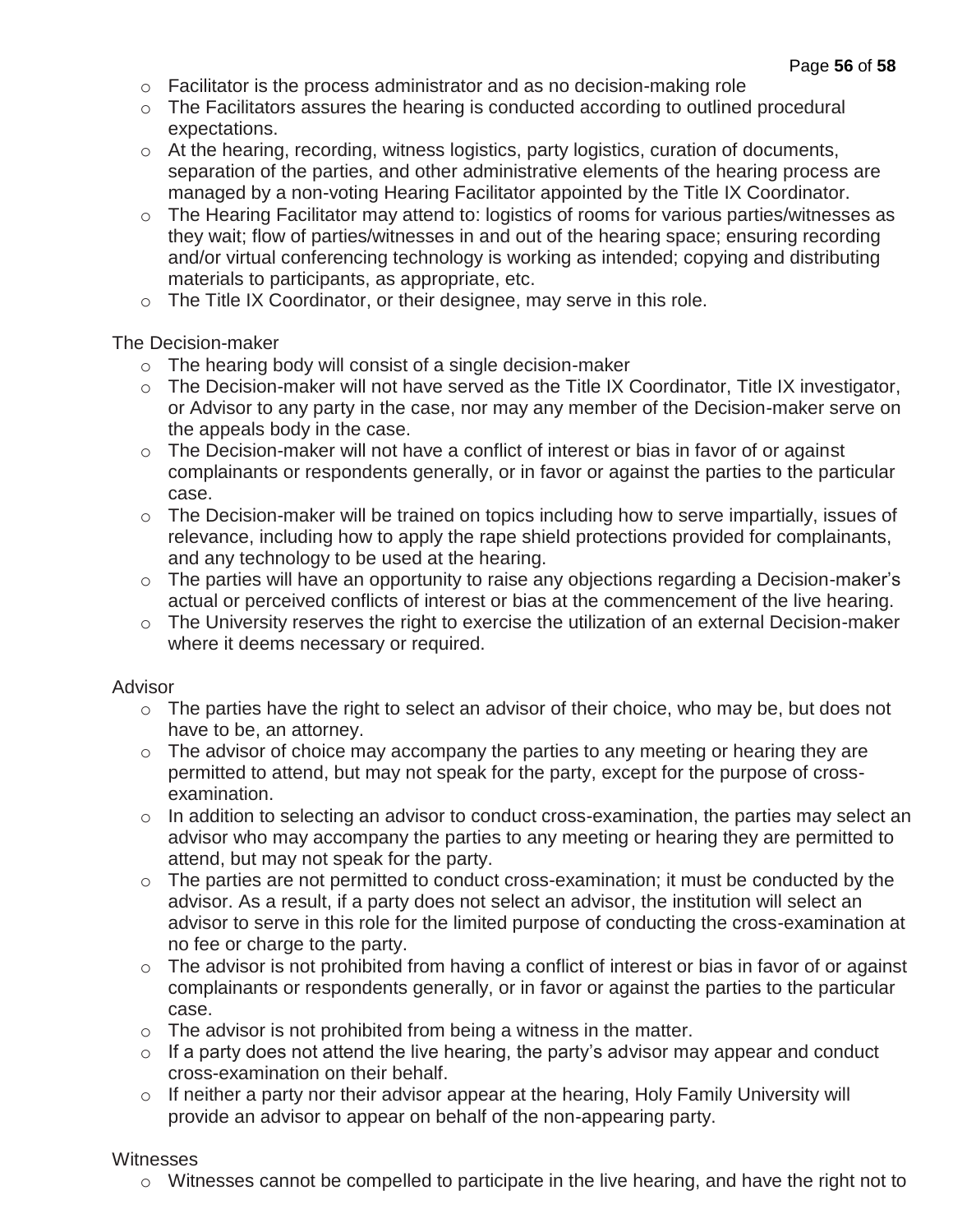- o Facilitator is the process administrator and as no decision-making role
- o The Facilitators assures the hearing is conducted according to outlined procedural expectations.
- o At the hearing, recording, witness logistics, party logistics, curation of documents, separation of the parties, and other administrative elements of the hearing process are managed by a non-voting Hearing Facilitator appointed by the Title IX Coordinator.
- o The Hearing Facilitator may attend to: logistics of rooms for various parties/witnesses as they wait; flow of parties/witnesses in and out of the hearing space; ensuring recording and/or virtual conferencing technology is working as intended; copying and distributing materials to participants, as appropriate, etc.
- o The Title IX Coordinator, or their designee, may serve in this role.

The Decision-maker

- o The hearing body will consist of a single decision-maker
- o The Decision-maker will not have served as the Title IX Coordinator, Title IX investigator, or Advisor to any party in the case, nor may any member of the Decision-maker serve on the appeals body in the case.
- o The Decision-maker will not have a conflict of interest or bias in favor of or against complainants or respondents generally, or in favor or against the parties to the particular case.
- o The Decision-maker will be trained on topics including how to serve impartially, issues of relevance, including how to apply the rape shield protections provided for complainants, and any technology to be used at the hearing.
- o The parties will have an opportunity to raise any objections regarding a Decision-maker's actual or perceived conflicts of interest or bias at the commencement of the live hearing.
- o The University reserves the right to exercise the utilization of an external Decision-maker where it deems necessary or required.

#### Advisor

- o The parties have the right to select an advisor of their choice, who may be, but does not have to be, an attorney.
- o The advisor of choice may accompany the parties to any meeting or hearing they are permitted to attend, but may not speak for the party, except for the purpose of crossexamination.
- o In addition to selecting an advisor to conduct cross-examination, the parties may select an advisor who may accompany the parties to any meeting or hearing they are permitted to attend, but may not speak for the party.
- o The parties are not permitted to conduct cross-examination; it must be conducted by the advisor. As a result, if a party does not select an advisor, the institution will select an advisor to serve in this role for the limited purpose of conducting the cross-examination at no fee or charge to the party.
- o The advisor is not prohibited from having a conflict of interest or bias in favor of or against complainants or respondents generally, or in favor or against the parties to the particular case.
- $\circ$  The advisor is not prohibited from being a witness in the matter.
- $\circ$  If a party does not attend the live hearing, the party's advisor may appear and conduct cross-examination on their behalf.
- o If neither a party nor their advisor appear at the hearing, Holy Family University will provide an advisor to appear on behalf of the non-appearing party.

#### **Witnesses**

o Witnesses cannot be compelled to participate in the live hearing, and have the right not to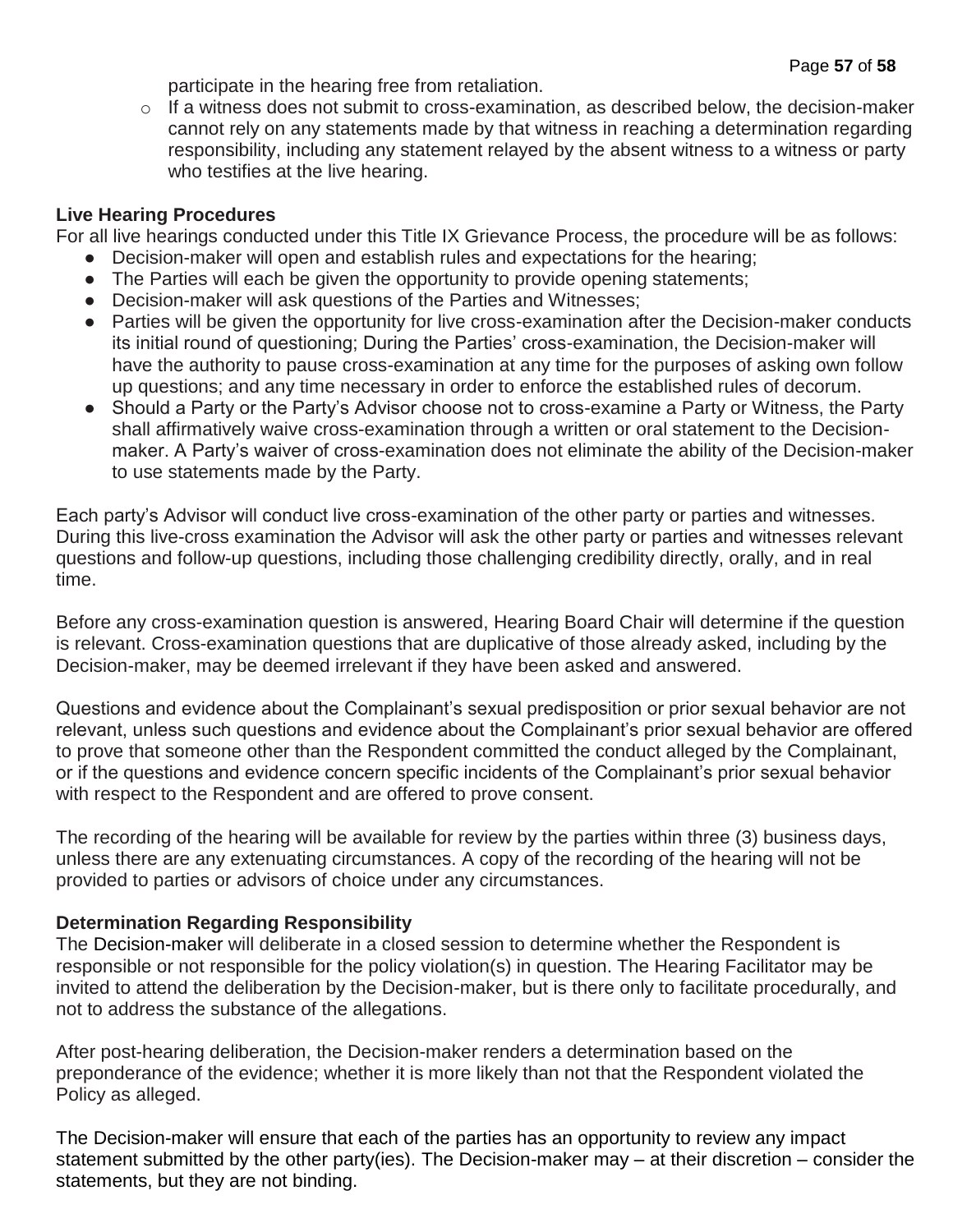participate in the hearing free from retaliation.

o If a witness does not submit to cross-examination, as described below, the decision-maker cannot rely on any statements made by that witness in reaching a determination regarding responsibility, including any statement relayed by the absent witness to a witness or party who testifies at the live hearing.

## **Live Hearing Procedures**

For all live hearings conducted under this Title IX Grievance Process, the procedure will be as follows:

- Decision-maker will open and establish rules and expectations for the hearing;
- The Parties will each be given the opportunity to provide opening statements;
- Decision-maker will ask questions of the Parties and Witnesses;
- Parties will be given the opportunity for live cross-examination after the Decision-maker conducts its initial round of questioning; During the Parties' cross-examination, the Decision-maker will have the authority to pause cross-examination at any time for the purposes of asking own follow up questions; and any time necessary in order to enforce the established rules of decorum.
- Should a Party or the Party's Advisor choose not to cross-examine a Party or Witness, the Party shall affirmatively waive cross-examination through a written or oral statement to the Decisionmaker. A Party's waiver of cross-examination does not eliminate the ability of the Decision-maker to use statements made by the Party.

Each party's Advisor will conduct live cross-examination of the other party or parties and witnesses. During this live-cross examination the Advisor will ask the other party or parties and witnesses relevant questions and follow-up questions, including those challenging credibility directly, orally, and in real time.

Before any cross-examination question is answered, Hearing Board Chair will determine if the question is relevant. Cross-examination questions that are duplicative of those already asked, including by the Decision-maker, may be deemed irrelevant if they have been asked and answered.

Questions and evidence about the Complainant's sexual predisposition or prior sexual behavior are not relevant, unless such questions and evidence about the Complainant's prior sexual behavior are offered to prove that someone other than the Respondent committed the conduct alleged by the Complainant, or if the questions and evidence concern specific incidents of the Complainant's prior sexual behavior with respect to the Respondent and are offered to prove consent.

The recording of the hearing will be available for review by the parties within three (3) business days, unless there are any extenuating circumstances. A copy of the recording of the hearing will not be provided to parties or advisors of choice under any circumstances.

## **Determination Regarding Responsibility**

The Decision-maker will deliberate in a closed session to determine whether the Respondent is responsible or not responsible for the policy violation(s) in question. The Hearing Facilitator may be invited to attend the deliberation by the Decision-maker, but is there only to facilitate procedurally, and not to address the substance of the allegations.

After post-hearing deliberation, the Decision-maker renders a determination based on the preponderance of the evidence; whether it is more likely than not that the Respondent violated the Policy as alleged.

The Decision-maker will ensure that each of the parties has an opportunity to review any impact statement submitted by the other party(ies). The Decision-maker may – at their discretion – consider the statements, but they are not binding.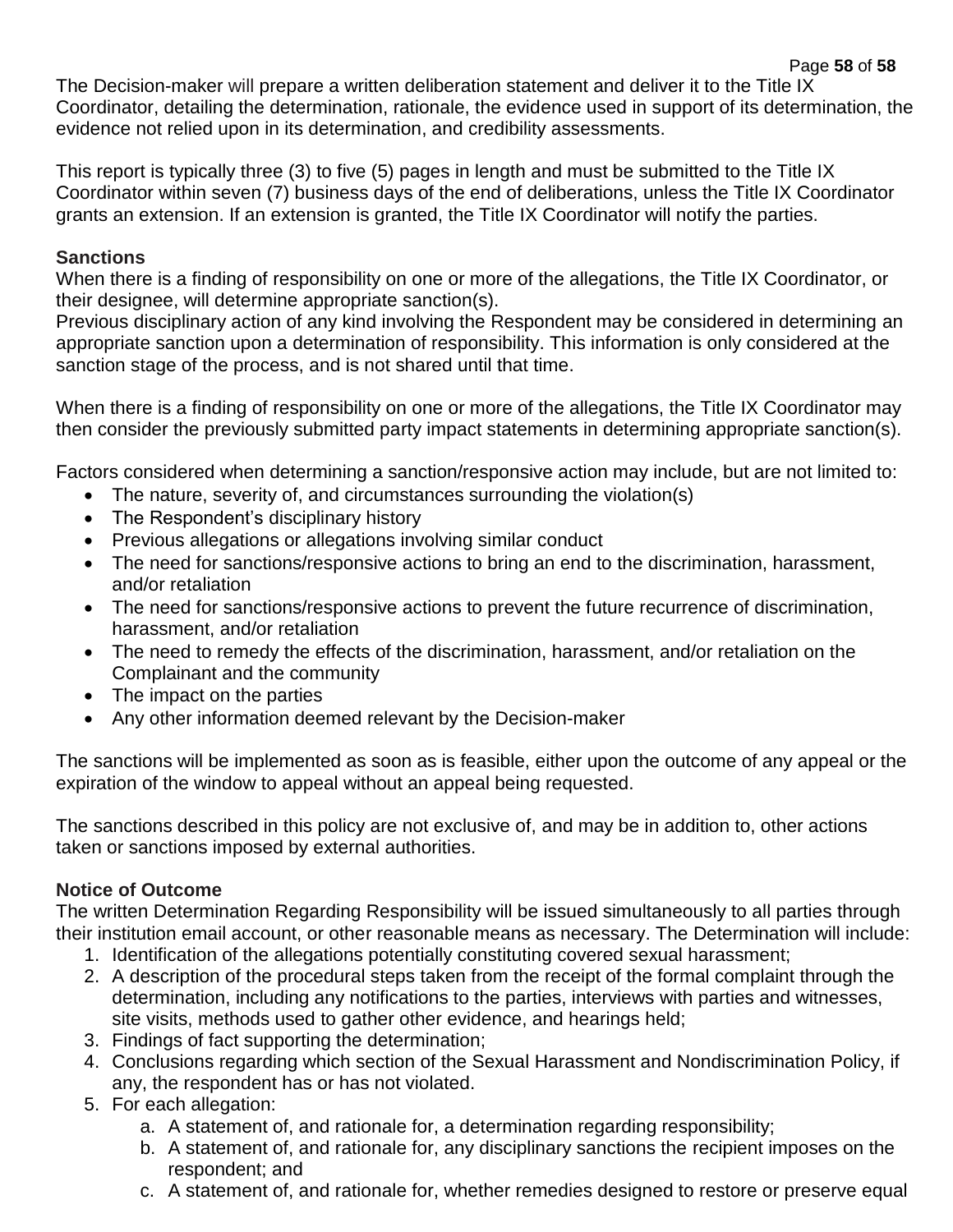Page **58** of **58** The Decision-maker will prepare a written deliberation statement and deliver it to the Title IX Coordinator, detailing the determination, rationale, the evidence used in support of its determination, the evidence not relied upon in its determination, and credibility assessments.

This report is typically three (3) to five (5) pages in length and must be submitted to the Title IX Coordinator within seven (7) business days of the end of deliberations, unless the Title IX Coordinator grants an extension. If an extension is granted, the Title IX Coordinator will notify the parties.

## **Sanctions**

When there is a finding of responsibility on one or more of the allegations, the Title IX Coordinator, or their designee, will determine appropriate sanction(s).

Previous disciplinary action of any kind involving the Respondent may be considered in determining an appropriate sanction upon a determination of responsibility. This information is only considered at the sanction stage of the process, and is not shared until that time.

When there is a finding of responsibility on one or more of the allegations, the Title IX Coordinator may then consider the previously submitted party impact statements in determining appropriate sanction(s).

Factors considered when determining a sanction/responsive action may include, but are not limited to:

- The nature, severity of, and circumstances surrounding the violation(s)
- The Respondent's disciplinary history
- Previous allegations or allegations involving similar conduct
- The need for sanctions/responsive actions to bring an end to the discrimination, harassment, and/or retaliation
- The need for sanctions/responsive actions to prevent the future recurrence of discrimination, harassment, and/or retaliation
- The need to remedy the effects of the discrimination, harassment, and/or retaliation on the Complainant and the community
- The impact on the parties
- Any other information deemed relevant by the Decision-maker

The sanctions will be implemented as soon as is feasible, either upon the outcome of any appeal or the expiration of the window to appeal without an appeal being requested.

The sanctions described in this policy are not exclusive of, and may be in addition to, other actions taken or sanctions imposed by external authorities.

## **Notice of Outcome**

The written Determination Regarding Responsibility will be issued simultaneously to all parties through their institution email account, or other reasonable means as necessary. The Determination will include:

- 1. Identification of the allegations potentially constituting covered sexual harassment;
- 2. A description of the procedural steps taken from the receipt of the formal complaint through the determination, including any notifications to the parties, interviews with parties and witnesses, site visits, methods used to gather other evidence, and hearings held;
- 3. Findings of fact supporting the determination;
- 4. Conclusions regarding which section of the Sexual Harassment and Nondiscrimination Policy, if any, the respondent has or has not violated.
- 5. For each allegation:
	- a. A statement of, and rationale for, a determination regarding responsibility;
	- b. A statement of, and rationale for, any disciplinary sanctions the recipient imposes on the respondent; and
	- c. A statement of, and rationale for, whether remedies designed to restore or preserve equal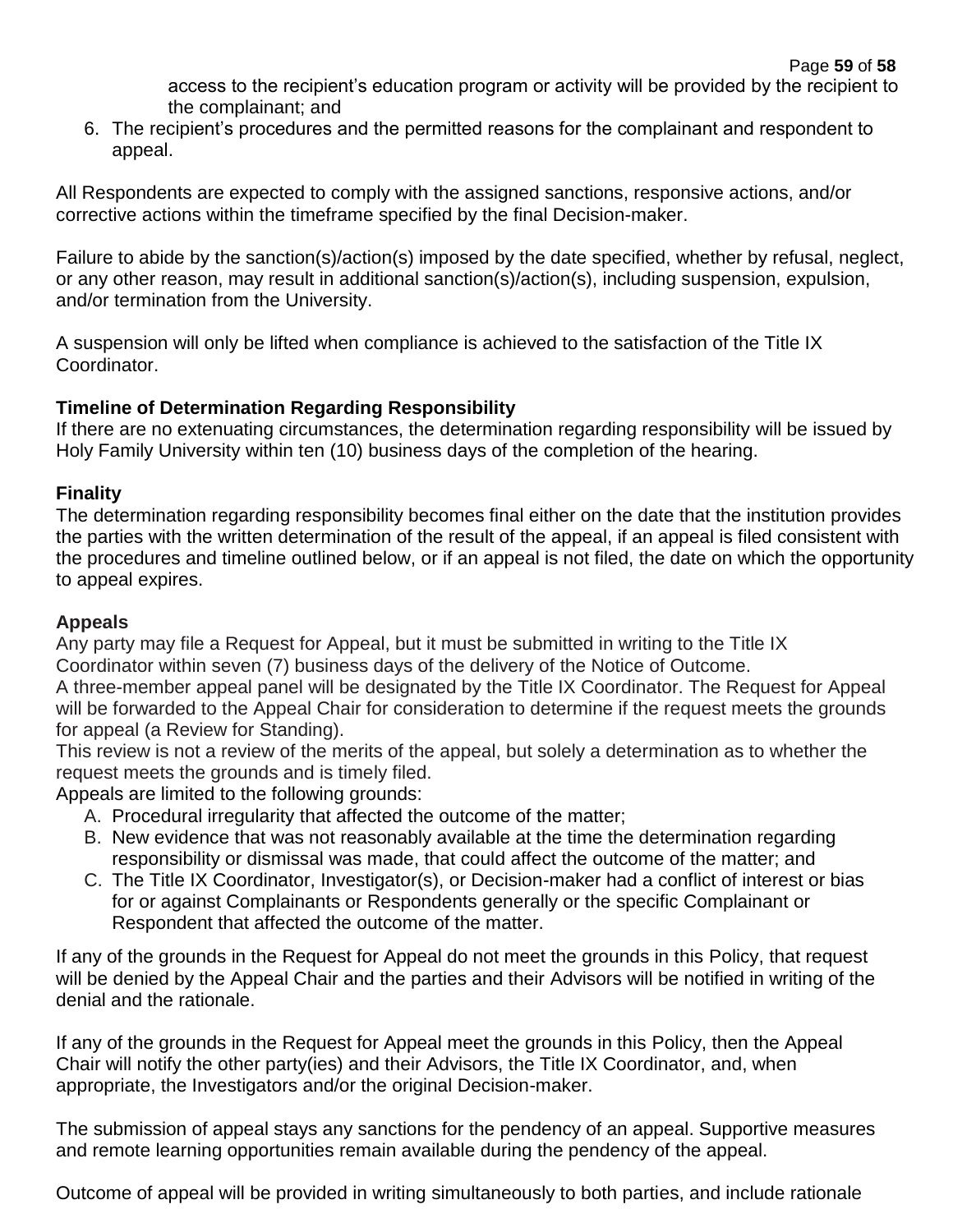access to the recipient's education program or activity will be provided by the recipient to the complainant; and

6. The recipient's procedures and the permitted reasons for the complainant and respondent to appeal.

All Respondents are expected to comply with the assigned sanctions, responsive actions, and/or corrective actions within the timeframe specified by the final Decision-maker.

Failure to abide by the sanction(s)/action(s) imposed by the date specified, whether by refusal, neglect, or any other reason, may result in additional sanction(s)/action(s), including suspension, expulsion, and/or termination from the University.

A suspension will only be lifted when compliance is achieved to the satisfaction of the Title IX Coordinator.

## **Timeline of Determination Regarding Responsibility**

If there are no extenuating circumstances, the determination regarding responsibility will be issued by Holy Family University within ten (10) business days of the completion of the hearing.

## **Finality**

The determination regarding responsibility becomes final either on the date that the institution provides the parties with the written determination of the result of the appeal, if an appeal is filed consistent with the procedures and timeline outlined below, or if an appeal is not filed, the date on which the opportunity to appeal expires.

## **Appeals**

Any party may file a Request for Appeal, but it must be submitted in writing to the Title IX Coordinator within seven (7) business days of the delivery of the Notice of Outcome.

A three-member appeal panel will be designated by the Title IX Coordinator. The Request for Appeal will be forwarded to the Appeal Chair for consideration to determine if the request meets the grounds for appeal (a Review for Standing).

This review is not a review of the merits of the appeal, but solely a determination as to whether the request meets the grounds and is timely filed.

Appeals are limited to the following grounds:

- A. Procedural irregularity that affected the outcome of the matter;
- B. New evidence that was not reasonably available at the time the determination regarding responsibility or dismissal was made, that could affect the outcome of the matter; and
- C. The Title IX Coordinator, Investigator(s), or Decision-maker had a conflict of interest or bias for or against Complainants or Respondents generally or the specific Complainant or Respondent that affected the outcome of the matter.

If any of the grounds in the Request for Appeal do not meet the grounds in this Policy, that request will be denied by the Appeal Chair and the parties and their Advisors will be notified in writing of the denial and the rationale.

If any of the grounds in the Request for Appeal meet the grounds in this Policy, then the Appeal Chair will notify the other party(ies) and their Advisors, the Title IX Coordinator, and, when appropriate, the Investigators and/or the original Decision-maker.

The submission of appeal stays any sanctions for the pendency of an appeal. Supportive measures and remote learning opportunities remain available during the pendency of the appeal.

Outcome of appeal will be provided in writing simultaneously to both parties, and include rationale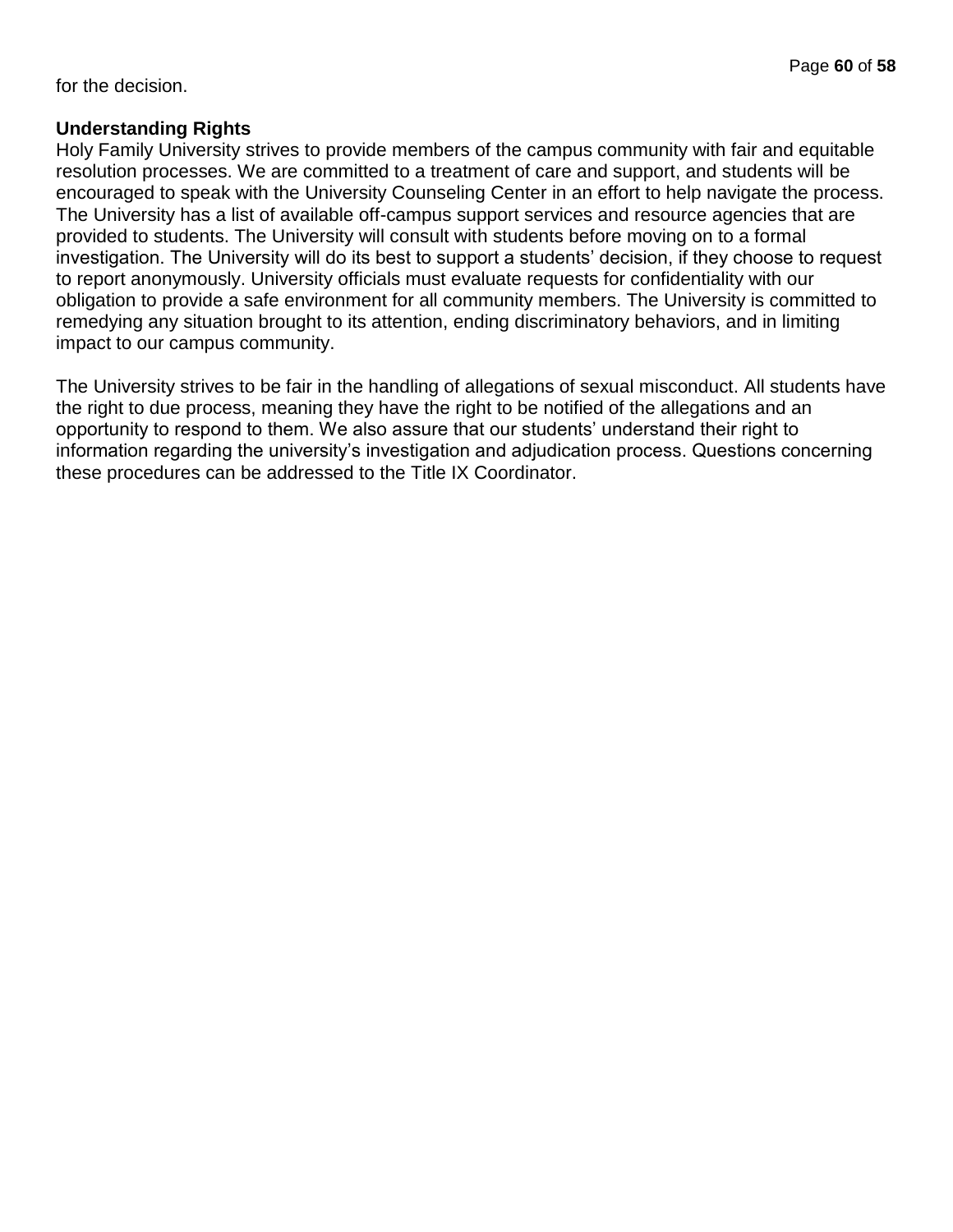for the decision.

#### **Understanding Rights**

Holy Family University strives to provide members of the campus community with fair and equitable resolution processes. We are committed to a treatment of care and support, and students will be encouraged to speak with the University Counseling Center in an effort to help navigate the process. The University has a list of available off-campus support services and resource agencies that are provided to students. The University will consult with students before moving on to a formal investigation. The University will do its best to support a students' decision, if they choose to request to report anonymously. University officials must evaluate requests for confidentiality with our obligation to provide a safe environment for all community members. The University is committed to remedying any situation brought to its attention, ending discriminatory behaviors, and in limiting impact to our campus community.

The University strives to be fair in the handling of allegations of sexual misconduct. All students have the right to due process, meaning they have the right to be notified of the allegations and an opportunity to respond to them. We also assure that our students' understand their right to information regarding the university's investigation and adjudication process. Questions concerning these procedures can be addressed to the Title IX Coordinator.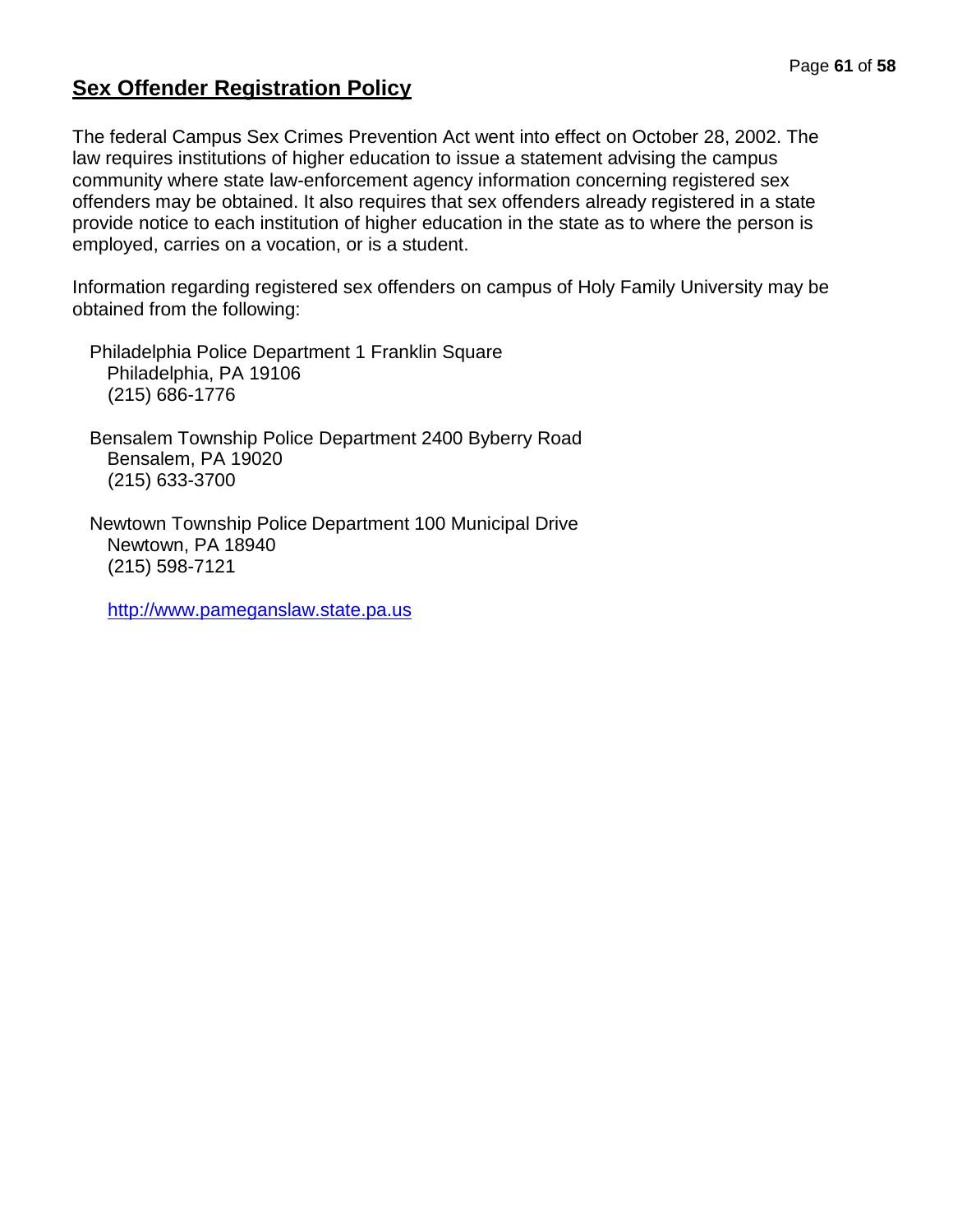# **Sex Offender Registration Policy**

The federal Campus Sex Crimes Prevention Act went into effect on October 28, 2002. The law requires institutions of higher education to issue a statement advising the campus community where state law-enforcement agency information concerning registered sex offenders may be obtained. It also requires that sex offenders already registered in a state provide notice to each institution of higher education in the state as to where the person is employed, carries on a vocation, or is a student.

Information regarding registered sex offenders on campus of Holy Family University may be obtained from the following:

Philadelphia Police Department 1 Franklin Square Philadelphia, PA 19106 (215) 686-1776

Bensalem Township Police Department 2400 Byberry Road Bensalem, PA 19020 (215) 633-3700

Newtown Township Police Department 100 Municipal Drive Newtown, PA 18940 (215) 598-7121

[http://www.pameganslaw.state.pa.us](http://www.pameganslaw.state.pa.us/)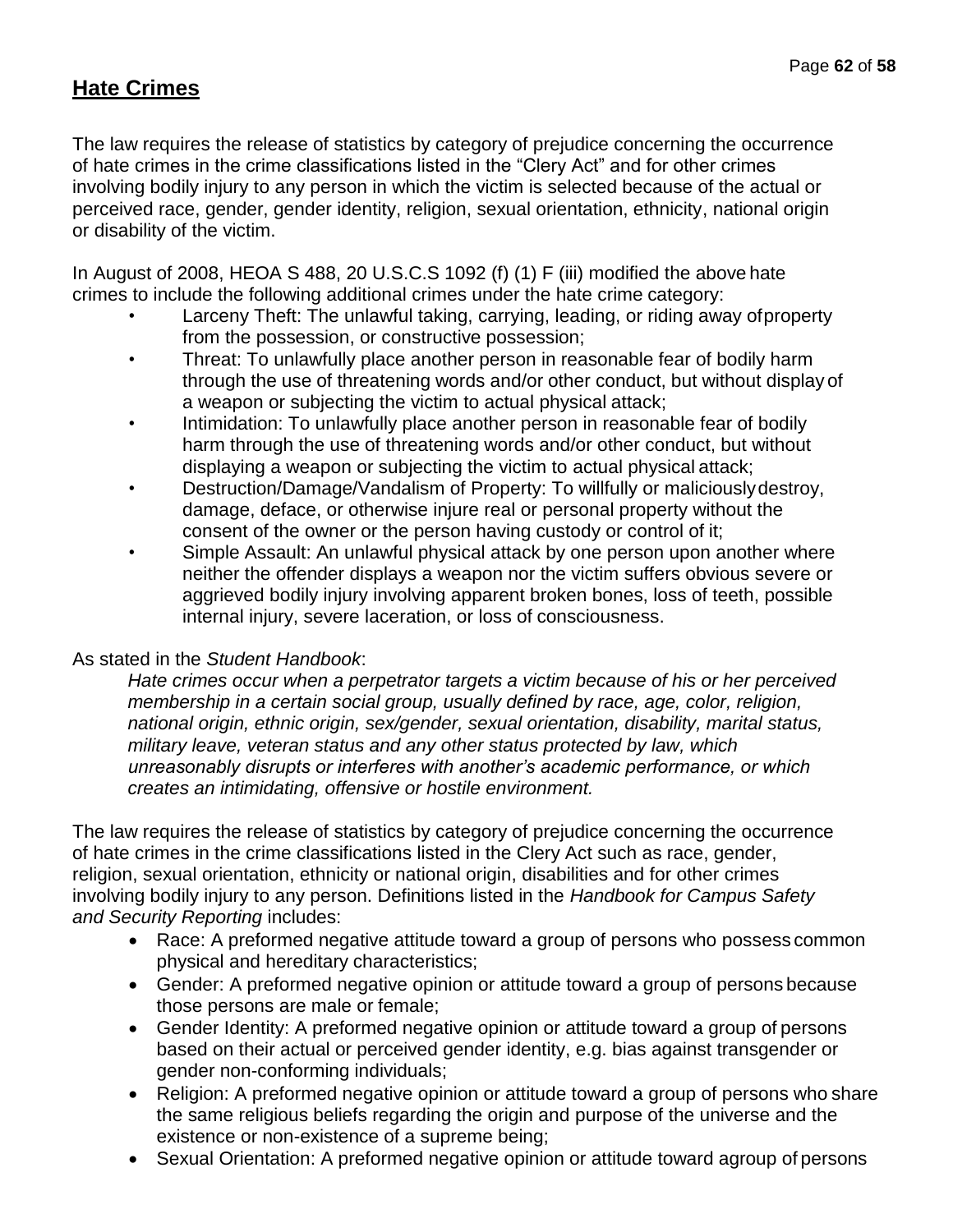# **Hate Crimes**

The law requires the release of statistics by category of prejudice concerning the occurrence of hate crimes in the crime classifications listed in the "Clery Act" and for other crimes involving bodily injury to any person in which the victim is selected because of the actual or perceived race, gender, gender identity, religion, sexual orientation, ethnicity, national origin or disability of the victim.

In August of 2008, HEOA S 488, 20 U.S.C.S 1092 (f) (1) F (iii) modified the above hate crimes to include the following additional crimes under the hate crime category:

- Larceny Theft: The unlawful taking, carrying, leading, or riding away ofproperty from the possession, or constructive possession;
- Threat: To unlawfully place another person in reasonable fear of bodily harm through the use of threatening words and/or other conduct, but without display of a weapon or subjecting the victim to actual physical attack;
- Intimidation: To unlawfully place another person in reasonable fear of bodily harm through the use of threatening words and/or other conduct, but without displaying a weapon or subjecting the victim to actual physical attack;
- Destruction/Damage/Vandalism of Property: To willfully or maliciouslydestroy, damage, deface, or otherwise injure real or personal property without the consent of the owner or the person having custody or control of it;
- Simple Assault: An unlawful physical attack by one person upon another where neither the offender displays a weapon nor the victim suffers obvious severe or aggrieved bodily injury involving apparent broken bones, loss of teeth, possible internal injury, severe laceration, or loss of consciousness.

## As stated in the *Student Handbook*:

*Hate crimes occur when a perpetrator targets a victim because of his or her perceived membership in a certain social group, usually defined by race, age, color, religion, national origin, ethnic origin, sex/gender, sexual orientation, disability, marital status, military leave, veteran status and any other status protected by law, which unreasonably disrupts or interferes with another's academic performance, or which creates an intimidating, offensive or hostile environment.*

The law requires the release of statistics by category of prejudice concerning the occurrence of hate crimes in the crime classifications listed in the Clery Act such as race, gender, religion, sexual orientation, ethnicity or national origin, disabilities and for other crimes involving bodily injury to any person. Definitions listed in the *Handbook for Campus Safety and Security Reporting* includes:

- Race: A preformed negative attitude toward a group of persons who possess common physical and hereditary characteristics;
- Gender: A preformed negative opinion or attitude toward a group of persons because those persons are male or female;
- Gender Identity: A preformed negative opinion or attitude toward a group of persons based on their actual or perceived gender identity, e.g. bias against transgender or gender non-conforming individuals;
- Religion: A preformed negative opinion or attitude toward a group of persons who share the same religious beliefs regarding the origin and purpose of the universe and the existence or non-existence of a supreme being;
- Sexual Orientation: A preformed negative opinion or attitude toward agroup of persons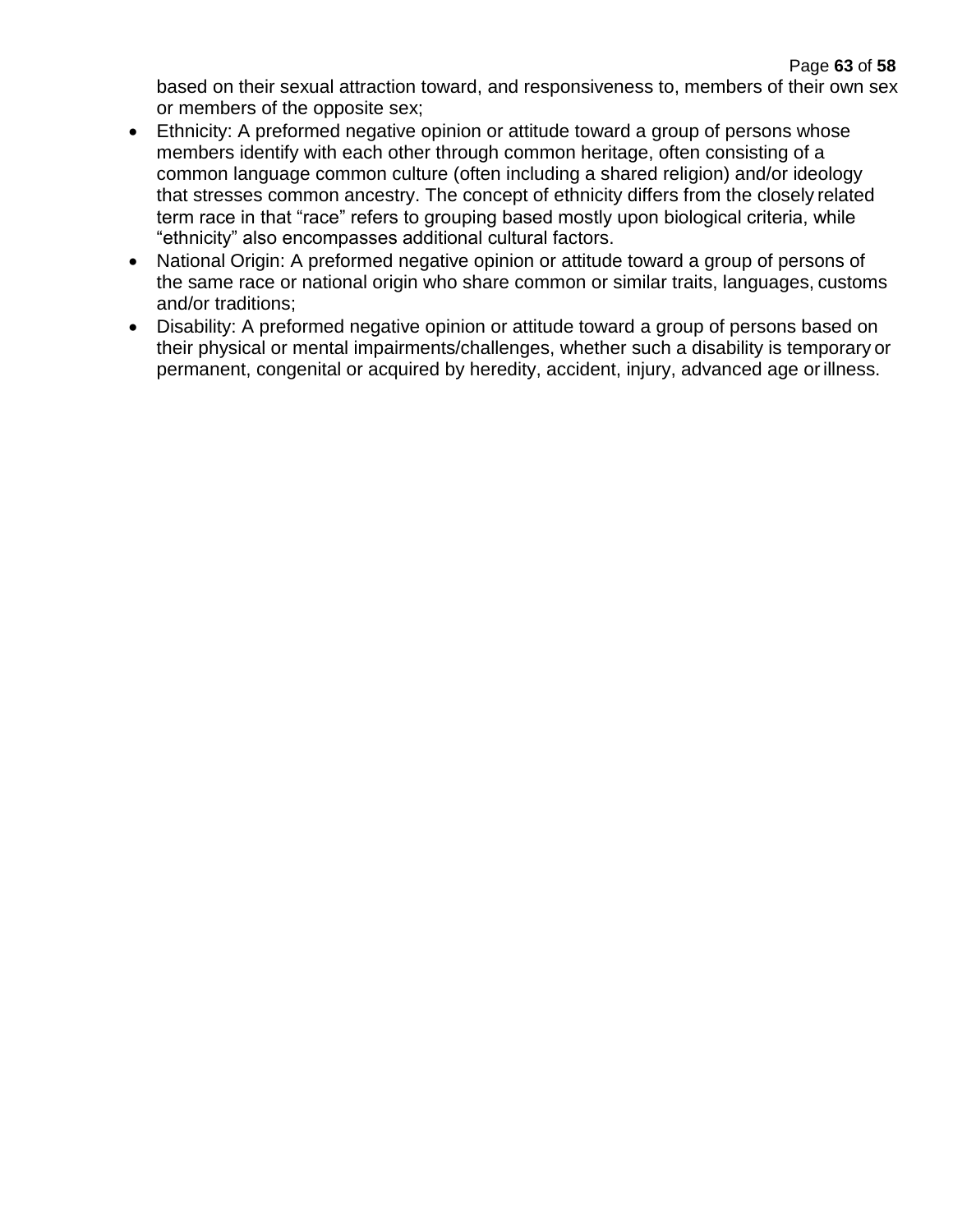based on their sexual attraction toward, and responsiveness to, members of their own sex or members of the opposite sex;

- Ethnicity: A preformed negative opinion or attitude toward a group of persons whose members identify with each other through common heritage, often consisting of a common language common culture (often including a shared religion) and/or ideology that stresses common ancestry. The concept of ethnicity differs from the closely related term race in that "race" refers to grouping based mostly upon biological criteria, while "ethnicity" also encompasses additional cultural factors.
- National Origin: A preformed negative opinion or attitude toward a group of persons of the same race or national origin who share common or similar traits, languages, customs and/or traditions;
- Disability: A preformed negative opinion or attitude toward a group of persons based on their physical or mental impairments/challenges, whether such a disability is temporary or permanent, congenital or acquired by heredity, accident, injury, advanced age orillness.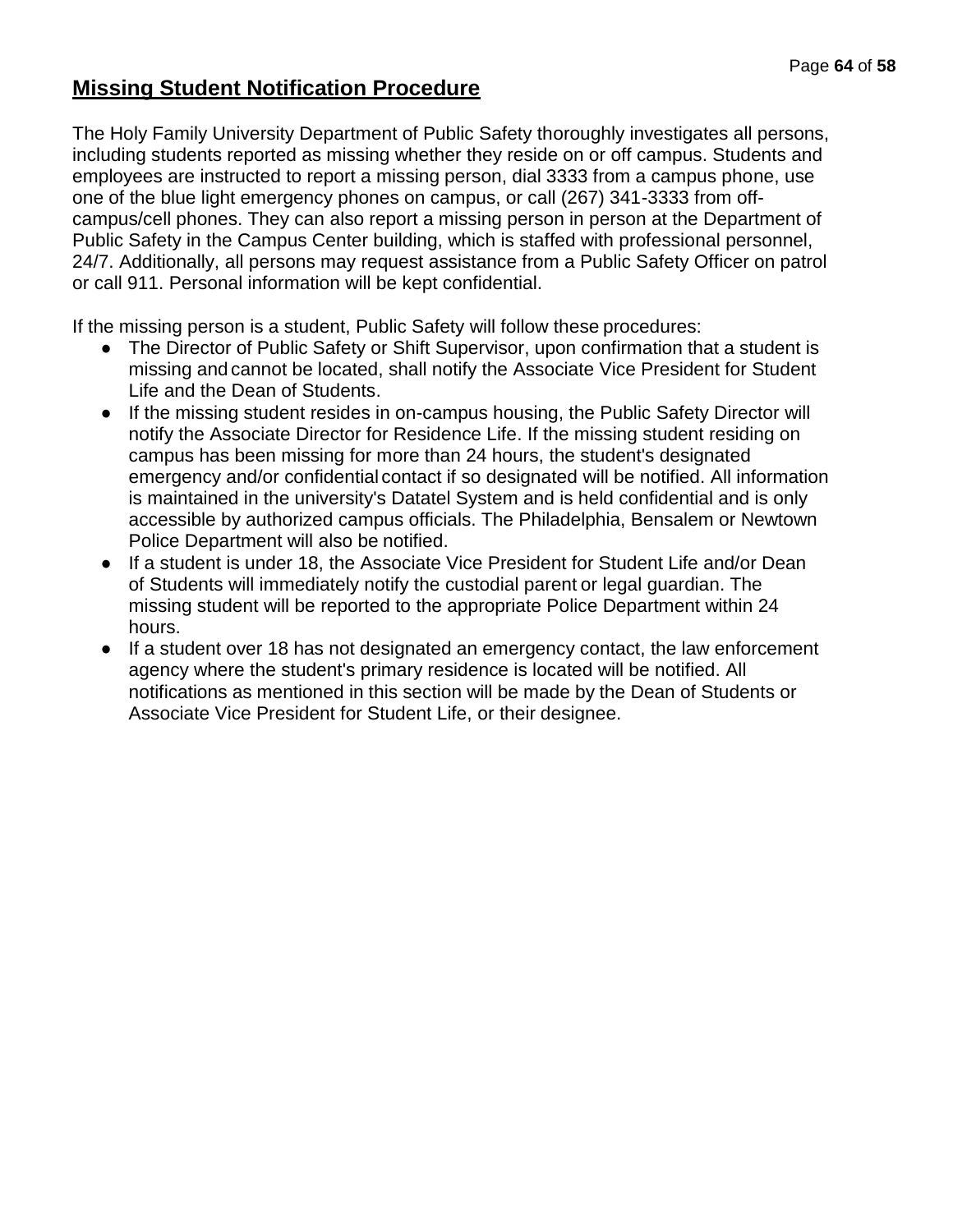# **Missing Student Notification Procedure**

The Holy Family University Department of Public Safety thoroughly investigates all persons, including students reported as missing whether they reside on or off campus. Students and employees are instructed to report a missing person, dial 3333 from a campus phone, use one of the blue light emergency phones on campus, or call (267) 341-3333 from offcampus/cell phones. They can also report a missing person in person at the Department of Public Safety in the Campus Center building, which is staffed with professional personnel, 24/7. Additionally, all persons may request assistance from a Public Safety Officer on patrol or call 911. Personal information will be kept confidential.

If the missing person is a student, Public Safety will follow these procedures:

- The Director of Public Safety or Shift Supervisor, upon confirmation that a student is missing and cannot be located, shall notify the Associate Vice President for Student Life and the Dean of Students.
- If the missing student resides in on-campus housing, the Public Safety Director will notify the Associate Director for Residence Life. If the missing student residing on campus has been missing for more than 24 hours, the student's designated emergency and/or confidential contact if so designated will be notified. All information is maintained in the university's Datatel System and is held confidential and is only accessible by authorized campus officials. The Philadelphia, Bensalem or Newtown Police Department will also be notified.
- If a student is under 18, the Associate Vice President for Student Life and/or Dean of Students will immediately notify the custodial parent or legal guardian. The missing student will be reported to the appropriate Police Department within 24 hours.
- If a student over 18 has not designated an emergency contact, the law enforcement agency where the student's primary residence is located will be notified. All notifications as mentioned in this section will be made by the Dean of Students or Associate Vice President for Student Life, or their designee.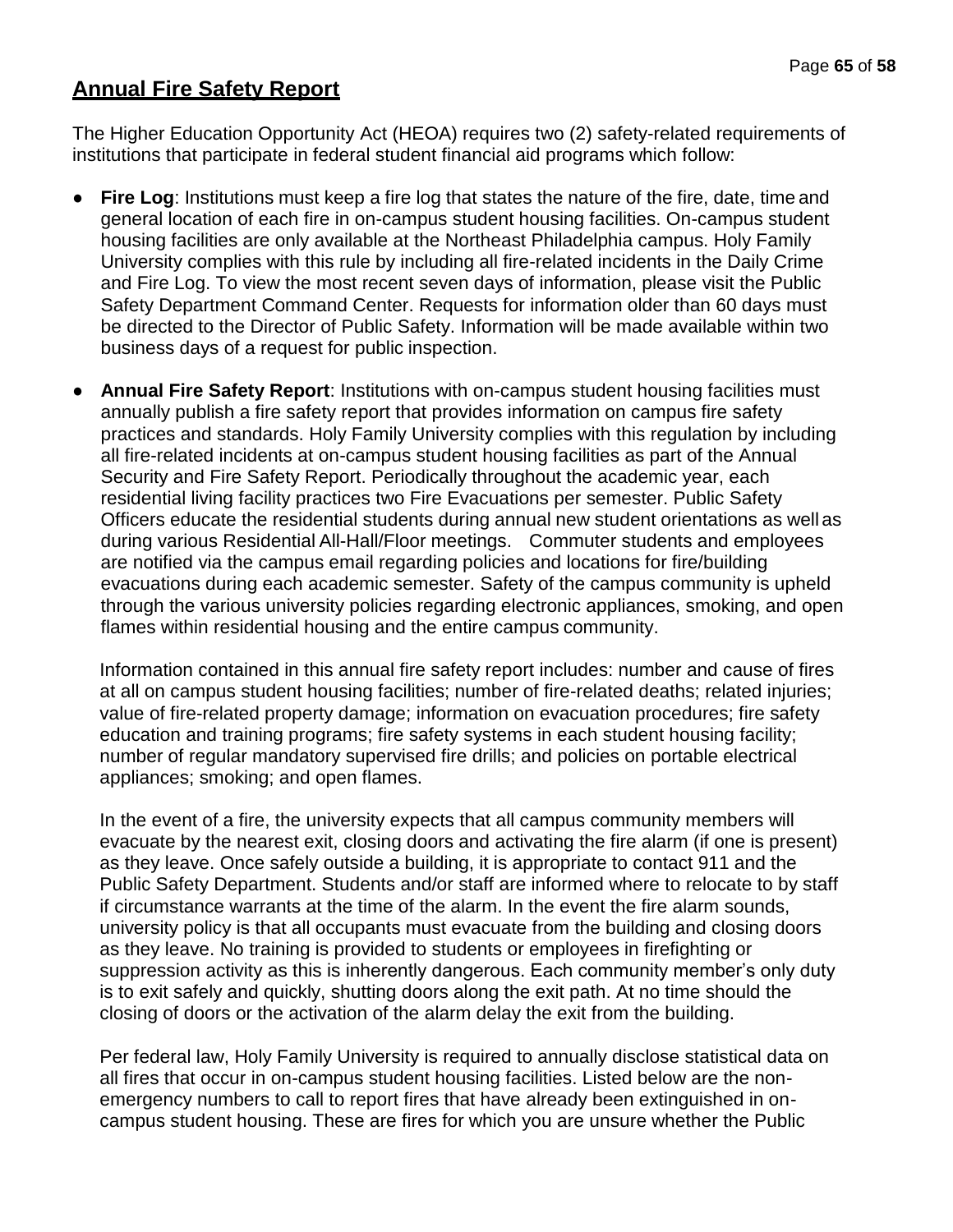# **Annual Fire Safety Report**

The Higher Education Opportunity Act (HEOA) requires two (2) safety-related requirements of institutions that participate in federal student financial aid programs which follow:

- **Fire Log**: Institutions must keep a fire log that states the nature of the fire, date, time and general location of each fire in on-campus student housing facilities. On-campus student housing facilities are only available at the Northeast Philadelphia campus. Holy Family University complies with this rule by including all fire-related incidents in the Daily Crime and Fire Log. To view the most recent seven days of information, please visit the Public Safety Department Command Center. Requests for information older than 60 days must be directed to the Director of Public Safety. Information will be made available within two business days of a request for public inspection.
- **Annual Fire Safety Report**: Institutions with on-campus student housing facilities must annually publish a fire safety report that provides information on campus fire safety practices and standards. Holy Family University complies with this regulation by including all fire-related incidents at on-campus student housing facilities as part of the Annual Security and Fire Safety Report. Periodically throughout the academic year, each residential living facility practices two Fire Evacuations per semester. Public Safety Officers educate the residential students during annual new student orientations as well as during various Residential All-Hall/Floor meetings. Commuter students and employees are notified via the campus email regarding policies and locations for fire/building evacuations during each academic semester. Safety of the campus community is upheld through the various university policies regarding electronic appliances, smoking, and open flames within residential housing and the entire campus community.

Information contained in this annual fire safety report includes: number and cause of fires at all on campus student housing facilities; number of fire-related deaths; related injuries; value of fire-related property damage; information on evacuation procedures; fire safety education and training programs; fire safety systems in each student housing facility; number of regular mandatory supervised fire drills; and policies on portable electrical appliances; smoking; and open flames.

In the event of a fire, the university expects that all campus community members will evacuate by the nearest exit, closing doors and activating the fire alarm (if one is present) as they leave. Once safely outside a building, it is appropriate to contact 911 and the Public Safety Department. Students and/or staff are informed where to relocate to by staff if circumstance warrants at the time of the alarm. In the event the fire alarm sounds, university policy is that all occupants must evacuate from the building and closing doors as they leave. No training is provided to students or employees in firefighting or suppression activity as this is inherently dangerous. Each community member's only duty is to exit safely and quickly, shutting doors along the exit path. At no time should the closing of doors or the activation of the alarm delay the exit from the building.

Per federal law, Holy Family University is required to annually disclose statistical data on all fires that occur in on-campus student housing facilities. Listed below are the nonemergency numbers to call to report fires that have already been extinguished in oncampus student housing. These are fires for which you are unsure whether the Public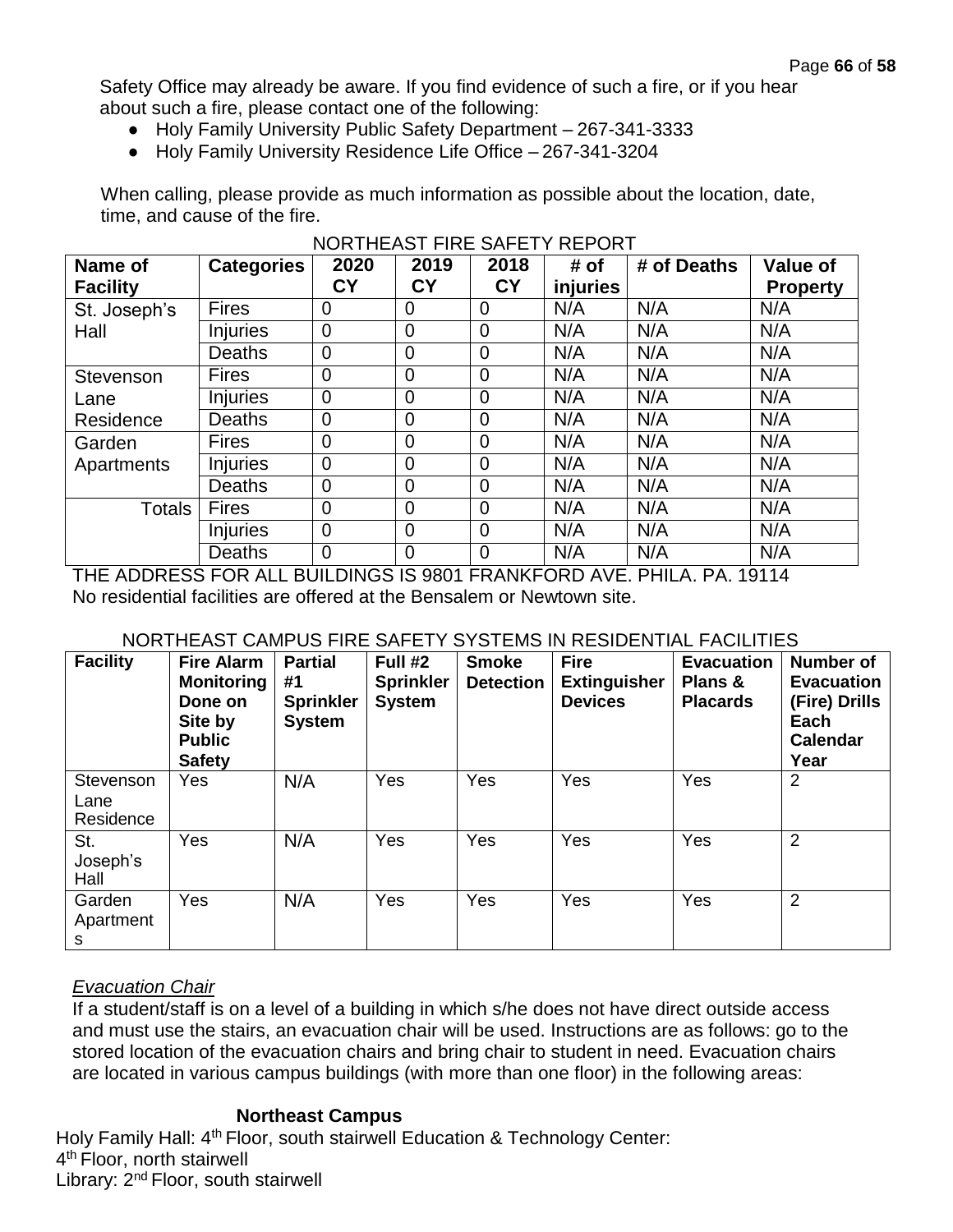Safety Office may already be aware. If you find evidence of such a fire, or if you hear about such a fire, please contact one of the following:

- Holy Family University Public Safety Department 267-341-3333
- Holy Family University Residence Life Office 267-341-3204

When calling, please provide as much information as possible about the location, date, time, and cause of the fire.

| Name of<br><b>Facility</b> | <b>Categories</b> | 2020<br><b>CY</b> | 2019<br>CY     | 2018<br><b>CY</b> | # of<br>injuries | # of Deaths | Value of<br><b>Property</b> |
|----------------------------|-------------------|-------------------|----------------|-------------------|------------------|-------------|-----------------------------|
| St. Joseph's               | <b>Fires</b>      | 0                 | 0              | 0                 | N/A              | N/A         | N/A                         |
| Hall                       | <b>Injuries</b>   | $\overline{0}$    | $\mathbf 0$    | $\overline{0}$    | N/A              | N/A         | N/A                         |
|                            | <b>Deaths</b>     | $\overline{0}$    | $\overline{0}$ | $\overline{0}$    | N/A              | N/A         | N/A                         |
| Stevenson                  | <b>Fires</b>      | $\overline{0}$    | $\mathbf 0$    | $\overline{0}$    | N/A              | N/A         | N/A                         |
| Lane                       | <b>Injuries</b>   | $\mathbf 0$       | $\overline{0}$ | $\mathbf 0$       | N/A              | N/A         | N/A                         |
| Residence                  | Deaths            | $\overline{0}$    | $\mathbf 0$    | $\overline{0}$    | N/A              | N/A         | N/A                         |
| Garden                     | <b>Fires</b>      | $\overline{0}$    | $\mathbf 0$    | $\overline{0}$    | N/A              | N/A         | N/A                         |
| Apartments                 | <b>Injuries</b>   | $\overline{0}$    | $\overline{0}$ | $\overline{0}$    | N/A              | N/A         | N/A                         |
|                            | Deaths            | $\overline{0}$    | $\overline{0}$ | $\overline{0}$    | N/A              | N/A         | N/A                         |
| Totals                     | Fires             | $\overline{0}$    | $\mathbf 0$    | $\overline{0}$    | N/A              | N/A         | N/A                         |
|                            | <b>Injuries</b>   | $\overline{0}$    | $\mathbf 0$    | $\overline{0}$    | N/A              | N/A         | N/A                         |
|                            | Deaths            | $\overline{0}$    | $\mathbf 0$    | $\overline{0}$    | N/A              | N/A         | N/A                         |

## NORTHEAST FIRE SAFETY REPORT

THE ADDRESS FOR ALL BUILDINGS IS 9801 FRANKFORD AVE. PHILA. PA. 19114 No residential facilities are offered at the Bensalem or Newtown site.

#### NORTHEAST CAMPUS FIRE SAFETY SYSTEMS IN RESIDENTIAL FACILITIES

| <b>Facility</b>                | <b>Fire Alarm</b><br><b>Monitoring</b><br>Done on<br>Site by<br><b>Public</b><br><b>Safety</b> | <b>Partial</b><br>#1<br><b>Sprinkler</b><br><b>System</b> | Full #2<br><b>Sprinkler</b><br><b>System</b> | <b>Smoke</b><br><b>Detection</b> | <b>Fire</b><br><b>Extinguisher</b><br><b>Devices</b> | <b>Evacuation</b><br>Plans &<br><b>Placards</b> | <b>Number of</b><br><b>Evacuation</b><br>(Fire) Drills<br>Each<br>Calendar<br>Year |
|--------------------------------|------------------------------------------------------------------------------------------------|-----------------------------------------------------------|----------------------------------------------|----------------------------------|------------------------------------------------------|-------------------------------------------------|------------------------------------------------------------------------------------|
| Stevenson<br>Lane<br>Residence | <b>Yes</b>                                                                                     | N/A                                                       | Yes                                          | Yes                              | Yes                                                  | Yes                                             | 2                                                                                  |
| St.<br>Joseph's<br>Hall        | Yes                                                                                            | N/A                                                       | <b>Yes</b>                                   | Yes                              | Yes                                                  | Yes                                             | $\overline{2}$                                                                     |
| Garden<br>Apartment<br>S       | Yes                                                                                            | N/A                                                       | Yes                                          | Yes                              | Yes                                                  | Yes                                             | $\overline{2}$                                                                     |

## *Evacuation Chair*

If a student/staff is on a level of a building in which s/he does not have direct outside access and must use the stairs, an evacuation chair will be used. Instructions are as follows: go to the stored location of the evacuation chairs and bring chair to student in need. Evacuation chairs are located in various campus buildings (with more than one floor) in the following areas:

## **Northeast Campus**

Holy Family Hall: 4<sup>th</sup> Floor, south stairwell Education & Technology Center: 4<sup>th</sup> Floor, north stairwell Library: 2nd Floor, south stairwell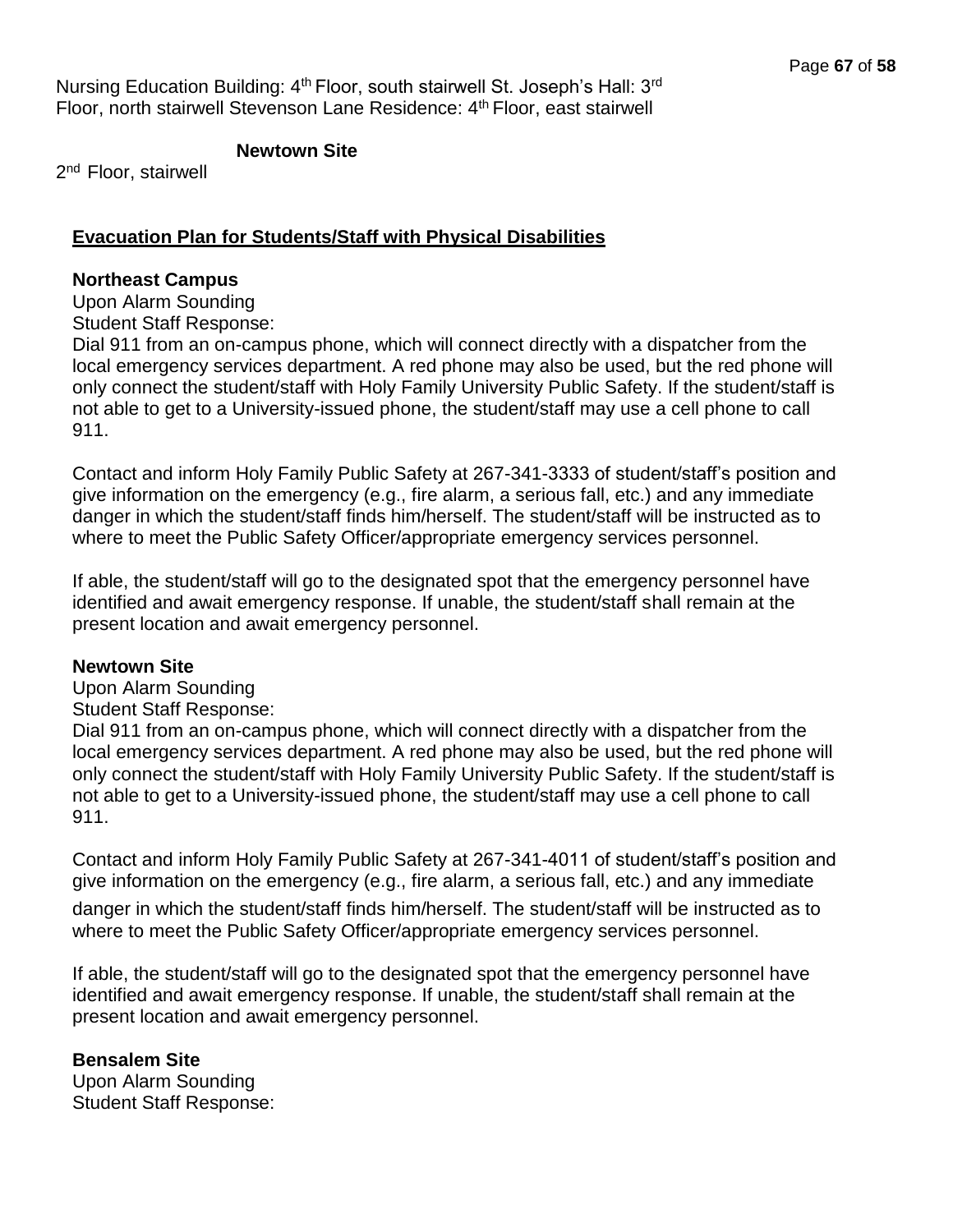Nursing Education Building: 4<sup>th</sup> Floor, south stairwell St. Joseph's Hall: 3<sup>rd</sup> Floor, north stairwell Stevenson Lane Residence: 4<sup>th</sup> Floor, east stairwell

## **Newtown Site**

2<sup>nd</sup> Floor, stairwell

## **Evacuation Plan for Students/Staff with Physical Disabilities**

#### **Northeast Campus**

Upon Alarm Sounding

Student Staff Response:

Dial 911 from an on-campus phone, which will connect directly with a dispatcher from the local emergency services department. A red phone may also be used, but the red phone will only connect the student/staff with Holy Family University Public Safety. If the student/staff is not able to get to a University-issued phone, the student/staff may use a cell phone to call 911.

Contact and inform Holy Family Public Safety at 267-341-3333 of student/staff's position and give information on the emergency (e.g., fire alarm, a serious fall, etc.) and any immediate danger in which the student/staff finds him/herself. The student/staff will be instructed as to where to meet the Public Safety Officer/appropriate emergency services personnel.

If able, the student/staff will go to the designated spot that the emergency personnel have identified and await emergency response. If unable, the student/staff shall remain at the present location and await emergency personnel.

## **Newtown Site**

Upon Alarm Sounding

Student Staff Response:

Dial 911 from an on-campus phone, which will connect directly with a dispatcher from the local emergency services department. A red phone may also be used, but the red phone will only connect the student/staff with Holy Family University Public Safety. If the student/staff is not able to get to a University-issued phone, the student/staff may use a cell phone to call 911.

Contact and inform Holy Family Public Safety at 267-341-4011 of student/staff's position and give information on the emergency (e.g., fire alarm, a serious fall, etc.) and any immediate

danger in which the student/staff finds him/herself. The student/staff will be instructed as to where to meet the Public Safety Officer/appropriate emergency services personnel.

If able, the student/staff will go to the designated spot that the emergency personnel have identified and await emergency response. If unable, the student/staff shall remain at the present location and await emergency personnel.

## **Bensalem Site**

Upon Alarm Sounding Student Staff Response: